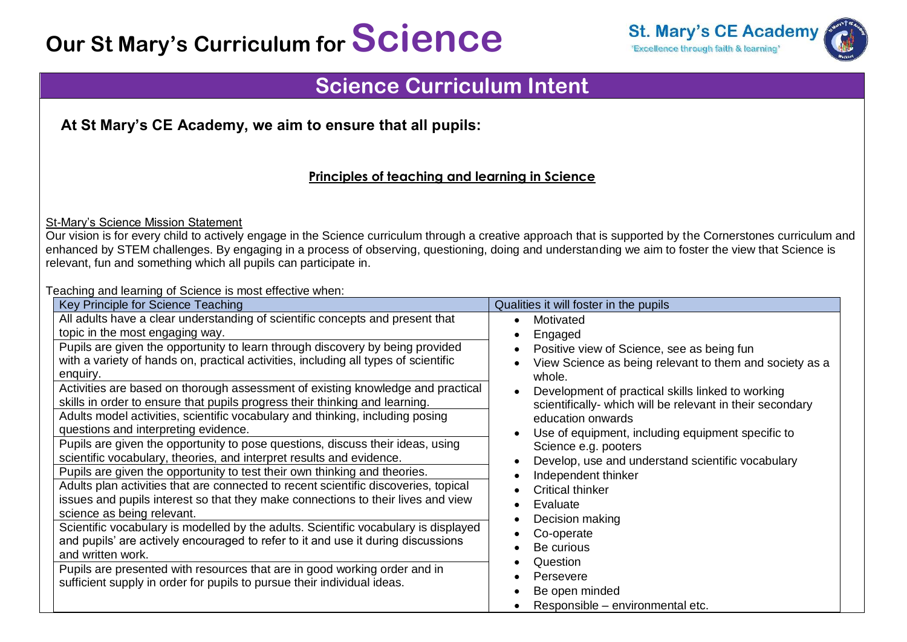# **Our St Mary's Curriculum for Science**



## **Science Curriculum Intent**

**At St Mary's CE Academy, we aim to ensure that all pupils:** 

### **Principles of teaching and learning in Science**

St-Mary's Science Mission Statement

Our vision is for every child to actively engage in the Science curriculum through a creative approach that is supported by the Cornerstones curriculum and enhanced by STEM challenges. By engaging in a process of observing, questioning, doing and understanding we aim to foster the view that Science is relevant, fun and something which all pupils can participate in.

Teaching and learning of Science is most effective when:

| adming and idaming or doloned id moot directive milen<br>Key Principle for Science Teaching | Qualities it will foster in the pupils                    |
|---------------------------------------------------------------------------------------------|-----------------------------------------------------------|
| All adults have a clear understanding of scientific concepts and present that               | Motivated                                                 |
| topic in the most engaging way.                                                             | Engaged                                                   |
| Pupils are given the opportunity to learn through discovery by being provided               | Positive view of Science, see as being fun                |
| with a variety of hands on, practical activities, including all types of scientific         | View Science as being relevant to them and society as a   |
| enquiry.                                                                                    | whole.                                                    |
| Activities are based on thorough assessment of existing knowledge and practical             | Development of practical skills linked to working         |
| skills in order to ensure that pupils progress their thinking and learning.                 | scientifically- which will be relevant in their secondary |
| Adults model activities, scientific vocabulary and thinking, including posing               | education onwards                                         |
| questions and interpreting evidence.                                                        | Use of equipment, including equipment specific to         |
| Pupils are given the opportunity to pose questions, discuss their ideas, using              | Science e.g. pooters                                      |
| scientific vocabulary, theories, and interpret results and evidence.                        | Develop, use and understand scientific vocabulary         |
| Pupils are given the opportunity to test their own thinking and theories.                   | Independent thinker                                       |
| Adults plan activities that are connected to recent scientific discoveries, topical         | <b>Critical thinker</b>                                   |
| issues and pupils interest so that they make connections to their lives and view            | Evaluate                                                  |
| science as being relevant.                                                                  | Decision making                                           |
| Scientific vocabulary is modelled by the adults. Scientific vocabulary is displayed         | Co-operate                                                |
| and pupils' are actively encouraged to refer to it and use it during discussions            | Be curious                                                |
| and written work.                                                                           | Question                                                  |
| Pupils are presented with resources that are in good working order and in                   | Persevere                                                 |
| sufficient supply in order for pupils to pursue their individual ideas.                     | Be open minded                                            |
|                                                                                             | Responsible – environmental etc.                          |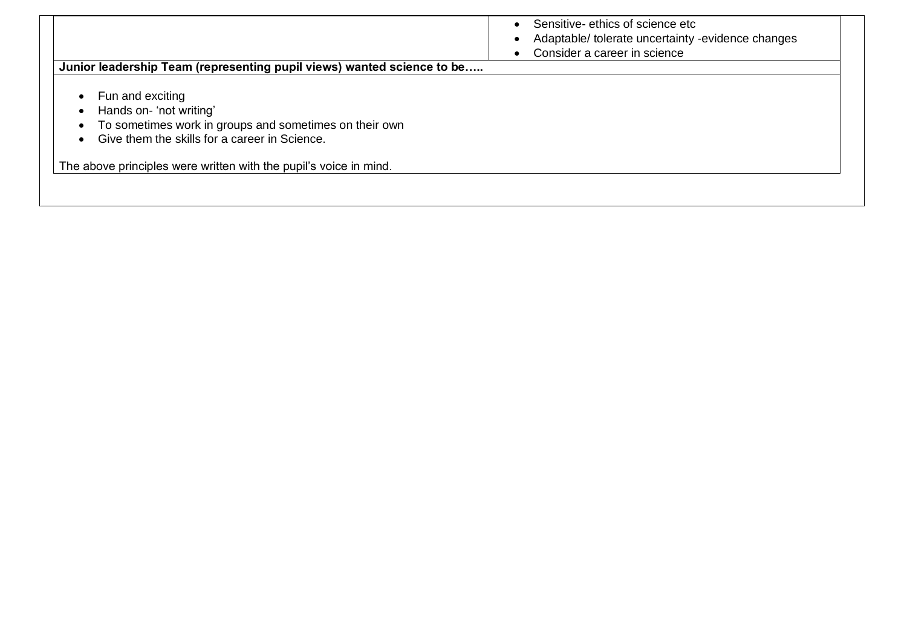| Junior leadership Team (representing pupil views) wanted science to be                                                                                | Sensitive-ethics of science etc<br>Adaptable/tolerate uncertainty -evidence changes<br>Consider a career in science |
|-------------------------------------------------------------------------------------------------------------------------------------------------------|---------------------------------------------------------------------------------------------------------------------|
| Fun and exciting<br>Hands on-'not writing'<br>To sometimes work in groups and sometimes on their own<br>Give them the skills for a career in Science. |                                                                                                                     |
| The above principles were written with the pupil's voice in mind.                                                                                     |                                                                                                                     |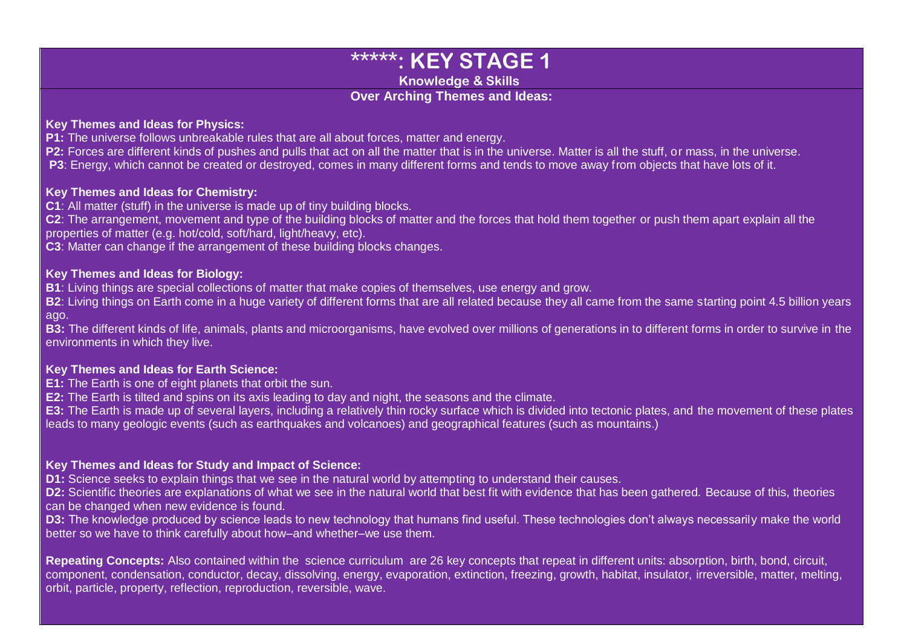## **\*\*\*\*\*: KEY STAGE 1**

**Knowledge & Skills**

#### **Over Arching Themes and Ideas:**

#### **Key Themes and Ideas for Physics:**

**P1:** The universe follows unbreakable rules that are all about forces, matter and energy.

**P2:** Forces are different kinds of pushes and pulls that act on all the matter that is in the universe. Matter is all the stuff, or mass, in the universe.

**P3**: Energy, which cannot be created or destroyed, comes in many different forms and tends to move away from objects that have lots of it.

#### **Key Themes and Ideas for Chemistry:**

**C1**: All matter (stuff) in the universe is made up of tiny building blocks.

**C2**: The arrangement, movement and type of the building blocks of matter and the forces that hold them together or push them apart explain all the properties of matter (e.g. hot/cold, soft/hard, light/heavy, etc).

**C3**: Matter can change if the arrangement of these building blocks changes.

#### **Key Themes and Ideas for Biology:**

**B1**: Living things are special collections of matter that make copies of themselves, use energy and grow.

**B2**: Living things on Earth come in a huge variety of different forms that are all related because they all came from the same starting point 4.5 billion years ago.

**B3:** The different kinds of life, animals, plants and microorganisms, have evolved over millions of generations in to different forms in order to survive in the environments in which they live.

#### **Key Themes and Ideas for Earth Science:**

**E1:** The Earth is one of eight planets that orbit the sun.

**E2:** The Earth is tilted and spins on its axis leading to day and night, the seasons and the climate.

**E3:** The Earth is made up of several layers, including a relatively thin rocky surface which is divided into tectonic plates, and the movement of these plates leads to many geologic events (such as earthquakes and volcanoes) and geographical features (such as mountains.)

#### **Key Themes and Ideas for Study and Impact of Science:**

**D1:** Science seeks to explain things that we see in the natural world by attempting to understand their causes.

**D2:** Scientific theories are explanations of what we see in the natural world that best fit with evidence that has been gathered. Because of this, theories can be changed when new evidence is found.

**D3:** The knowledge produced by science leads to new technology that humans find useful. These technologies don't always necessarily make the world better so we have to think carefully about how–and whether–we use them.

**Repeating Concepts:** Also contained within the science curriculum are 26 key concepts that repeat in different units: absorption, birth, bond, circuit, component, condensation, conductor, decay, dissolving, energy, evaporation, extinction, freezing, growth, habitat, insulator, irreversible, matter, melting, orbit, particle, property, reflection, reproduction, reversible, wave.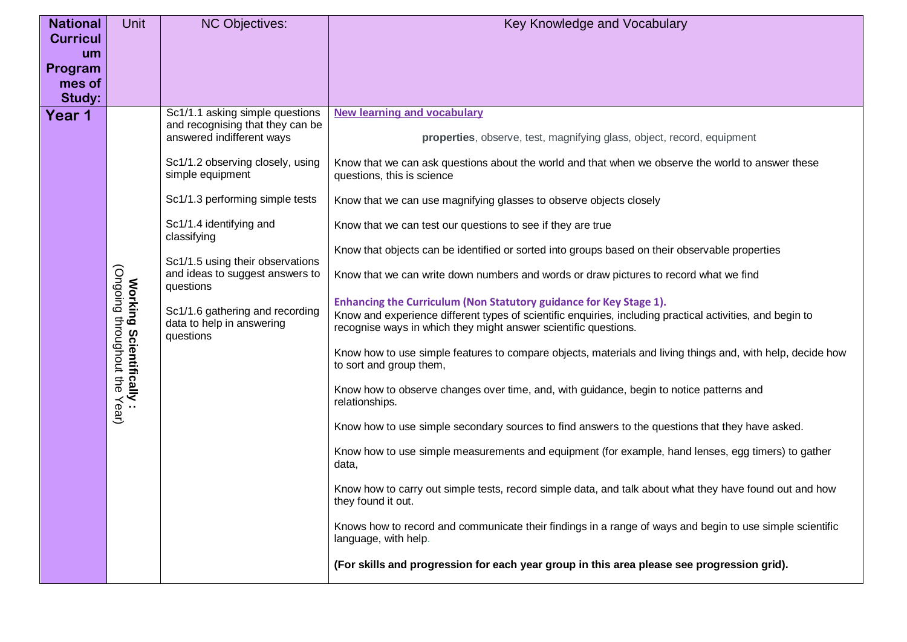| <b>National</b><br><b>Curricul</b> | <b>Unit</b>                                                                     | <b>NC Objectives:</b>                                                                                                                                                                                                                 | Key Knowledge and Vocabulary                                                                                                                                                                                                                                                                                                                                                                                                                                                                                                                                                                                                                                                                                                                                                                                                                                                                                                                                                                                                                                                                                                                                                           |
|------------------------------------|---------------------------------------------------------------------------------|---------------------------------------------------------------------------------------------------------------------------------------------------------------------------------------------------------------------------------------|----------------------------------------------------------------------------------------------------------------------------------------------------------------------------------------------------------------------------------------------------------------------------------------------------------------------------------------------------------------------------------------------------------------------------------------------------------------------------------------------------------------------------------------------------------------------------------------------------------------------------------------------------------------------------------------------------------------------------------------------------------------------------------------------------------------------------------------------------------------------------------------------------------------------------------------------------------------------------------------------------------------------------------------------------------------------------------------------------------------------------------------------------------------------------------------|
| um<br>Program                      |                                                                                 |                                                                                                                                                                                                                                       |                                                                                                                                                                                                                                                                                                                                                                                                                                                                                                                                                                                                                                                                                                                                                                                                                                                                                                                                                                                                                                                                                                                                                                                        |
| mes of                             |                                                                                 |                                                                                                                                                                                                                                       |                                                                                                                                                                                                                                                                                                                                                                                                                                                                                                                                                                                                                                                                                                                                                                                                                                                                                                                                                                                                                                                                                                                                                                                        |
| Study:<br>Year 1                   |                                                                                 | Sc1/1.1 asking simple questions<br>and recognising that they can be<br>answered indifferent ways<br>Sc1/1.2 observing closely, using<br>simple equipment<br>Sc1/1.3 performing simple tests<br>Sc1/1.4 identifying and<br>classifying | <b>New learning and vocabulary</b><br>properties, observe, test, magnifying glass, object, record, equipment<br>Know that we can ask questions about the world and that when we observe the world to answer these<br>questions, this is science<br>Know that we can use magnifying glasses to observe objects closely<br>Know that we can test our questions to see if they are true<br>Know that objects can be identified or sorted into groups based on their observable properties                                                                                                                                                                                                                                                                                                                                                                                                                                                                                                                                                                                                                                                                                                 |
|                                    | (Ongoing throughout the<br>Working Scientifically :<br>Working Scientifically : | Sc1/1.5 using their observations<br>and ideas to suggest answers to<br>questions<br>Sc1/1.6 gathering and recording<br>data to help in answering<br>questions                                                                         | Know that we can write down numbers and words or draw pictures to record what we find<br>Enhancing the Curriculum (Non Statutory guidance for Key Stage 1).<br>Know and experience different types of scientific enquiries, including practical activities, and begin to<br>recognise ways in which they might answer scientific questions.<br>Know how to use simple features to compare objects, materials and living things and, with help, decide how<br>to sort and group them,<br>Know how to observe changes over time, and, with guidance, begin to notice patterns and<br>relationships.<br>Know how to use simple secondary sources to find answers to the questions that they have asked.<br>Know how to use simple measurements and equipment (for example, hand lenses, egg timers) to gather<br>data,<br>Know how to carry out simple tests, record simple data, and talk about what they have found out and how<br>they found it out.<br>Knows how to record and communicate their findings in a range of ways and begin to use simple scientific<br>language, with help.<br>(For skills and progression for each year group in this area please see progression grid). |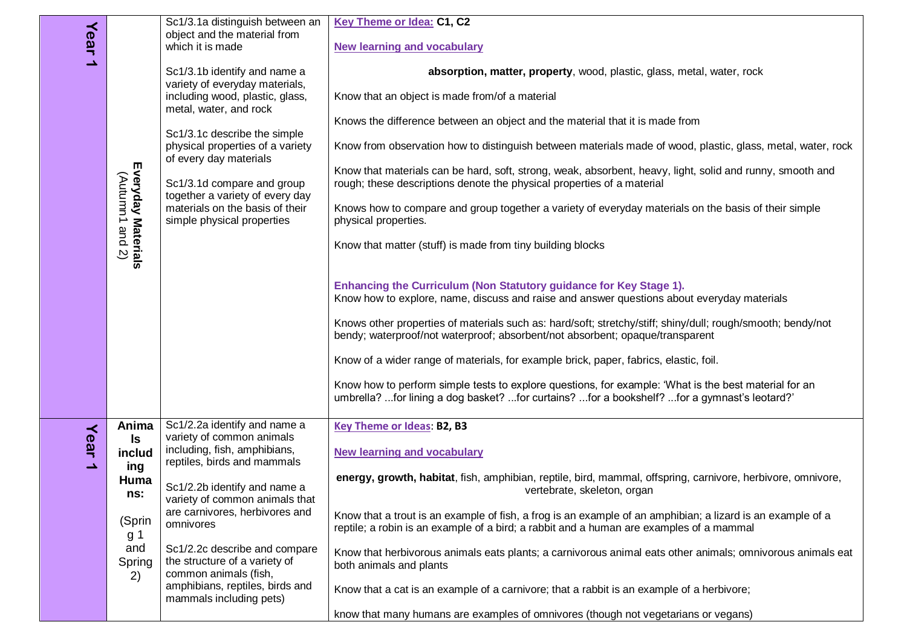|          |                                | Sc1/3.1a distinguish between an                                                          | <b>Key Theme or Idea: C1, C2</b>                                                                                                                                                                      |
|----------|--------------------------------|------------------------------------------------------------------------------------------|-------------------------------------------------------------------------------------------------------------------------------------------------------------------------------------------------------|
|          |                                | object and the material from                                                             |                                                                                                                                                                                                       |
| Year     |                                | which it is made                                                                         | <b>New learning and vocabulary</b>                                                                                                                                                                    |
| د        |                                | Sc1/3.1b identify and name a<br>variety of everyday materials,                           | absorption, matter, property, wood, plastic, glass, metal, water, rock                                                                                                                                |
|          |                                | including wood, plastic, glass,<br>metal, water, and rock                                | Know that an object is made from/of a material                                                                                                                                                        |
|          |                                | Sc1/3.1c describe the simple                                                             | Knows the difference between an object and the material that it is made from                                                                                                                          |
|          |                                | physical properties of a variety<br>of every day materials                               | Know from observation how to distinguish between materials made of wood, plastic, glass, metal, water, rock                                                                                           |
|          |                                | Sc1/3.1d compare and group<br>together a variety of every day                            | Know that materials can be hard, soft, strong, weak, absorbent, heavy, light, solid and runny, smooth and<br>rough; these descriptions denote the physical properties of a material                   |
|          | Everyday Materials<br>(Autumn1 | materials on the basis of their<br>simple physical properties                            | Knows how to compare and group together a variety of everyday materials on the basis of their simple<br>physical properties.                                                                          |
|          | and<br>$\overline{z}$          |                                                                                          | Know that matter (stuff) is made from tiny building blocks                                                                                                                                            |
|          |                                |                                                                                          |                                                                                                                                                                                                       |
|          |                                |                                                                                          | Enhancing the Curriculum (Non Statutory guidance for Key Stage 1).<br>Know how to explore, name, discuss and raise and answer questions about everyday materials                                      |
|          |                                |                                                                                          | Knows other properties of materials such as: hard/soft; stretchy/stiff; shiny/dull; rough/smooth; bendy/not<br>bendy; waterproof/not waterproof; absorbent/not absorbent; opaque/transparent          |
|          |                                |                                                                                          | Know of a wider range of materials, for example brick, paper, fabrics, elastic, foil.                                                                                                                 |
|          |                                |                                                                                          | Know how to perform simple tests to explore questions, for example: 'What is the best material for an<br>umbrella? for lining a dog basket? for curtains? for a bookshelf? for a gymnast's leotard?'  |
| $\prec$  | Anima                          | Sc1/2.2a identify and name a                                                             | <b>Key Theme or Ideas: B2, B3</b>                                                                                                                                                                     |
| ear<br>د | ls<br>includ<br>ing            | variety of common animals<br>including, fish, amphibians,<br>reptiles, birds and mammals | <b>New learning and vocabulary</b>                                                                                                                                                                    |
|          | Huma<br>ns:                    | Sc1/2.2b identify and name a<br>variety of common animals that                           | energy, growth, habitat, fish, amphibian, reptile, bird, mammal, offspring, carnivore, herbivore, omnivore,<br>vertebrate, skeleton, organ                                                            |
|          | (Sprin<br>g 1                  | are carnivores, herbivores and<br>omnivores                                              | Know that a trout is an example of fish, a frog is an example of an amphibian; a lizard is an example of a<br>reptile; a robin is an example of a bird; a rabbit and a human are examples of a mammal |
|          | and<br>Spring<br>2)            | Sc1/2.2c describe and compare<br>the structure of a variety of<br>common animals (fish,  | Know that herbivorous animals eats plants; a carnivorous animal eats other animals; omnivorous animals eat<br>both animals and plants                                                                 |
|          |                                | amphibians, reptiles, birds and<br>mammals including pets)                               | Know that a cat is an example of a carnivore; that a rabbit is an example of a herbivore;                                                                                                             |
|          |                                |                                                                                          | know that many humans are examples of omnivores (though not vegetarians or vegans)                                                                                                                    |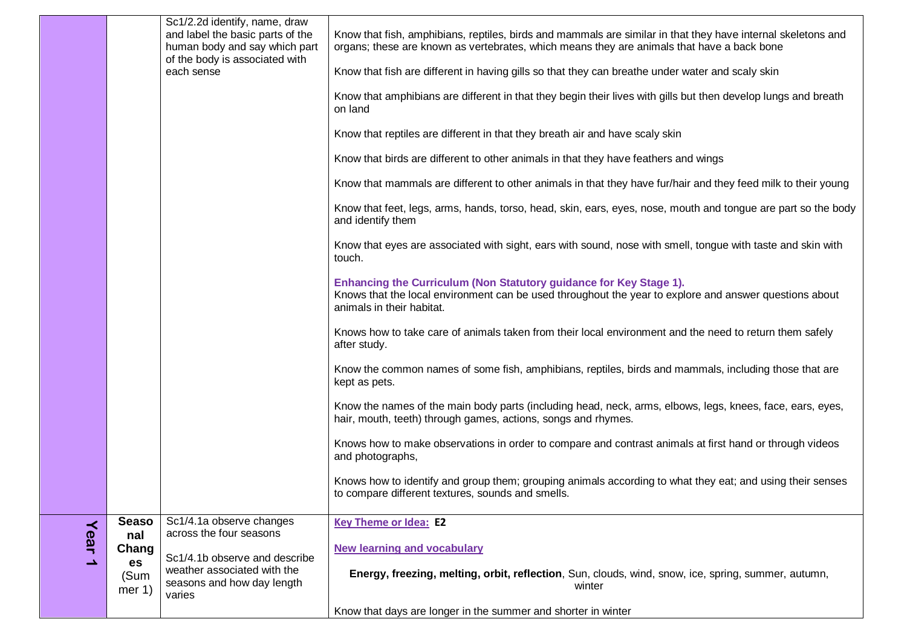|      |                        | Sc1/2.2d identify, name, draw<br>and label the basic parts of the<br>human body and say which part<br>of the body is associated with | Know that fish, amphibians, reptiles, birds and mammals are similar in that they have internal skeletons and<br>organs; these are known as vertebrates, which means they are animals that have a back bone |
|------|------------------------|--------------------------------------------------------------------------------------------------------------------------------------|------------------------------------------------------------------------------------------------------------------------------------------------------------------------------------------------------------|
|      |                        | each sense                                                                                                                           | Know that fish are different in having gills so that they can breathe under water and scaly skin                                                                                                           |
|      |                        |                                                                                                                                      | Know that amphibians are different in that they begin their lives with gills but then develop lungs and breath<br>on land                                                                                  |
|      |                        |                                                                                                                                      | Know that reptiles are different in that they breath air and have scaly skin                                                                                                                               |
|      |                        |                                                                                                                                      | Know that birds are different to other animals in that they have feathers and wings                                                                                                                        |
|      |                        |                                                                                                                                      | Know that mammals are different to other animals in that they have fur/hair and they feed milk to their young                                                                                              |
|      |                        |                                                                                                                                      | Know that feet, legs, arms, hands, torso, head, skin, ears, eyes, nose, mouth and tongue are part so the body<br>and identify them                                                                         |
|      |                        |                                                                                                                                      | Know that eyes are associated with sight, ears with sound, nose with smell, tongue with taste and skin with<br>touch.                                                                                      |
|      |                        |                                                                                                                                      | Enhancing the Curriculum (Non Statutory guidance for Key Stage 1).<br>Knows that the local environment can be used throughout the year to explore and answer questions about<br>animals in their habitat.  |
|      |                        |                                                                                                                                      | Knows how to take care of animals taken from their local environment and the need to return them safely<br>after study.                                                                                    |
|      |                        |                                                                                                                                      | Know the common names of some fish, amphibians, reptiles, birds and mammals, including those that are<br>kept as pets.                                                                                     |
|      |                        |                                                                                                                                      | Know the names of the main body parts (including head, neck, arms, elbows, legs, knees, face, ears, eyes,<br>hair, mouth, teeth) through games, actions, songs and rhymes.                                 |
|      |                        |                                                                                                                                      | Knows how to make observations in order to compare and contrast animals at first hand or through videos<br>and photographs,                                                                                |
|      |                        |                                                                                                                                      | Knows how to identify and group them; grouping animals according to what they eat; and using their senses<br>to compare different textures, sounds and smells.                                             |
|      | <b>Seaso</b><br>nal    | Sc1/4.1a observe changes<br>across the four seasons                                                                                  | <b>Key Theme or Idea: E2</b>                                                                                                                                                                               |
| Year | Chang                  | Sc1/4.1b observe and describe                                                                                                        | <b>New learning and vocabulary</b>                                                                                                                                                                         |
| د    | es<br>(Sum<br>mer $1)$ | weather associated with the<br>seasons and how day length<br>varies                                                                  | Energy, freezing, melting, orbit, reflection, Sun, clouds, wind, snow, ice, spring, summer, autumn,<br>winter                                                                                              |
|      |                        |                                                                                                                                      | Know that days are longer in the summer and shorter in winter                                                                                                                                              |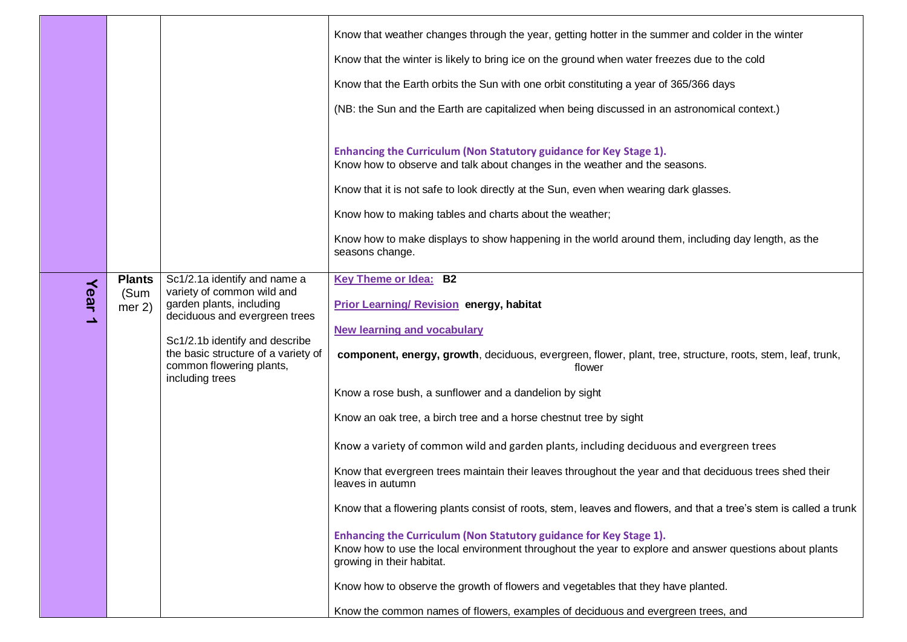|      |                |                                                                                    | Know that weather changes through the year, getting hotter in the summer and colder in the winter<br>Know that the winter is likely to bring ice on the ground when water freezes due to the cold<br>Know that the Earth orbits the Sun with one orbit constituting a year of 365/366 days |
|------|----------------|------------------------------------------------------------------------------------|--------------------------------------------------------------------------------------------------------------------------------------------------------------------------------------------------------------------------------------------------------------------------------------------|
|      |                |                                                                                    | (NB: the Sun and the Earth are capitalized when being discussed in an astronomical context.)                                                                                                                                                                                               |
|      |                |                                                                                    | Enhancing the Curriculum (Non Statutory guidance for Key Stage 1).<br>Know how to observe and talk about changes in the weather and the seasons.                                                                                                                                           |
|      |                |                                                                                    | Know that it is not safe to look directly at the Sun, even when wearing dark glasses.                                                                                                                                                                                                      |
|      |                |                                                                                    | Know how to making tables and charts about the weather;                                                                                                                                                                                                                                    |
|      |                |                                                                                    | Know how to make displays to show happening in the world around them, including day length, as the<br>seasons change.                                                                                                                                                                      |
|      | <b>Plants</b>  | Sc1/2.1a identify and name a<br>variety of common wild and                         | <b>Key Theme or Idea: B2</b>                                                                                                                                                                                                                                                               |
| Year | (Sum<br>mer 2) | garden plants, including<br>deciduous and evergreen trees                          | <b>Prior Learning/ Revision energy, habitat</b>                                                                                                                                                                                                                                            |
| ∸    |                | Sc1/2.1b identify and describe                                                     | <b>New learning and vocabulary</b>                                                                                                                                                                                                                                                         |
|      |                | the basic structure of a variety of<br>common flowering plants,<br>including trees | component, energy, growth, deciduous, evergreen, flower, plant, tree, structure, roots, stem, leaf, trunk,<br>flower                                                                                                                                                                       |
|      |                |                                                                                    | Know a rose bush, a sunflower and a dandelion by sight                                                                                                                                                                                                                                     |
|      |                |                                                                                    | Know an oak tree, a birch tree and a horse chestnut tree by sight                                                                                                                                                                                                                          |
|      |                |                                                                                    | Know a variety of common wild and garden plants, including deciduous and evergreen trees                                                                                                                                                                                                   |
|      |                |                                                                                    | Know that evergreen trees maintain their leaves throughout the year and that deciduous trees shed their<br>leaves in autumn                                                                                                                                                                |
|      |                |                                                                                    | Know that a flowering plants consist of roots, stem, leaves and flowers, and that a tree's stem is called a trunk                                                                                                                                                                          |
|      |                |                                                                                    | Enhancing the Curriculum (Non Statutory guidance for Key Stage 1).<br>Know how to use the local environment throughout the year to explore and answer questions about plants<br>growing in their habitat.                                                                                  |
|      |                |                                                                                    | Know how to observe the growth of flowers and vegetables that they have planted.                                                                                                                                                                                                           |
|      |                |                                                                                    | Know the common names of flowers, examples of deciduous and evergreen trees, and                                                                                                                                                                                                           |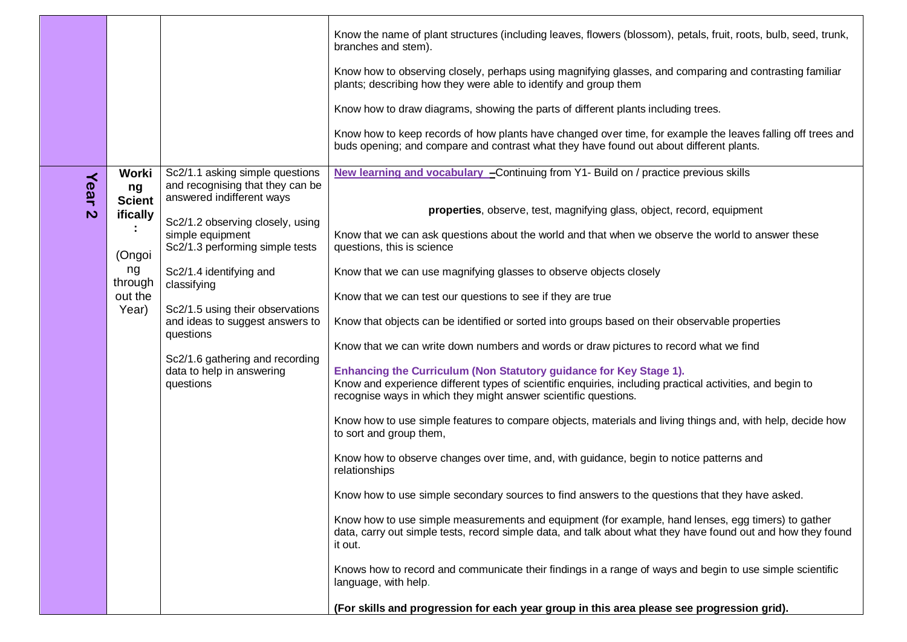|                                   |                                                                                         |                                                                                                                                                                                                                                                                                                                                                                                                        | Know the name of plant structures (including leaves, flowers (blossom), petals, fruit, roots, bulb, seed, trunk,<br>branches and stem).                                                                                                                                                                                                                                                                                                                                                                                                                                                                                                                                                                                                                                                                                                                                                                                                                                                                                                                                                                                                                                                                                                          |
|-----------------------------------|-----------------------------------------------------------------------------------------|--------------------------------------------------------------------------------------------------------------------------------------------------------------------------------------------------------------------------------------------------------------------------------------------------------------------------------------------------------------------------------------------------------|--------------------------------------------------------------------------------------------------------------------------------------------------------------------------------------------------------------------------------------------------------------------------------------------------------------------------------------------------------------------------------------------------------------------------------------------------------------------------------------------------------------------------------------------------------------------------------------------------------------------------------------------------------------------------------------------------------------------------------------------------------------------------------------------------------------------------------------------------------------------------------------------------------------------------------------------------------------------------------------------------------------------------------------------------------------------------------------------------------------------------------------------------------------------------------------------------------------------------------------------------|
|                                   |                                                                                         |                                                                                                                                                                                                                                                                                                                                                                                                        | Know how to observing closely, perhaps using magnifying glasses, and comparing and contrasting familiar<br>plants; describing how they were able to identify and group them                                                                                                                                                                                                                                                                                                                                                                                                                                                                                                                                                                                                                                                                                                                                                                                                                                                                                                                                                                                                                                                                      |
|                                   |                                                                                         |                                                                                                                                                                                                                                                                                                                                                                                                        | Know how to draw diagrams, showing the parts of different plants including trees.                                                                                                                                                                                                                                                                                                                                                                                                                                                                                                                                                                                                                                                                                                                                                                                                                                                                                                                                                                                                                                                                                                                                                                |
|                                   |                                                                                         |                                                                                                                                                                                                                                                                                                                                                                                                        | Know how to keep records of how plants have changed over time, for example the leaves falling off trees and<br>buds opening; and compare and contrast what they have found out about different plants.                                                                                                                                                                                                                                                                                                                                                                                                                                                                                                                                                                                                                                                                                                                                                                                                                                                                                                                                                                                                                                           |
| Year<br>$\boldsymbol{\mathsf{N}}$ | Worki<br>ng<br><b>Scient</b><br>ifically<br>(Ongoi<br>ng<br>through<br>out the<br>Year) | Sc2/1.1 asking simple questions<br>and recognising that they can be<br>answered indifferent ways<br>Sc2/1.2 observing closely, using<br>simple equipment<br>Sc2/1.3 performing simple tests<br>Sc2/1.4 identifying and<br>classifying<br>Sc2/1.5 using their observations<br>and ideas to suggest answers to<br>questions<br>Sc2/1.6 gathering and recording<br>data to help in answering<br>questions | New learning and vocabulary - Continuing from Y1- Build on / practice previous skills<br>properties, observe, test, magnifying glass, object, record, equipment<br>Know that we can ask questions about the world and that when we observe the world to answer these<br>questions, this is science<br>Know that we can use magnifying glasses to observe objects closely<br>Know that we can test our questions to see if they are true<br>Know that objects can be identified or sorted into groups based on their observable properties<br>Know that we can write down numbers and words or draw pictures to record what we find<br>Enhancing the Curriculum (Non Statutory guidance for Key Stage 1).<br>Know and experience different types of scientific enquiries, including practical activities, and begin to<br>recognise ways in which they might answer scientific questions.<br>Know how to use simple features to compare objects, materials and living things and, with help, decide how<br>to sort and group them,<br>Know how to observe changes over time, and, with guidance, begin to notice patterns and<br>relationships<br>Know how to use simple secondary sources to find answers to the questions that they have asked. |
|                                   |                                                                                         |                                                                                                                                                                                                                                                                                                                                                                                                        | Know how to use simple measurements and equipment (for example, hand lenses, egg timers) to gather<br>data, carry out simple tests, record simple data, and talk about what they have found out and how they found<br>it out.                                                                                                                                                                                                                                                                                                                                                                                                                                                                                                                                                                                                                                                                                                                                                                                                                                                                                                                                                                                                                    |
|                                   |                                                                                         |                                                                                                                                                                                                                                                                                                                                                                                                        | Knows how to record and communicate their findings in a range of ways and begin to use simple scientific<br>language, with help.                                                                                                                                                                                                                                                                                                                                                                                                                                                                                                                                                                                                                                                                                                                                                                                                                                                                                                                                                                                                                                                                                                                 |
|                                   |                                                                                         |                                                                                                                                                                                                                                                                                                                                                                                                        | (For skills and progression for each year group in this area please see progression grid).                                                                                                                                                                                                                                                                                                                                                                                                                                                                                                                                                                                                                                                                                                                                                                                                                                                                                                                                                                                                                                                                                                                                                       |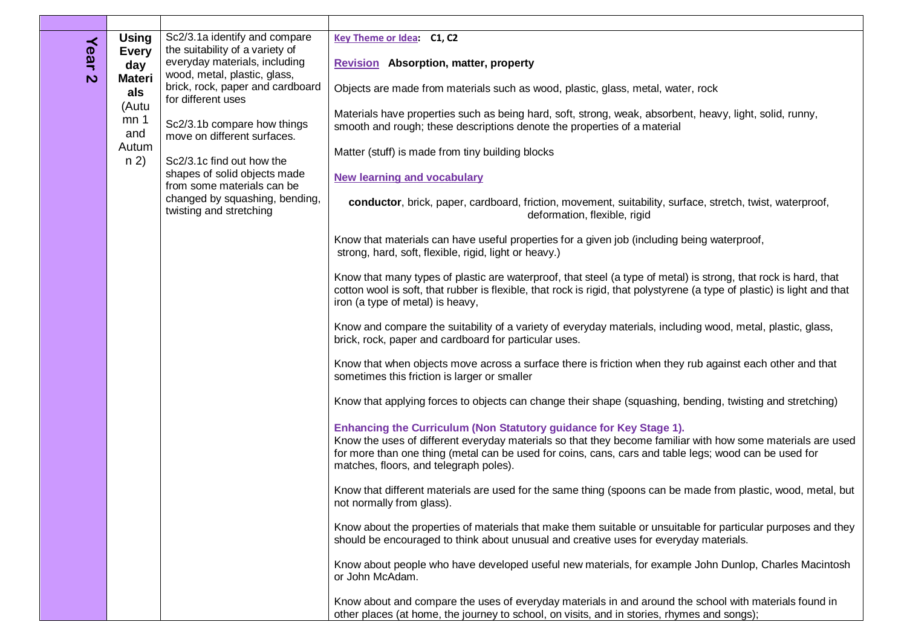| Year | <b>Using</b><br><b>Every</b>         | Sc2/3.1a identify and compare<br>the suitability of a variety of                        | Key Theme or Idea: C1, C2                                                                                                                                                                                                                                                                                                            |
|------|--------------------------------------|-----------------------------------------------------------------------------------------|--------------------------------------------------------------------------------------------------------------------------------------------------------------------------------------------------------------------------------------------------------------------------------------------------------------------------------------|
|      | day                                  | everyday materials, including<br>wood, metal, plastic, glass,                           | <b>Revision</b> Absorption, matter, property                                                                                                                                                                                                                                                                                         |
|      | $\mathbf{v}$<br><b>Materi</b><br>als | brick, rock, paper and cardboard<br>for different uses                                  | Objects are made from materials such as wood, plastic, glass, metal, water, rock                                                                                                                                                                                                                                                     |
|      | (Autu<br>mn <sub>1</sub><br>and      | Sc2/3.1b compare how things<br>move on different surfaces.                              | Materials have properties such as being hard, soft, strong, weak, absorbent, heavy, light, solid, runny,<br>smooth and rough; these descriptions denote the properties of a material                                                                                                                                                 |
|      | Autum<br>n 2)                        | Sc2/3.1c find out how the<br>shapes of solid objects made<br>from some materials can be | Matter (stuff) is made from tiny building blocks                                                                                                                                                                                                                                                                                     |
|      |                                      |                                                                                         | <b>New learning and vocabulary</b>                                                                                                                                                                                                                                                                                                   |
|      |                                      | changed by squashing, bending,<br>twisting and stretching                               | conductor, brick, paper, cardboard, friction, movement, suitability, surface, stretch, twist, waterproof,<br>deformation, flexible, rigid                                                                                                                                                                                            |
|      |                                      |                                                                                         | Know that materials can have useful properties for a given job (including being waterproof,<br>strong, hard, soft, flexible, rigid, light or heavy.)                                                                                                                                                                                 |
|      |                                      |                                                                                         | Know that many types of plastic are waterproof, that steel (a type of metal) is strong, that rock is hard, that<br>cotton wool is soft, that rubber is flexible, that rock is rigid, that polystyrene (a type of plastic) is light and that<br>iron (a type of metal) is heavy,                                                      |
|      |                                      |                                                                                         | Know and compare the suitability of a variety of everyday materials, including wood, metal, plastic, glass,<br>brick, rock, paper and cardboard for particular uses.                                                                                                                                                                 |
|      |                                      |                                                                                         | Know that when objects move across a surface there is friction when they rub against each other and that<br>sometimes this friction is larger or smaller                                                                                                                                                                             |
|      |                                      |                                                                                         | Know that applying forces to objects can change their shape (squashing, bending, twisting and stretching)                                                                                                                                                                                                                            |
|      |                                      |                                                                                         | Enhancing the Curriculum (Non Statutory guidance for Key Stage 1).<br>Know the uses of different everyday materials so that they become familiar with how some materials are used<br>for more than one thing (metal can be used for coins, cans, cars and table legs; wood can be used for<br>matches, floors, and telegraph poles). |
|      |                                      |                                                                                         | Know that different materials are used for the same thing (spoons can be made from plastic, wood, metal, but<br>not normally from glass).                                                                                                                                                                                            |
|      |                                      |                                                                                         | Know about the properties of materials that make them suitable or unsuitable for particular purposes and they<br>should be encouraged to think about unusual and creative uses for everyday materials.                                                                                                                               |
|      |                                      |                                                                                         | Know about people who have developed useful new materials, for example John Dunlop, Charles Macintosh<br>or John McAdam.                                                                                                                                                                                                             |
|      |                                      |                                                                                         | Know about and compare the uses of everyday materials in and around the school with materials found in<br>other places (at home, the journey to school, on visits, and in stories, rhymes and songs);                                                                                                                                |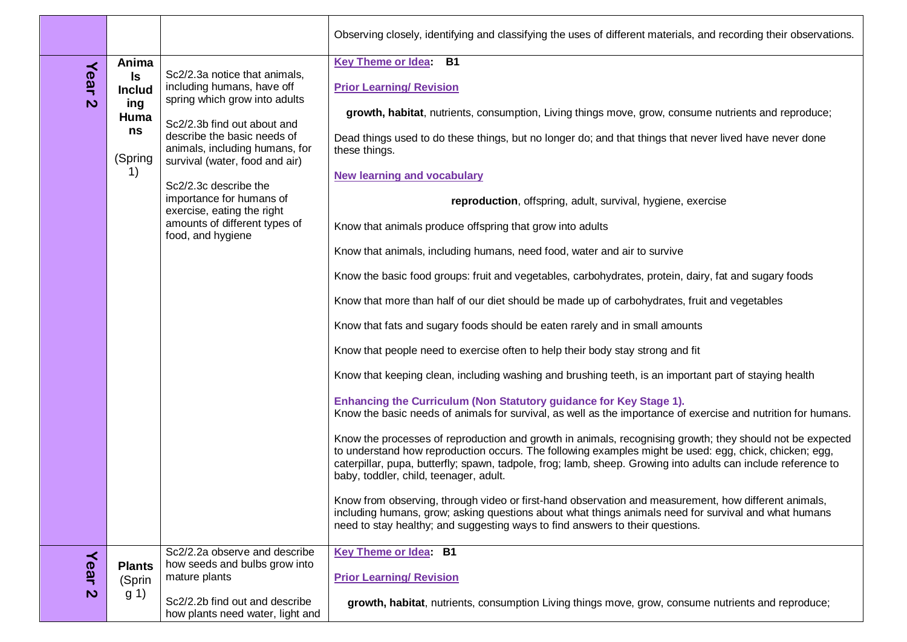|                                   |                                                                                                                 |                                                                                                                                                                                                                                                                                                                                                                         | Observing closely, identifying and classifying the uses of different materials, and recording their observations.                                                                                                                                                                                                                                                                                                                                                                                                                                                                                                                                                                                                                                                                                                                                                                                                                                                                                                                                                                                                                                                                                                                                                                                                                                                                                                                                                                                                                                                                                                                                                                                                                                                                                                                                                                                                        |
|-----------------------------------|-----------------------------------------------------------------------------------------------------------------|-------------------------------------------------------------------------------------------------------------------------------------------------------------------------------------------------------------------------------------------------------------------------------------------------------------------------------------------------------------------------|--------------------------------------------------------------------------------------------------------------------------------------------------------------------------------------------------------------------------------------------------------------------------------------------------------------------------------------------------------------------------------------------------------------------------------------------------------------------------------------------------------------------------------------------------------------------------------------------------------------------------------------------------------------------------------------------------------------------------------------------------------------------------------------------------------------------------------------------------------------------------------------------------------------------------------------------------------------------------------------------------------------------------------------------------------------------------------------------------------------------------------------------------------------------------------------------------------------------------------------------------------------------------------------------------------------------------------------------------------------------------------------------------------------------------------------------------------------------------------------------------------------------------------------------------------------------------------------------------------------------------------------------------------------------------------------------------------------------------------------------------------------------------------------------------------------------------------------------------------------------------------------------------------------------------|
| Year<br>$\overline{\mathsf{c}}$   | Anima<br>Is<br><b>Includ</b><br>ing<br>Huma<br>ns<br>(Spring<br>$\left( \begin{array}{c} 1 \end{array} \right)$ | Sc2/2.3a notice that animals,<br>including humans, have off<br>spring which grow into adults<br>Sc2/2.3b find out about and<br>describe the basic needs of<br>animals, including humans, for<br>survival (water, food and air)<br>Sc2/2.3c describe the<br>importance for humans of<br>exercise, eating the right<br>amounts of different types of<br>food, and hygiene | <b>Key Theme or Idea:</b><br><b>B1</b><br><b>Prior Learning/ Revision</b><br>growth, habitat, nutrients, consumption, Living things move, grow, consume nutrients and reproduce;<br>Dead things used to do these things, but no longer do; and that things that never lived have never done<br>these things.<br><b>New learning and vocabulary</b><br>reproduction, offspring, adult, survival, hygiene, exercise<br>Know that animals produce offspring that grow into adults<br>Know that animals, including humans, need food, water and air to survive<br>Know the basic food groups: fruit and vegetables, carbohydrates, protein, dairy, fat and sugary foods<br>Know that more than half of our diet should be made up of carbohydrates, fruit and vegetables<br>Know that fats and sugary foods should be eaten rarely and in small amounts<br>Know that people need to exercise often to help their body stay strong and fit<br>Know that keeping clean, including washing and brushing teeth, is an important part of staying health<br>Enhancing the Curriculum (Non Statutory guidance for Key Stage 1).<br>Know the basic needs of animals for survival, as well as the importance of exercise and nutrition for humans.<br>Know the processes of reproduction and growth in animals, recognising growth; they should not be expected<br>to understand how reproduction occurs. The following examples might be used: egg, chick, chicken; egg,<br>caterpillar, pupa, butterfly; spawn, tadpole, frog; lamb, sheep. Growing into adults can include reference to<br>baby, toddler, child, teenager, adult.<br>Know from observing, through video or first-hand observation and measurement, how different animals,<br>including humans, grow; asking questions about what things animals need for survival and what humans<br>need to stay healthy; and suggesting ways to find answers to their questions. |
| Year<br>$\boldsymbol{\mathsf{N}}$ | <b>Plants</b><br>(Sprin<br>g(1)                                                                                 | Sc2/2.2a observe and describe<br>how seeds and bulbs grow into<br>mature plants<br>Sc2/2.2b find out and describe<br>how plants need water, light and                                                                                                                                                                                                                   | Key Theme or Idea: B1<br><b>Prior Learning/ Revision</b><br>growth, habitat, nutrients, consumption Living things move, grow, consume nutrients and reproduce;                                                                                                                                                                                                                                                                                                                                                                                                                                                                                                                                                                                                                                                                                                                                                                                                                                                                                                                                                                                                                                                                                                                                                                                                                                                                                                                                                                                                                                                                                                                                                                                                                                                                                                                                                           |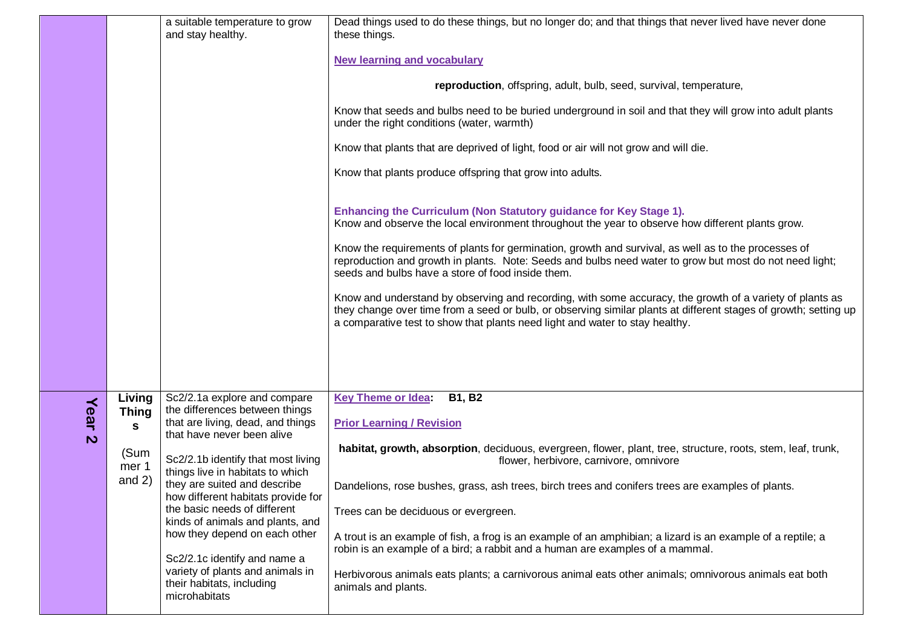|                      |                                                          | a suitable temperature to grow<br>and stay healthy.                                                                                                                                                                                                                                                                                                                                                                                                                                                      | Dead things used to do these things, but no longer do; and that things that never lived have never done<br>these things.<br><b>New learning and vocabulary</b><br>reproduction, offspring, adult, bulb, seed, survival, temperature,<br>Know that seeds and bulbs need to be buried underground in soil and that they will grow into adult plants<br>under the right conditions (water, warmth)<br>Know that plants that are deprived of light, food or air will not grow and will die.<br>Know that plants produce offspring that grow into adults.<br>Enhancing the Curriculum (Non Statutory guidance for Key Stage 1).<br>Know and observe the local environment throughout the year to observe how different plants grow.<br>Know the requirements of plants for germination, growth and survival, as well as to the processes of<br>reproduction and growth in plants. Note: Seeds and bulbs need water to grow but most do not need light;<br>seeds and bulbs have a store of food inside them.<br>Know and understand by observing and recording, with some accuracy, the growth of a variety of plants as<br>they change over time from a seed or bulb, or observing similar plants at different stages of growth; setting up<br>a comparative test to show that plants need light and water to stay healthy. |
|----------------------|----------------------------------------------------------|----------------------------------------------------------------------------------------------------------------------------------------------------------------------------------------------------------------------------------------------------------------------------------------------------------------------------------------------------------------------------------------------------------------------------------------------------------------------------------------------------------|------------------------------------------------------------------------------------------------------------------------------------------------------------------------------------------------------------------------------------------------------------------------------------------------------------------------------------------------------------------------------------------------------------------------------------------------------------------------------------------------------------------------------------------------------------------------------------------------------------------------------------------------------------------------------------------------------------------------------------------------------------------------------------------------------------------------------------------------------------------------------------------------------------------------------------------------------------------------------------------------------------------------------------------------------------------------------------------------------------------------------------------------------------------------------------------------------------------------------------------------------------------------------------------------------------------------|
| Year<br>$\mathbf{v}$ | Living<br><b>Thing</b><br>S<br>(Sum<br>mer 1<br>and $2)$ | Sc2/2.1a explore and compare<br>the differences between things<br>that are living, dead, and things<br>that have never been alive<br>Sc2/2.1b identify that most living<br>things live in habitats to which<br>they are suited and describe<br>how different habitats provide for<br>the basic needs of different<br>kinds of animals and plants, and<br>how they depend on each other<br>Sc2/2.1c identify and name a<br>variety of plants and animals in<br>their habitats, including<br>microhabitats | <b>Key Theme or Idea:</b><br><b>B1, B2</b><br><b>Prior Learning / Revision</b><br>habitat, growth, absorption, deciduous, evergreen, flower, plant, tree, structure, roots, stem, leaf, trunk,<br>flower, herbivore, carnivore, omnivore<br>Dandelions, rose bushes, grass, ash trees, birch trees and conifers trees are examples of plants.<br>Trees can be deciduous or evergreen.<br>A trout is an example of fish, a frog is an example of an amphibian; a lizard is an example of a reptile; a<br>robin is an example of a bird; a rabbit and a human are examples of a mammal.<br>Herbivorous animals eats plants; a carnivorous animal eats other animals; omnivorous animals eat both<br>animals and plants.                                                                                                                                                                                                                                                                                                                                                                                                                                                                                                                                                                                                  |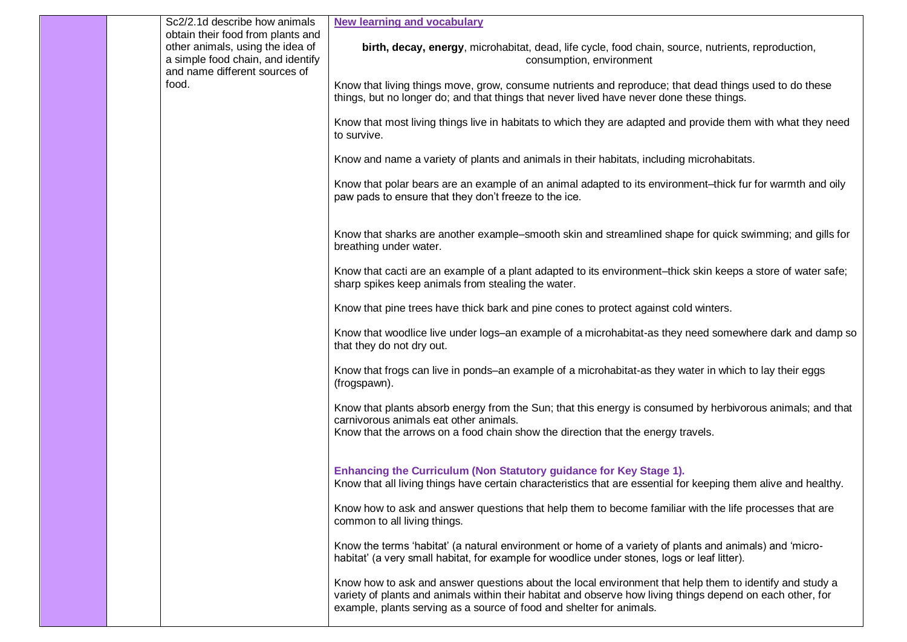|  | Sc2/2.1d describe how animals                                                                                                               | <b>New learning and vocabulary</b>                                                                                                                                                                                                                                                            |
|--|---------------------------------------------------------------------------------------------------------------------------------------------|-----------------------------------------------------------------------------------------------------------------------------------------------------------------------------------------------------------------------------------------------------------------------------------------------|
|  | obtain their food from plants and<br>other animals, using the idea of<br>a simple food chain, and identify<br>and name different sources of | birth, decay, energy, microhabitat, dead, life cycle, food chain, source, nutrients, reproduction,<br>consumption, environment                                                                                                                                                                |
|  | food.                                                                                                                                       | Know that living things move, grow, consume nutrients and reproduce; that dead things used to do these<br>things, but no longer do; and that things that never lived have never done these things.                                                                                            |
|  |                                                                                                                                             | Know that most living things live in habitats to which they are adapted and provide them with what they need<br>to survive.                                                                                                                                                                   |
|  |                                                                                                                                             | Know and name a variety of plants and animals in their habitats, including microhabitats.                                                                                                                                                                                                     |
|  |                                                                                                                                             | Know that polar bears are an example of an animal adapted to its environment-thick fur for warmth and oily<br>paw pads to ensure that they don't freeze to the ice.                                                                                                                           |
|  |                                                                                                                                             | Know that sharks are another example–smooth skin and streamlined shape for quick swimming; and gills for<br>breathing under water.                                                                                                                                                            |
|  |                                                                                                                                             | Know that cacti are an example of a plant adapted to its environment-thick skin keeps a store of water safe;<br>sharp spikes keep animals from stealing the water.                                                                                                                            |
|  |                                                                                                                                             | Know that pine trees have thick bark and pine cones to protect against cold winters.                                                                                                                                                                                                          |
|  |                                                                                                                                             | Know that woodlice live under logs-an example of a microhabitat-as they need somewhere dark and damp so<br>that they do not dry out.                                                                                                                                                          |
|  |                                                                                                                                             | Know that frogs can live in ponds–an example of a microhabitat-as they water in which to lay their eggs<br>(frogspawn).                                                                                                                                                                       |
|  |                                                                                                                                             | Know that plants absorb energy from the Sun; that this energy is consumed by herbivorous animals; and that<br>carnivorous animals eat other animals.<br>Know that the arrows on a food chain show the direction that the energy travels.                                                      |
|  |                                                                                                                                             | Enhancing the Curriculum (Non Statutory guidance for Key Stage 1).<br>Know that all living things have certain characteristics that are essential for keeping them alive and healthy.                                                                                                         |
|  |                                                                                                                                             | Know how to ask and answer questions that help them to become familiar with the life processes that are<br>common to all living things.                                                                                                                                                       |
|  |                                                                                                                                             | Know the terms 'habitat' (a natural environment or home of a variety of plants and animals) and 'micro-<br>habitat' (a very small habitat, for example for woodlice under stones, logs or leaf litter).                                                                                       |
|  |                                                                                                                                             | Know how to ask and answer questions about the local environment that help them to identify and study a<br>variety of plants and animals within their habitat and observe how living things depend on each other, for<br>example, plants serving as a source of food and shelter for animals. |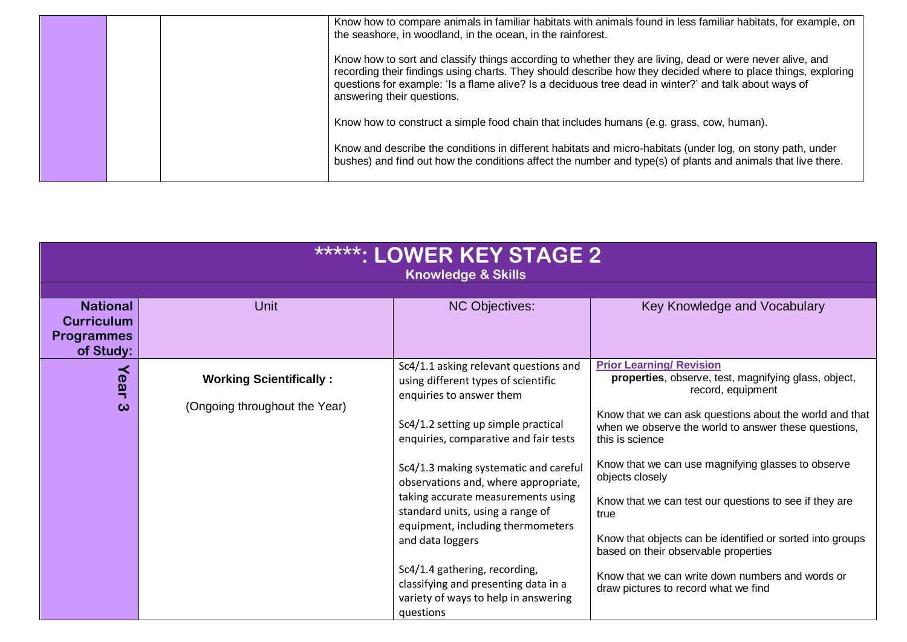|  | Know how to compare animals in familiar habitats with animals found in less familiar habitats, for example, on<br>the seashore, in woodland, in the ocean, in the rainforest.                                                                                                                                                                                    |
|--|------------------------------------------------------------------------------------------------------------------------------------------------------------------------------------------------------------------------------------------------------------------------------------------------------------------------------------------------------------------|
|  | Know how to sort and classify things according to whether they are living, dead or were never alive, and<br>recording their findings using charts. They should describe how they decided where to place things, exploring<br>questions for example: 'Is a flame alive? Is a deciduous tree dead in winter?' and talk about ways of<br>answering their questions. |
|  | Know how to construct a simple food chain that includes humans (e.g. grass, cow, human).                                                                                                                                                                                                                                                                         |
|  | Know and describe the conditions in different habitats and micro-habitats (under log, on stony path, under<br>bushes) and find out how the conditions affect the number and type(s) of plants and animals that live there.                                                                                                                                       |

| <b>*****: LOWER KEY STAGE 2</b><br><b>Knowledge &amp; Skills</b>       |                                                                 |                                                                                                                                                                                                                                                                                                                                                                                                                                                                                                                                            |                                                                                                                                                                                                                                                                                                                                                                                                                                                                                                                                                                                                |
|------------------------------------------------------------------------|-----------------------------------------------------------------|--------------------------------------------------------------------------------------------------------------------------------------------------------------------------------------------------------------------------------------------------------------------------------------------------------------------------------------------------------------------------------------------------------------------------------------------------------------------------------------------------------------------------------------------|------------------------------------------------------------------------------------------------------------------------------------------------------------------------------------------------------------------------------------------------------------------------------------------------------------------------------------------------------------------------------------------------------------------------------------------------------------------------------------------------------------------------------------------------------------------------------------------------|
| <b>National</b><br><b>Curriculum</b><br><b>Programmes</b><br>of Study: | <b>Unit</b>                                                     | <b>NC Objectives:</b>                                                                                                                                                                                                                                                                                                                                                                                                                                                                                                                      | Key Knowledge and Vocabulary                                                                                                                                                                                                                                                                                                                                                                                                                                                                                                                                                                   |
| Year<br>ω                                                              | <b>Working Scientifically:</b><br>(Ongoing throughout the Year) | Sc4/1.1 asking relevant questions and<br>using different types of scientific<br>enquiries to answer them<br>Sc4/1.2 setting up simple practical<br>enquiries, comparative and fair tests<br>Sc4/1.3 making systematic and careful<br>observations and, where appropriate,<br>taking accurate measurements using<br>standard units, using a range of<br>equipment, including thermometers<br>and data loggers<br>Sc4/1.4 gathering, recording,<br>classifying and presenting data in a<br>variety of ways to help in answering<br>questions | <b>Prior Learning/ Revision</b><br>properties, observe, test, magnifying glass, object,<br>record, equipment<br>Know that we can ask questions about the world and that<br>when we observe the world to answer these questions,<br>this is science<br>Know that we can use magnifying glasses to observe<br>objects closely<br>Know that we can test our questions to see if they are<br>true<br>Know that objects can be identified or sorted into groups<br>based on their observable properties<br>Know that we can write down numbers and words or<br>draw pictures to record what we find |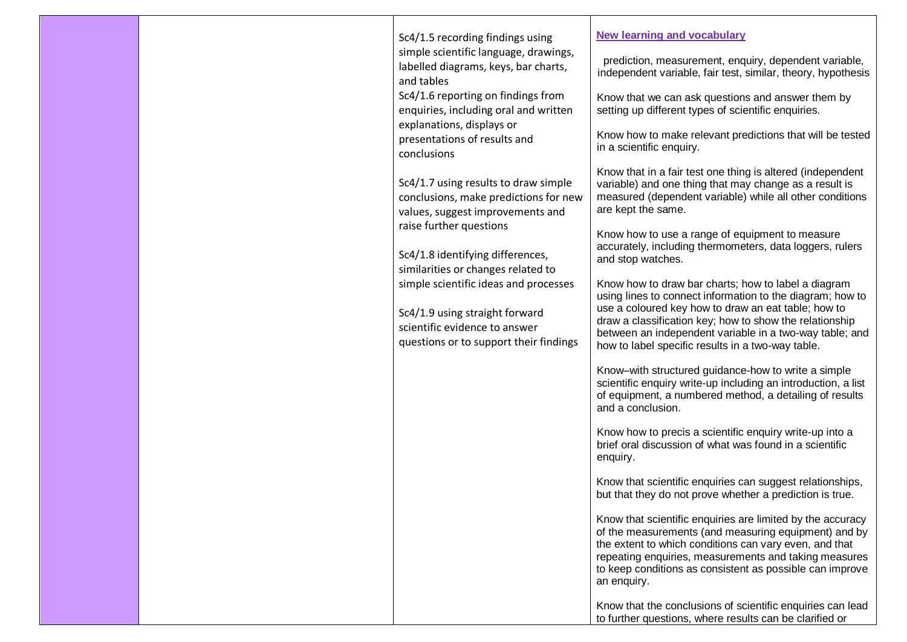|  | Sc4/1.5 recording findings using<br>simple scientific language, drawings,<br>labelled diagrams, keys, bar charts,<br>and tables<br>Sc4/1.6 reporting on findings from<br>enquiries, including oral and written<br>explanations, displays or<br>presentations of results and<br>conclusions<br>Sc4/1.7 using results to draw simple<br>conclusions, make predictions for new<br>values, suggest improvements and<br>raise further questions<br>Sc4/1.8 identifying differences,<br>similarities or changes related to<br>simple scientific ideas and processes<br>Sc4/1.9 using straight forward<br>scientific evidence to answer<br>questions or to support their findings | <b>New learning and vocabulary</b><br>prediction, measurement, enquiry, dependent variable,<br>independent variable, fair test, similar, theory, hypothesis<br>Know that we can ask questions and answer them by<br>setting up different types of scientific enquiries.<br>Know how to make relevant predictions that will be tested<br>in a scientific enquiry.<br>Know that in a fair test one thing is altered (independent<br>variable) and one thing that may change as a result is<br>measured (dependent variable) while all other conditions<br>are kept the same.<br>Know how to use a range of equipment to measure<br>accurately, including thermometers, data loggers, rulers<br>and stop watches.<br>Know how to draw bar charts; how to label a diagram<br>using lines to connect information to the diagram; how to<br>use a coloured key how to draw an eat table; how to<br>draw a classification key; how to show the relationship<br>between an independent variable in a two-way table; and<br>how to label specific results in a two-way table.<br>Know-with structured guidance-how to write a simple<br>scientific enquiry write-up including an introduction, a list<br>of equipment, a numbered method, a detailing of results<br>and a conclusion.<br>Know how to precis a scientific enquiry write-up into a<br>brief oral discussion of what was found in a scientific<br>enquiry.<br>Know that scientific enquiries can suggest relationships,<br>but that they do not prove whether a prediction is true.<br>Know that scientific enquiries are limited by the accuracy<br>of the measurements (and measuring equipment) and by<br>the extent to which conditions can vary even, and that<br>repeating enquiries, measurements and taking measures<br>to keep conditions as consistent as possible can improve<br>an enquiry.<br>Know that the conclusions of scientific enquiries can lead |
|--|----------------------------------------------------------------------------------------------------------------------------------------------------------------------------------------------------------------------------------------------------------------------------------------------------------------------------------------------------------------------------------------------------------------------------------------------------------------------------------------------------------------------------------------------------------------------------------------------------------------------------------------------------------------------------|---------------------------------------------------------------------------------------------------------------------------------------------------------------------------------------------------------------------------------------------------------------------------------------------------------------------------------------------------------------------------------------------------------------------------------------------------------------------------------------------------------------------------------------------------------------------------------------------------------------------------------------------------------------------------------------------------------------------------------------------------------------------------------------------------------------------------------------------------------------------------------------------------------------------------------------------------------------------------------------------------------------------------------------------------------------------------------------------------------------------------------------------------------------------------------------------------------------------------------------------------------------------------------------------------------------------------------------------------------------------------------------------------------------------------------------------------------------------------------------------------------------------------------------------------------------------------------------------------------------------------------------------------------------------------------------------------------------------------------------------------------------------------------------------------------------------------------------------------------------------------------------------------------------------------|
|  |                                                                                                                                                                                                                                                                                                                                                                                                                                                                                                                                                                                                                                                                            | to further questions, where results can be clarified or                                                                                                                                                                                                                                                                                                                                                                                                                                                                                                                                                                                                                                                                                                                                                                                                                                                                                                                                                                                                                                                                                                                                                                                                                                                                                                                                                                                                                                                                                                                                                                                                                                                                                                                                                                                                                                                                   |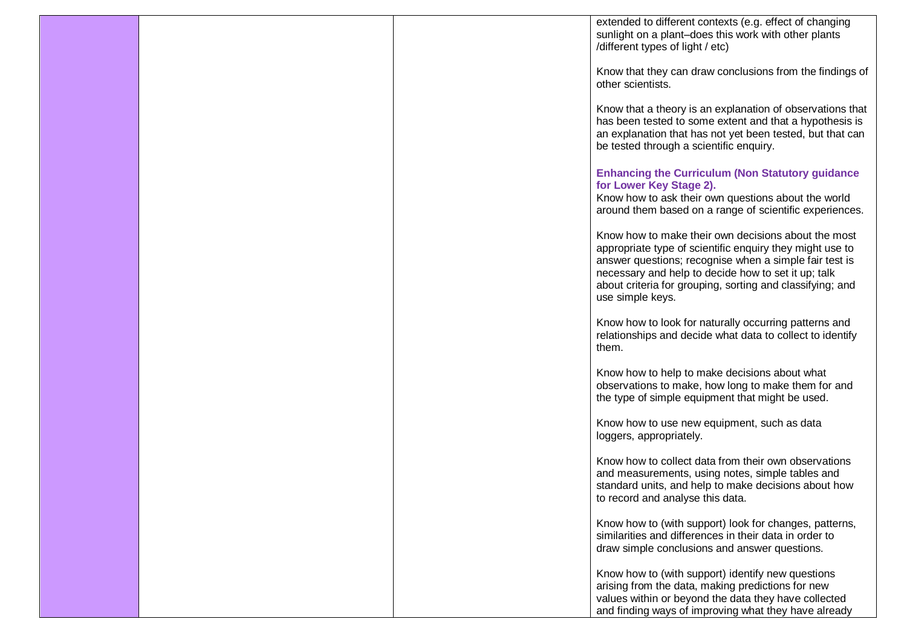|  | extended to different contexts (e.g. effect of changing                                                            |
|--|--------------------------------------------------------------------------------------------------------------------|
|  | sunlight on a plant-does this work with other plants                                                               |
|  | /different types of light / etc)                                                                                   |
|  |                                                                                                                    |
|  | Know that they can draw conclusions from the findings of                                                           |
|  | other scientists.                                                                                                  |
|  | Know that a theory is an explanation of observations that                                                          |
|  | has been tested to some extent and that a hypothesis is                                                            |
|  | an explanation that has not yet been tested, but that can                                                          |
|  | be tested through a scientific enquiry.                                                                            |
|  |                                                                                                                    |
|  | <b>Enhancing the Curriculum (Non Statutory guidance</b>                                                            |
|  | for Lower Key Stage 2).                                                                                            |
|  | Know how to ask their own questions about the world                                                                |
|  | around them based on a range of scientific experiences.                                                            |
|  |                                                                                                                    |
|  | Know how to make their own decisions about the most                                                                |
|  | appropriate type of scientific enquiry they might use to<br>answer questions; recognise when a simple fair test is |
|  | necessary and help to decide how to set it up; talk                                                                |
|  | about criteria for grouping, sorting and classifying; and                                                          |
|  | use simple keys.                                                                                                   |
|  |                                                                                                                    |
|  | Know how to look for naturally occurring patterns and                                                              |
|  | relationships and decide what data to collect to identify                                                          |
|  | them.                                                                                                              |
|  | Know how to help to make decisions about what                                                                      |
|  | observations to make, how long to make them for and                                                                |
|  | the type of simple equipment that might be used.                                                                   |
|  |                                                                                                                    |
|  | Know how to use new equipment, such as data                                                                        |
|  | loggers, appropriately.                                                                                            |
|  |                                                                                                                    |
|  | Know how to collect data from their own observations                                                               |
|  | and measurements, using notes, simple tables and                                                                   |
|  | standard units, and help to make decisions about how<br>to record and analyse this data.                           |
|  |                                                                                                                    |
|  | Know how to (with support) look for changes, patterns,                                                             |
|  | similarities and differences in their data in order to                                                             |
|  | draw simple conclusions and answer questions.                                                                      |
|  |                                                                                                                    |
|  | Know how to (with support) identify new questions                                                                  |
|  | arising from the data, making predictions for new                                                                  |
|  | values within or beyond the data they have collected                                                               |
|  | and finding ways of improving what they have already                                                               |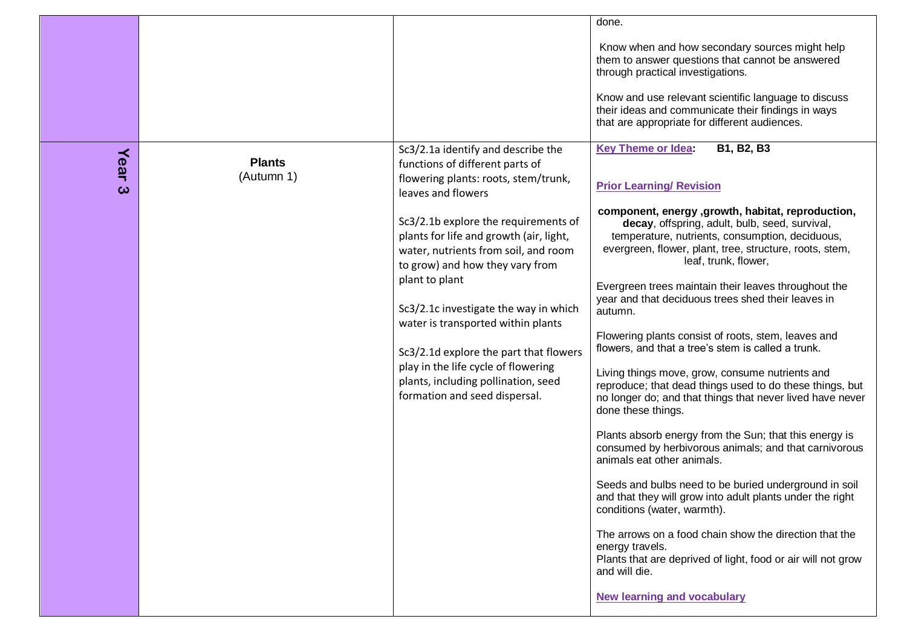|                               |                             |                                                                                                                                                                                                                                                                                                                                                                                                                                                                                                                                                             | done.<br>Know when and how secondary sources might help<br>them to answer questions that cannot be answered<br>through practical investigations.<br>Know and use relevant scientific language to discuss<br>their ideas and communicate their findings in ways<br>that are appropriate for different audiences.                                                                                                                                                                                                                                                                                                                                                                                                                                                                                                                                                                                                                                                                                                                                                                                                                                                                                                                                                            |
|-------------------------------|-----------------------------|-------------------------------------------------------------------------------------------------------------------------------------------------------------------------------------------------------------------------------------------------------------------------------------------------------------------------------------------------------------------------------------------------------------------------------------------------------------------------------------------------------------------------------------------------------------|----------------------------------------------------------------------------------------------------------------------------------------------------------------------------------------------------------------------------------------------------------------------------------------------------------------------------------------------------------------------------------------------------------------------------------------------------------------------------------------------------------------------------------------------------------------------------------------------------------------------------------------------------------------------------------------------------------------------------------------------------------------------------------------------------------------------------------------------------------------------------------------------------------------------------------------------------------------------------------------------------------------------------------------------------------------------------------------------------------------------------------------------------------------------------------------------------------------------------------------------------------------------------|
| Year<br>$\boldsymbol{\omega}$ | <b>Plants</b><br>(Autumn 1) | Sc3/2.1a identify and describe the<br>functions of different parts of<br>flowering plants: roots, stem/trunk,<br>leaves and flowers<br>Sc3/2.1b explore the requirements of<br>plants for life and growth (air, light,<br>water, nutrients from soil, and room<br>to grow) and how they vary from<br>plant to plant<br>Sc3/2.1c investigate the way in which<br>water is transported within plants<br>Sc3/2.1d explore the part that flowers<br>play in the life cycle of flowering<br>plants, including pollination, seed<br>formation and seed dispersal. | <b>Key Theme or Idea:</b><br>B1, B2, B3<br><b>Prior Learning/ Revision</b><br>component, energy , growth, habitat, reproduction,<br>decay, offspring, adult, bulb, seed, survival,<br>temperature, nutrients, consumption, deciduous,<br>evergreen, flower, plant, tree, structure, roots, stem,<br>leaf, trunk, flower,<br>Evergreen trees maintain their leaves throughout the<br>year and that deciduous trees shed their leaves in<br>autumn.<br>Flowering plants consist of roots, stem, leaves and<br>flowers, and that a tree's stem is called a trunk.<br>Living things move, grow, consume nutrients and<br>reproduce; that dead things used to do these things, but<br>no longer do; and that things that never lived have never<br>done these things.<br>Plants absorb energy from the Sun; that this energy is<br>consumed by herbivorous animals; and that carnivorous<br>animals eat other animals.<br>Seeds and bulbs need to be buried underground in soil<br>and that they will grow into adult plants under the right<br>conditions (water, warmth).<br>The arrows on a food chain show the direction that the<br>energy travels.<br>Plants that are deprived of light, food or air will not grow<br>and will die.<br><b>New learning and vocabulary</b> |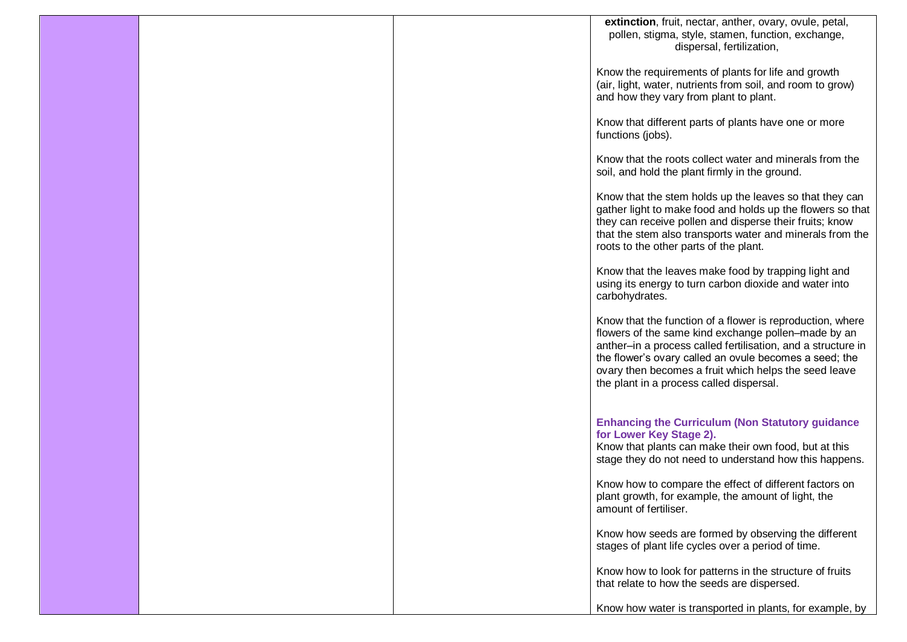|  | extinction, fruit, nectar, anther, ovary, ovule, petal,<br>pollen, stigma, style, stamen, function, exchange,<br>dispersal, fertilization,                                                                                                                                                                                                      |
|--|-------------------------------------------------------------------------------------------------------------------------------------------------------------------------------------------------------------------------------------------------------------------------------------------------------------------------------------------------|
|  | Know the requirements of plants for life and growth<br>(air, light, water, nutrients from soil, and room to grow)<br>and how they vary from plant to plant.                                                                                                                                                                                     |
|  | Know that different parts of plants have one or more<br>functions (jobs).                                                                                                                                                                                                                                                                       |
|  | Know that the roots collect water and minerals from the<br>soil, and hold the plant firmly in the ground.                                                                                                                                                                                                                                       |
|  | Know that the stem holds up the leaves so that they can<br>gather light to make food and holds up the flowers so that<br>they can receive pollen and disperse their fruits; know<br>that the stem also transports water and minerals from the<br>roots to the other parts of the plant.                                                         |
|  | Know that the leaves make food by trapping light and<br>using its energy to turn carbon dioxide and water into<br>carbohydrates.                                                                                                                                                                                                                |
|  | Know that the function of a flower is reproduction, where<br>flowers of the same kind exchange pollen-made by an<br>anther-in a process called fertilisation, and a structure in<br>the flower's ovary called an ovule becomes a seed; the<br>ovary then becomes a fruit which helps the seed leave<br>the plant in a process called dispersal. |
|  | <b>Enhancing the Curriculum (Non Statutory guidance</b><br>for Lower Key Stage 2).<br>Know that plants can make their own food, but at this<br>stage they do not need to understand how this happens.                                                                                                                                           |
|  | Know how to compare the effect of different factors on<br>plant growth, for example, the amount of light, the<br>amount of fertiliser.                                                                                                                                                                                                          |
|  | Know how seeds are formed by observing the different<br>stages of plant life cycles over a period of time.                                                                                                                                                                                                                                      |
|  | Know how to look for patterns in the structure of fruits<br>that relate to how the seeds are dispersed.                                                                                                                                                                                                                                         |
|  | Know how water is transported in plants, for example, by                                                                                                                                                                                                                                                                                        |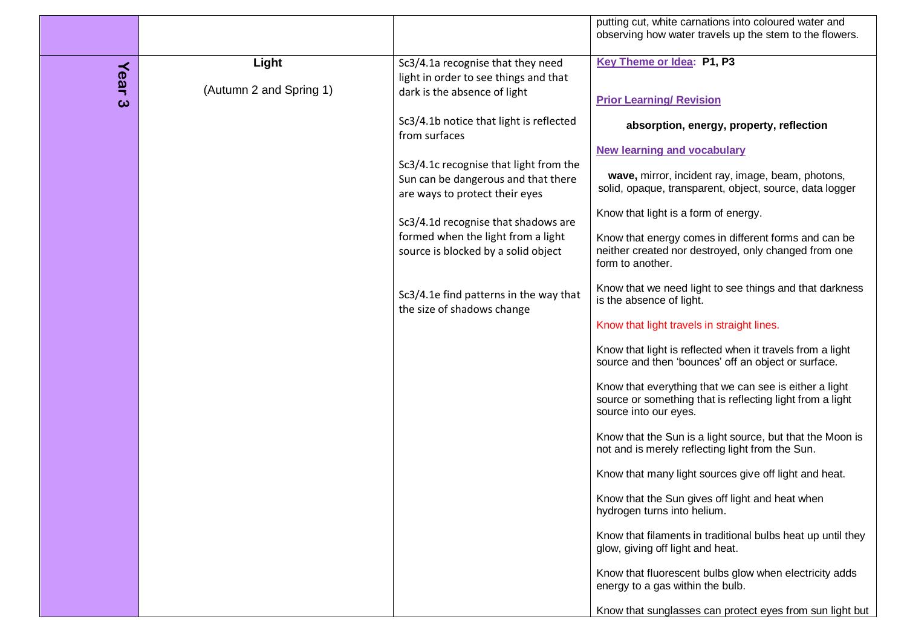|      |                         |                                                                            | putting cut, white carnations into coloured water and<br>observing how water travels up the stem to the flowers.                             |
|------|-------------------------|----------------------------------------------------------------------------|----------------------------------------------------------------------------------------------------------------------------------------------|
| Year | Light                   | Sc3/4.1a recognise that they need<br>light in order to see things and that | Key Theme or Idea: P1, P3                                                                                                                    |
| ယ    | (Autumn 2 and Spring 1) | dark is the absence of light                                               | <b>Prior Learning/ Revision</b>                                                                                                              |
|      |                         | Sc3/4.1b notice that light is reflected<br>from surfaces                   | absorption, energy, property, reflection                                                                                                     |
|      |                         | Sc3/4.1c recognise that light from the                                     | <b>New learning and vocabulary</b>                                                                                                           |
|      |                         | Sun can be dangerous and that there<br>are ways to protect their eyes      | wave, mirror, incident ray, image, beam, photons,<br>solid, opaque, transparent, object, source, data logger                                 |
|      |                         | Sc3/4.1d recognise that shadows are                                        | Know that light is a form of energy.                                                                                                         |
|      |                         | formed when the light from a light<br>source is blocked by a solid object  | Know that energy comes in different forms and can be<br>neither created nor destroyed, only changed from one<br>form to another.             |
|      |                         | Sc3/4.1e find patterns in the way that<br>the size of shadows change       | Know that we need light to see things and that darkness<br>is the absence of light.                                                          |
|      |                         |                                                                            | Know that light travels in straight lines.                                                                                                   |
|      |                         |                                                                            | Know that light is reflected when it travels from a light<br>source and then 'bounces' off an object or surface.                             |
|      |                         |                                                                            | Know that everything that we can see is either a light<br>source or something that is reflecting light from a light<br>source into our eyes. |
|      |                         |                                                                            | Know that the Sun is a light source, but that the Moon is<br>not and is merely reflecting light from the Sun.                                |
|      |                         |                                                                            | Know that many light sources give off light and heat.                                                                                        |
|      |                         |                                                                            | Know that the Sun gives off light and heat when<br>hydrogen turns into helium.                                                               |
|      |                         |                                                                            | Know that filaments in traditional bulbs heat up until they<br>glow, giving off light and heat.                                              |
|      |                         |                                                                            | Know that fluorescent bulbs glow when electricity adds<br>energy to a gas within the bulb.                                                   |
|      |                         |                                                                            | Know that sunglasses can protect eyes from sun light but                                                                                     |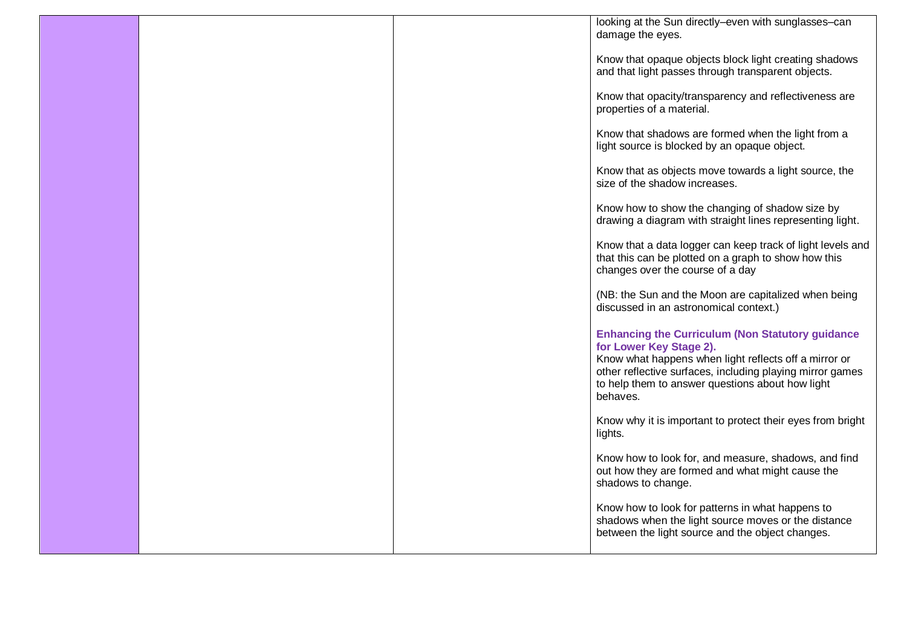|  | looking at the Sun directly-even with sunglasses-can<br>damage the eyes.                                                                                                                                                                                                 |
|--|--------------------------------------------------------------------------------------------------------------------------------------------------------------------------------------------------------------------------------------------------------------------------|
|  | Know that opaque objects block light creating shadows<br>and that light passes through transparent objects.                                                                                                                                                              |
|  | Know that opacity/transparency and reflectiveness are<br>properties of a material.                                                                                                                                                                                       |
|  | Know that shadows are formed when the light from a<br>light source is blocked by an opaque object.                                                                                                                                                                       |
|  | Know that as objects move towards a light source, the<br>size of the shadow increases.                                                                                                                                                                                   |
|  | Know how to show the changing of shadow size by<br>drawing a diagram with straight lines representing light.                                                                                                                                                             |
|  | Know that a data logger can keep track of light levels and<br>that this can be plotted on a graph to show how this<br>changes over the course of a day                                                                                                                   |
|  | (NB: the Sun and the Moon are capitalized when being<br>discussed in an astronomical context.)                                                                                                                                                                           |
|  | <b>Enhancing the Curriculum (Non Statutory guidance</b><br>for Lower Key Stage 2).<br>Know what happens when light reflects off a mirror or<br>other reflective surfaces, including playing mirror games<br>to help them to answer questions about how light<br>behaves. |
|  | Know why it is important to protect their eyes from bright<br>lights.                                                                                                                                                                                                    |
|  | Know how to look for, and measure, shadows, and find<br>out how they are formed and what might cause the<br>shadows to change.                                                                                                                                           |
|  | Know how to look for patterns in what happens to<br>shadows when the light source moves or the distance<br>between the light source and the object changes.                                                                                                              |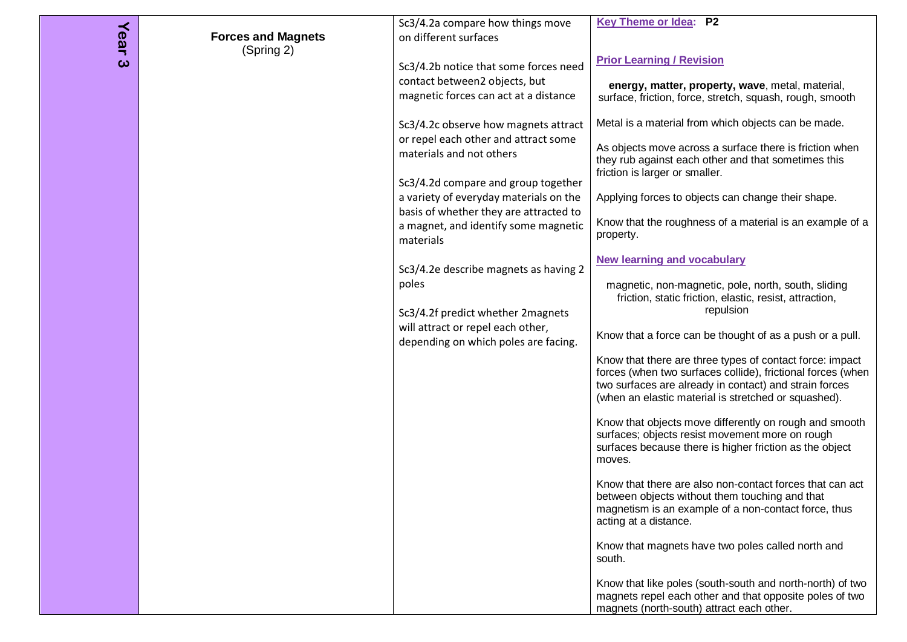| Year | <b>Forces and Magnets</b> | Sc3/4.2a compare how things move<br>on different surfaces                                                      | <b>Key Theme or Idea: P2</b>                                                                                                                                                                                                              |
|------|---------------------------|----------------------------------------------------------------------------------------------------------------|-------------------------------------------------------------------------------------------------------------------------------------------------------------------------------------------------------------------------------------------|
| ω    | (Spring 2)                | Sc3/4.2b notice that some forces need<br>contact between2 objects, but                                         | <b>Prior Learning / Revision</b><br>energy, matter, property, wave, metal, material,                                                                                                                                                      |
|      |                           | magnetic forces can act at a distance                                                                          | surface, friction, force, stretch, squash, rough, smooth                                                                                                                                                                                  |
|      |                           | Sc3/4.2c observe how magnets attract<br>or repel each other and attract some                                   | Metal is a material from which objects can be made.<br>As objects move across a surface there is friction when                                                                                                                            |
|      |                           | materials and not others                                                                                       | they rub against each other and that sometimes this<br>friction is larger or smaller.                                                                                                                                                     |
|      |                           | Sc3/4.2d compare and group together<br>a variety of everyday materials on the                                  | Applying forces to objects can change their shape.                                                                                                                                                                                        |
|      |                           | basis of whether they are attracted to<br>a magnet, and identify some magnetic<br>materials                    | Know that the roughness of a material is an example of a<br>property.                                                                                                                                                                     |
|      |                           | Sc3/4.2e describe magnets as having 2                                                                          | <b>New learning and vocabulary</b>                                                                                                                                                                                                        |
|      |                           | poles                                                                                                          | magnetic, non-magnetic, pole, north, south, sliding<br>friction, static friction, elastic, resist, attraction,<br>repulsion                                                                                                               |
|      |                           | Sc3/4.2f predict whether 2magnets<br>will attract or repel each other,<br>depending on which poles are facing. | Know that a force can be thought of as a push or a pull.                                                                                                                                                                                  |
|      |                           |                                                                                                                | Know that there are three types of contact force: impact<br>forces (when two surfaces collide), frictional forces (when<br>two surfaces are already in contact) and strain forces<br>(when an elastic material is stretched or squashed). |
|      |                           |                                                                                                                | Know that objects move differently on rough and smooth<br>surfaces; objects resist movement more on rough<br>surfaces because there is higher friction as the object<br>moves.                                                            |
|      |                           |                                                                                                                | Know that there are also non-contact forces that can act<br>between objects without them touching and that<br>magnetism is an example of a non-contact force, thus<br>acting at a distance.                                               |
|      |                           |                                                                                                                | Know that magnets have two poles called north and<br>south.                                                                                                                                                                               |
|      |                           |                                                                                                                | Know that like poles (south-south and north-north) of two<br>magnets repel each other and that opposite poles of two<br>magnets (north-south) attract each other.                                                                         |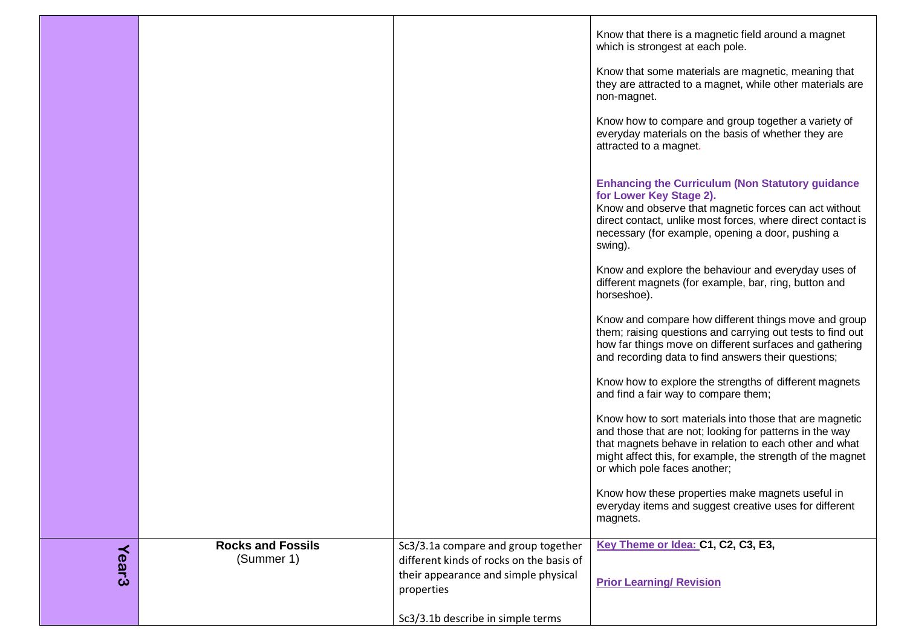|              |                                        |                                                                                 | Know that there is a magnetic field around a magnet<br>which is strongest at each pole.                                                                                                                                                                                    |
|--------------|----------------------------------------|---------------------------------------------------------------------------------|----------------------------------------------------------------------------------------------------------------------------------------------------------------------------------------------------------------------------------------------------------------------------|
|              |                                        |                                                                                 | Know that some materials are magnetic, meaning that<br>they are attracted to a magnet, while other materials are<br>non-magnet.                                                                                                                                            |
|              |                                        |                                                                                 | Know how to compare and group together a variety of<br>everyday materials on the basis of whether they are<br>attracted to a magnet.                                                                                                                                       |
|              |                                        |                                                                                 | <b>Enhancing the Curriculum (Non Statutory guidance</b><br>for Lower Key Stage 2).<br>Know and observe that magnetic forces can act without<br>direct contact, unlike most forces, where direct contact is<br>necessary (for example, opening a door, pushing a<br>swing). |
|              |                                        |                                                                                 | Know and explore the behaviour and everyday uses of<br>different magnets (for example, bar, ring, button and<br>horseshoe).                                                                                                                                                |
|              |                                        |                                                                                 | Know and compare how different things move and group<br>them; raising questions and carrying out tests to find out<br>how far things move on different surfaces and gathering<br>and recording data to find answers their questions;                                       |
|              |                                        |                                                                                 | Know how to explore the strengths of different magnets<br>and find a fair way to compare them;                                                                                                                                                                             |
|              |                                        |                                                                                 | Know how to sort materials into those that are magnetic<br>and those that are not; looking for patterns in the way<br>that magnets behave in relation to each other and what<br>might affect this, for example, the strength of the magnet<br>or which pole faces another; |
|              |                                        |                                                                                 | Know how these properties make magnets useful in<br>everyday items and suggest creative uses for different<br>magnets.                                                                                                                                                     |
|              | <b>Rocks and Fossils</b><br>(Summer 1) | Sc3/3.1a compare and group together<br>different kinds of rocks on the basis of | Key Theme or Idea: C1, C2, C3, E3,                                                                                                                                                                                                                                         |
| <b>Year3</b> |                                        | their appearance and simple physical<br>properties                              | <b>Prior Learning/ Revision</b>                                                                                                                                                                                                                                            |
|              |                                        | Sc3/3.1b describe in simple terms                                               |                                                                                                                                                                                                                                                                            |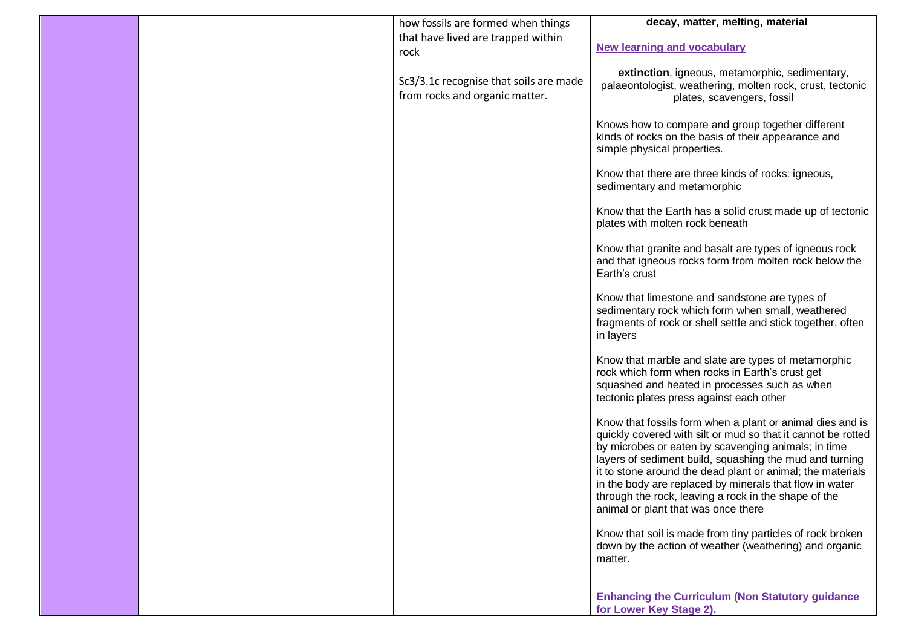|  | how fossils are formed when things                                       | decay, matter, melting, material                                                                                                                                                                                                                                                                                                                                                                                                                                    |
|--|--------------------------------------------------------------------------|---------------------------------------------------------------------------------------------------------------------------------------------------------------------------------------------------------------------------------------------------------------------------------------------------------------------------------------------------------------------------------------------------------------------------------------------------------------------|
|  | that have lived are trapped within                                       |                                                                                                                                                                                                                                                                                                                                                                                                                                                                     |
|  | rock                                                                     | <b>New learning and vocabulary</b>                                                                                                                                                                                                                                                                                                                                                                                                                                  |
|  | Sc3/3.1c recognise that soils are made<br>from rocks and organic matter. | extinction, igneous, metamorphic, sedimentary,<br>palaeontologist, weathering, molten rock, crust, tectonic<br>plates, scavengers, fossil                                                                                                                                                                                                                                                                                                                           |
|  |                                                                          | Knows how to compare and group together different<br>kinds of rocks on the basis of their appearance and<br>simple physical properties.                                                                                                                                                                                                                                                                                                                             |
|  |                                                                          | Know that there are three kinds of rocks: igneous,<br>sedimentary and metamorphic                                                                                                                                                                                                                                                                                                                                                                                   |
|  |                                                                          | Know that the Earth has a solid crust made up of tectonic<br>plates with molten rock beneath                                                                                                                                                                                                                                                                                                                                                                        |
|  |                                                                          | Know that granite and basalt are types of igneous rock<br>and that igneous rocks form from molten rock below the<br>Earth's crust                                                                                                                                                                                                                                                                                                                                   |
|  |                                                                          | Know that limestone and sandstone are types of<br>sedimentary rock which form when small, weathered<br>fragments of rock or shell settle and stick together, often<br>in layers                                                                                                                                                                                                                                                                                     |
|  |                                                                          | Know that marble and slate are types of metamorphic<br>rock which form when rocks in Earth's crust get<br>squashed and heated in processes such as when<br>tectonic plates press against each other                                                                                                                                                                                                                                                                 |
|  |                                                                          | Know that fossils form when a plant or animal dies and is<br>quickly covered with silt or mud so that it cannot be rotted<br>by microbes or eaten by scavenging animals; in time<br>layers of sediment build, squashing the mud and turning<br>it to stone around the dead plant or animal; the materials<br>in the body are replaced by minerals that flow in water<br>through the rock, leaving a rock in the shape of the<br>animal or plant that was once there |
|  |                                                                          | Know that soil is made from tiny particles of rock broken<br>down by the action of weather (weathering) and organic<br>matter.                                                                                                                                                                                                                                                                                                                                      |
|  |                                                                          | <b>Enhancing the Curriculum (Non Statutory guidance</b><br>for Lower Key Stage 2).                                                                                                                                                                                                                                                                                                                                                                                  |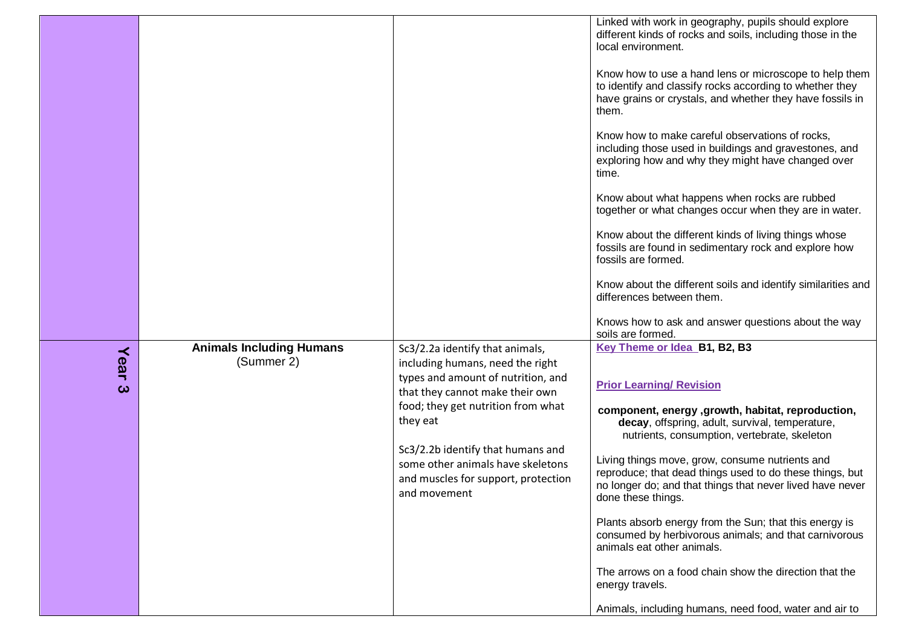|           |                                               |                                                                                                                                                                                                                                                                                                                                 | Linked with work in geography, pupils should explore<br>different kinds of rocks and soils, including those in the<br>local environment.<br>Know how to use a hand lens or microscope to help them<br>to identify and classify rocks according to whether they<br>have grains or crystals, and whether they have fossils in<br>them.<br>Know how to make careful observations of rocks,<br>including those used in buildings and gravestones, and<br>exploring how and why they might have changed over<br>time.<br>Know about what happens when rocks are rubbed<br>together or what changes occur when they are in water.<br>Know about the different kinds of living things whose<br>fossils are found in sedimentary rock and explore how<br>fossils are formed.<br>Know about the different soils and identify similarities and<br>differences between them.<br>Knows how to ask and answer questions about the way |
|-----------|-----------------------------------------------|---------------------------------------------------------------------------------------------------------------------------------------------------------------------------------------------------------------------------------------------------------------------------------------------------------------------------------|--------------------------------------------------------------------------------------------------------------------------------------------------------------------------------------------------------------------------------------------------------------------------------------------------------------------------------------------------------------------------------------------------------------------------------------------------------------------------------------------------------------------------------------------------------------------------------------------------------------------------------------------------------------------------------------------------------------------------------------------------------------------------------------------------------------------------------------------------------------------------------------------------------------------------|
| Year<br>ω | <b>Animals Including Humans</b><br>(Summer 2) | Sc3/2.2a identify that animals,<br>including humans, need the right<br>types and amount of nutrition, and<br>that they cannot make their own<br>food; they get nutrition from what<br>they eat<br>Sc3/2.2b identify that humans and<br>some other animals have skeletons<br>and muscles for support, protection<br>and movement | soils are formed.<br>Key Theme or Idea B1, B2, B3<br><b>Prior Learning/ Revision</b><br>component, energy , growth, habitat, reproduction,<br>decay, offspring, adult, survival, temperature,<br>nutrients, consumption, vertebrate, skeleton<br>Living things move, grow, consume nutrients and<br>reproduce; that dead things used to do these things, but<br>no longer do; and that things that never lived have never<br>done these things.<br>Plants absorb energy from the Sun; that this energy is<br>consumed by herbivorous animals; and that carnivorous<br>animals eat other animals.<br>The arrows on a food chain show the direction that the<br>energy travels.<br>Animals, including humans, need food, water and air to                                                                                                                                                                                  |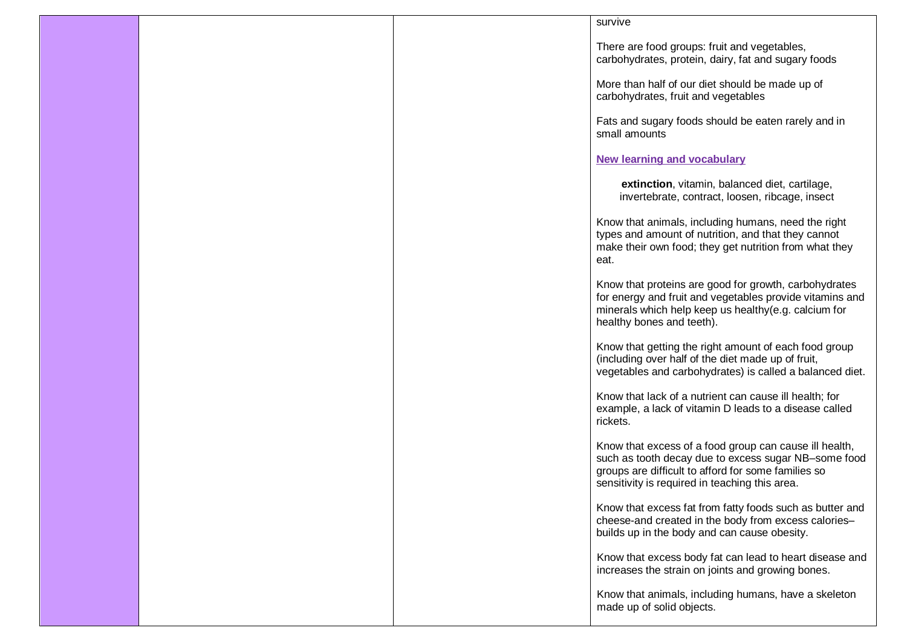|  | survive                                                                                                                                                                                                                 |
|--|-------------------------------------------------------------------------------------------------------------------------------------------------------------------------------------------------------------------------|
|  | There are food groups: fruit and vegetables,<br>carbohydrates, protein, dairy, fat and sugary foods                                                                                                                     |
|  | More than half of our diet should be made up of<br>carbohydrates, fruit and vegetables                                                                                                                                  |
|  | Fats and sugary foods should be eaten rarely and in<br>small amounts                                                                                                                                                    |
|  | <b>New learning and vocabulary</b>                                                                                                                                                                                      |
|  | extinction, vitamin, balanced diet, cartilage,<br>invertebrate, contract, loosen, ribcage, insect                                                                                                                       |
|  | Know that animals, including humans, need the right<br>types and amount of nutrition, and that they cannot<br>make their own food; they get nutrition from what they<br>eat.                                            |
|  | Know that proteins are good for growth, carbohydrates<br>for energy and fruit and vegetables provide vitamins and<br>minerals which help keep us healthy(e.g. calcium for<br>healthy bones and teeth).                  |
|  | Know that getting the right amount of each food group<br>(including over half of the diet made up of fruit,<br>vegetables and carbohydrates) is called a balanced diet.                                                 |
|  | Know that lack of a nutrient can cause ill health; for<br>example, a lack of vitamin D leads to a disease called<br>rickets.                                                                                            |
|  | Know that excess of a food group can cause ill health,<br>such as tooth decay due to excess sugar NB-some food<br>groups are difficult to afford for some families so<br>sensitivity is required in teaching this area. |
|  | Know that excess fat from fatty foods such as butter and<br>cheese-and created in the body from excess calories-<br>builds up in the body and can cause obesity.                                                        |
|  | Know that excess body fat can lead to heart disease and<br>increases the strain on joints and growing bones.                                                                                                            |
|  | Know that animals, including humans, have a skeleton<br>made up of solid objects.                                                                                                                                       |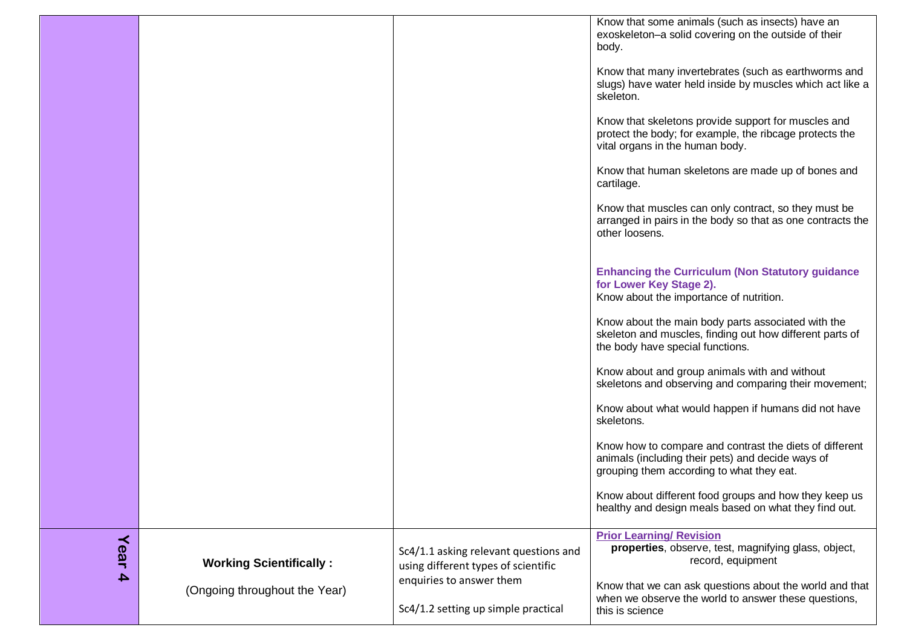|                          |                                                                 |                                                                                                                                                 | Know that some animals (such as insects) have an<br>exoskeleton-a solid covering on the outside of their<br>body.<br>Know that many invertebrates (such as earthworms and<br>slugs) have water held inside by muscles which act like a<br>skeleton.<br>Know that skeletons provide support for muscles and<br>protect the body; for example, the ribcage protects the<br>vital organs in the human body.<br>Know that human skeletons are made up of bones and<br>cartilage.<br>Know that muscles can only contract, so they must be<br>arranged in pairs in the body so that as one contracts the<br>other loosens.<br><b>Enhancing the Curriculum (Non Statutory guidance)</b><br>for Lower Key Stage 2).<br>Know about the importance of nutrition.<br>Know about the main body parts associated with the<br>skeleton and muscles, finding out how different parts of<br>the body have special functions.<br>Know about and group animals with and without<br>skeletons and observing and comparing their movement;<br>Know about what would happen if humans did not have<br>skeletons.<br>Know how to compare and contrast the diets of different<br>animals (including their pets) and decide ways of<br>grouping them according to what they eat.<br>Know about different food groups and how they keep us<br>healthy and design meals based on what they find out. |
|--------------------------|-----------------------------------------------------------------|-------------------------------------------------------------------------------------------------------------------------------------------------|----------------------------------------------------------------------------------------------------------------------------------------------------------------------------------------------------------------------------------------------------------------------------------------------------------------------------------------------------------------------------------------------------------------------------------------------------------------------------------------------------------------------------------------------------------------------------------------------------------------------------------------------------------------------------------------------------------------------------------------------------------------------------------------------------------------------------------------------------------------------------------------------------------------------------------------------------------------------------------------------------------------------------------------------------------------------------------------------------------------------------------------------------------------------------------------------------------------------------------------------------------------------------------------------------------------------------------------------------------------------------|
|                          |                                                                 |                                                                                                                                                 |                                                                                                                                                                                                                                                                                                                                                                                                                                                                                                                                                                                                                                                                                                                                                                                                                                                                                                                                                                                                                                                                                                                                                                                                                                                                                                                                                                            |
| Year<br>$\blacktriangle$ | <b>Working Scientifically:</b><br>(Ongoing throughout the Year) | Sc4/1.1 asking relevant questions and<br>using different types of scientific<br>enquiries to answer them<br>Sc4/1.2 setting up simple practical | <b>Prior Learning/ Revision</b><br>properties, observe, test, magnifying glass, object,<br>record, equipment<br>Know that we can ask questions about the world and that<br>when we observe the world to answer these questions,<br>this is science                                                                                                                                                                                                                                                                                                                                                                                                                                                                                                                                                                                                                                                                                                                                                                                                                                                                                                                                                                                                                                                                                                                         |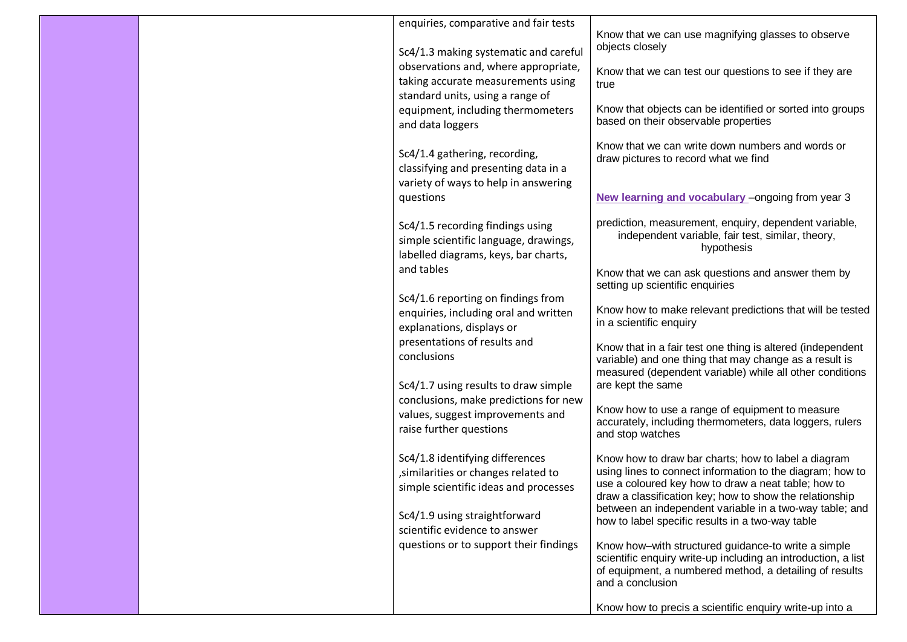| objects closely<br>Sc4/1.3 making systematic and careful<br>observations and, where appropriate, |  | taking accurate measurements using<br>standard units, using a range of<br>equipment, including thermometers<br>and data loggers<br>Sc4/1.4 gathering, recording,<br>classifying and presenting data in a<br>variety of ways to help in answering<br>questions<br>Sc4/1.5 recording findings using<br>simple scientific language, drawings,<br>labelled diagrams, keys, bar charts,<br>and tables<br>Sc4/1.6 reporting on findings from<br>enquiries, including oral and written<br>explanations, displays or<br>presentations of results and<br>conclusions<br>Sc4/1.7 using results to draw simple<br>conclusions, make predictions for new<br>values, suggest improvements and<br>raise further questions<br>Sc4/1.8 identifying differences<br>, similarities or changes related to<br>simple scientific ideas and processes<br>Sc4/1.9 using straightforward<br>scientific evidence to answer<br>questions or to support their findings | Know that we can use magnifying glasses to observe<br>Know that we can test our questions to see if they are<br>true<br>Know that objects can be identified or sorted into groups<br>based on their observable properties<br>Know that we can write down numbers and words or<br>draw pictures to record what we find<br>New learning and vocabulary - ongoing from year 3<br>prediction, measurement, enquiry, dependent variable,<br>independent variable, fair test, similar, theory,<br>hypothesis<br>Know that we can ask questions and answer them by<br>setting up scientific enquiries<br>Know how to make relevant predictions that will be tested<br>in a scientific enquiry<br>Know that in a fair test one thing is altered (independent<br>variable) and one thing that may change as a result is<br>measured (dependent variable) while all other conditions<br>are kept the same<br>Know how to use a range of equipment to measure<br>accurately, including thermometers, data loggers, rulers<br>and stop watches<br>Know how to draw bar charts; how to label a diagram<br>using lines to connect information to the diagram; how to<br>use a coloured key how to draw a neat table; how to<br>draw a classification key; how to show the relationship<br>between an independent variable in a two-way table; and<br>how to label specific results in a two-way table<br>Know how-with structured guidance-to write a simple<br>scientific enquiry write-up including an introduction, a list<br>of equipment, a numbered method, a detailing of results<br>and a conclusion<br>Know how to precis a scientific enquiry write-up into a |
|--------------------------------------------------------------------------------------------------|--|---------------------------------------------------------------------------------------------------------------------------------------------------------------------------------------------------------------------------------------------------------------------------------------------------------------------------------------------------------------------------------------------------------------------------------------------------------------------------------------------------------------------------------------------------------------------------------------------------------------------------------------------------------------------------------------------------------------------------------------------------------------------------------------------------------------------------------------------------------------------------------------------------------------------------------------------|-----------------------------------------------------------------------------------------------------------------------------------------------------------------------------------------------------------------------------------------------------------------------------------------------------------------------------------------------------------------------------------------------------------------------------------------------------------------------------------------------------------------------------------------------------------------------------------------------------------------------------------------------------------------------------------------------------------------------------------------------------------------------------------------------------------------------------------------------------------------------------------------------------------------------------------------------------------------------------------------------------------------------------------------------------------------------------------------------------------------------------------------------------------------------------------------------------------------------------------------------------------------------------------------------------------------------------------------------------------------------------------------------------------------------------------------------------------------------------------------------------------------------------------------------------------------------------------------------------------------------------------------------------------|
|                                                                                                  |  |                                                                                                                                                                                                                                                                                                                                                                                                                                                                                                                                                                                                                                                                                                                                                                                                                                                                                                                                             |                                                                                                                                                                                                                                                                                                                                                                                                                                                                                                                                                                                                                                                                                                                                                                                                                                                                                                                                                                                                                                                                                                                                                                                                                                                                                                                                                                                                                                                                                                                                                                                                                                                           |
|                                                                                                  |  |                                                                                                                                                                                                                                                                                                                                                                                                                                                                                                                                                                                                                                                                                                                                                                                                                                                                                                                                             |                                                                                                                                                                                                                                                                                                                                                                                                                                                                                                                                                                                                                                                                                                                                                                                                                                                                                                                                                                                                                                                                                                                                                                                                                                                                                                                                                                                                                                                                                                                                                                                                                                                           |
|                                                                                                  |  |                                                                                                                                                                                                                                                                                                                                                                                                                                                                                                                                                                                                                                                                                                                                                                                                                                                                                                                                             |                                                                                                                                                                                                                                                                                                                                                                                                                                                                                                                                                                                                                                                                                                                                                                                                                                                                                                                                                                                                                                                                                                                                                                                                                                                                                                                                                                                                                                                                                                                                                                                                                                                           |
|                                                                                                  |  |                                                                                                                                                                                                                                                                                                                                                                                                                                                                                                                                                                                                                                                                                                                                                                                                                                                                                                                                             |                                                                                                                                                                                                                                                                                                                                                                                                                                                                                                                                                                                                                                                                                                                                                                                                                                                                                                                                                                                                                                                                                                                                                                                                                                                                                                                                                                                                                                                                                                                                                                                                                                                           |
|                                                                                                  |  |                                                                                                                                                                                                                                                                                                                                                                                                                                                                                                                                                                                                                                                                                                                                                                                                                                                                                                                                             |                                                                                                                                                                                                                                                                                                                                                                                                                                                                                                                                                                                                                                                                                                                                                                                                                                                                                                                                                                                                                                                                                                                                                                                                                                                                                                                                                                                                                                                                                                                                                                                                                                                           |
|                                                                                                  |  |                                                                                                                                                                                                                                                                                                                                                                                                                                                                                                                                                                                                                                                                                                                                                                                                                                                                                                                                             |                                                                                                                                                                                                                                                                                                                                                                                                                                                                                                                                                                                                                                                                                                                                                                                                                                                                                                                                                                                                                                                                                                                                                                                                                                                                                                                                                                                                                                                                                                                                                                                                                                                           |
|                                                                                                  |  |                                                                                                                                                                                                                                                                                                                                                                                                                                                                                                                                                                                                                                                                                                                                                                                                                                                                                                                                             |                                                                                                                                                                                                                                                                                                                                                                                                                                                                                                                                                                                                                                                                                                                                                                                                                                                                                                                                                                                                                                                                                                                                                                                                                                                                                                                                                                                                                                                                                                                                                                                                                                                           |
|                                                                                                  |  |                                                                                                                                                                                                                                                                                                                                                                                                                                                                                                                                                                                                                                                                                                                                                                                                                                                                                                                                             |                                                                                                                                                                                                                                                                                                                                                                                                                                                                                                                                                                                                                                                                                                                                                                                                                                                                                                                                                                                                                                                                                                                                                                                                                                                                                                                                                                                                                                                                                                                                                                                                                                                           |
|                                                                                                  |  |                                                                                                                                                                                                                                                                                                                                                                                                                                                                                                                                                                                                                                                                                                                                                                                                                                                                                                                                             |                                                                                                                                                                                                                                                                                                                                                                                                                                                                                                                                                                                                                                                                                                                                                                                                                                                                                                                                                                                                                                                                                                                                                                                                                                                                                                                                                                                                                                                                                                                                                                                                                                                           |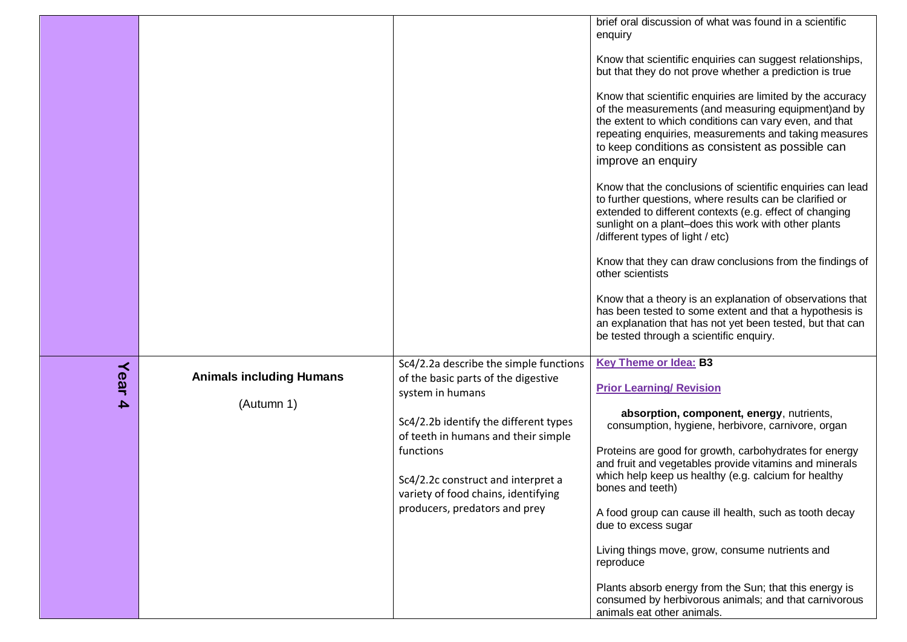|           |                                               |                                                                                                                                                                                                                                                                                                              | brief oral discussion of what was found in a scientific<br>enquiry<br>Know that scientific enquiries can suggest relationships,<br>but that they do not prove whether a prediction is true<br>Know that scientific enquiries are limited by the accuracy<br>of the measurements (and measuring equipment) and by<br>the extent to which conditions can vary even, and that<br>repeating enquiries, measurements and taking measures<br>to keep conditions as consistent as possible can<br>improve an enquiry<br>Know that the conclusions of scientific enquiries can lead<br>to further questions, where results can be clarified or<br>extended to different contexts (e.g. effect of changing<br>sunlight on a plant-does this work with other plants<br>/different types of light / etc)<br>Know that they can draw conclusions from the findings of<br>other scientists<br>Know that a theory is an explanation of observations that<br>has been tested to some extent and that a hypothesis is<br>an explanation that has not yet been tested, but that can<br>be tested through a scientific enquiry. |
|-----------|-----------------------------------------------|--------------------------------------------------------------------------------------------------------------------------------------------------------------------------------------------------------------------------------------------------------------------------------------------------------------|---------------------------------------------------------------------------------------------------------------------------------------------------------------------------------------------------------------------------------------------------------------------------------------------------------------------------------------------------------------------------------------------------------------------------------------------------------------------------------------------------------------------------------------------------------------------------------------------------------------------------------------------------------------------------------------------------------------------------------------------------------------------------------------------------------------------------------------------------------------------------------------------------------------------------------------------------------------------------------------------------------------------------------------------------------------------------------------------------------------|
| Year<br>4 | <b>Animals including Humans</b><br>(Autumn 1) | Sc4/2.2a describe the simple functions<br>of the basic parts of the digestive<br>system in humans<br>Sc4/2.2b identify the different types<br>of teeth in humans and their simple<br>functions<br>Sc4/2.2c construct and interpret a<br>variety of food chains, identifying<br>producers, predators and prey | <b>Key Theme or Idea: B3</b><br><b>Prior Learning/ Revision</b><br>absorption, component, energy, nutrients,<br>consumption, hygiene, herbivore, carnivore, organ<br>Proteins are good for growth, carbohydrates for energy<br>and fruit and vegetables provide vitamins and minerals<br>which help keep us healthy (e.g. calcium for healthy<br>bones and teeth)<br>A food group can cause ill health, such as tooth decay<br>due to excess sugar<br>Living things move, grow, consume nutrients and<br>reproduce<br>Plants absorb energy from the Sun; that this energy is<br>consumed by herbivorous animals; and that carnivorous<br>animals eat other animals.                                                                                                                                                                                                                                                                                                                                                                                                                                           |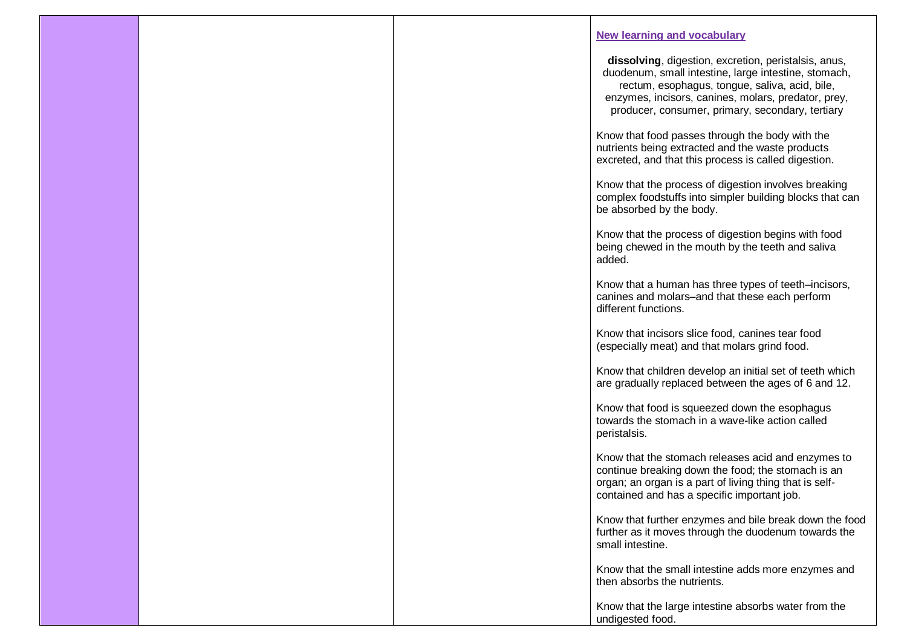|  | <b>New learning and vocabulary</b>                                                                                                                                                                                                                                        |
|--|---------------------------------------------------------------------------------------------------------------------------------------------------------------------------------------------------------------------------------------------------------------------------|
|  | dissolving, digestion, excretion, peristalsis, anus,<br>duodenum, small intestine, large intestine, stomach,<br>rectum, esophagus, tongue, saliva, acid, bile,<br>enzymes, incisors, canines, molars, predator, prey,<br>producer, consumer, primary, secondary, tertiary |
|  | Know that food passes through the body with the<br>nutrients being extracted and the waste products<br>excreted, and that this process is called digestion.                                                                                                               |
|  | Know that the process of digestion involves breaking<br>complex foodstuffs into simpler building blocks that can<br>be absorbed by the body.                                                                                                                              |
|  | Know that the process of digestion begins with food<br>being chewed in the mouth by the teeth and saliva<br>added.                                                                                                                                                        |
|  | Know that a human has three types of teeth-incisors,<br>canines and molars-and that these each perform<br>different functions.                                                                                                                                            |
|  | Know that incisors slice food, canines tear food<br>(especially meat) and that molars grind food.                                                                                                                                                                         |
|  | Know that children develop an initial set of teeth which<br>are gradually replaced between the ages of 6 and 12.                                                                                                                                                          |
|  | Know that food is squeezed down the esophagus<br>towards the stomach in a wave-like action called<br>peristalsis.                                                                                                                                                         |
|  | Know that the stomach releases acid and enzymes to<br>continue breaking down the food; the stomach is an<br>organ; an organ is a part of living thing that is self-<br>contained and has a specific important job.                                                        |
|  | Know that further enzymes and bile break down the food<br>further as it moves through the duodenum towards the<br>small intestine.                                                                                                                                        |
|  | Know that the small intestine adds more enzymes and<br>then absorbs the nutrients.                                                                                                                                                                                        |
|  | Know that the large intestine absorbs water from the<br>undigested food.                                                                                                                                                                                                  |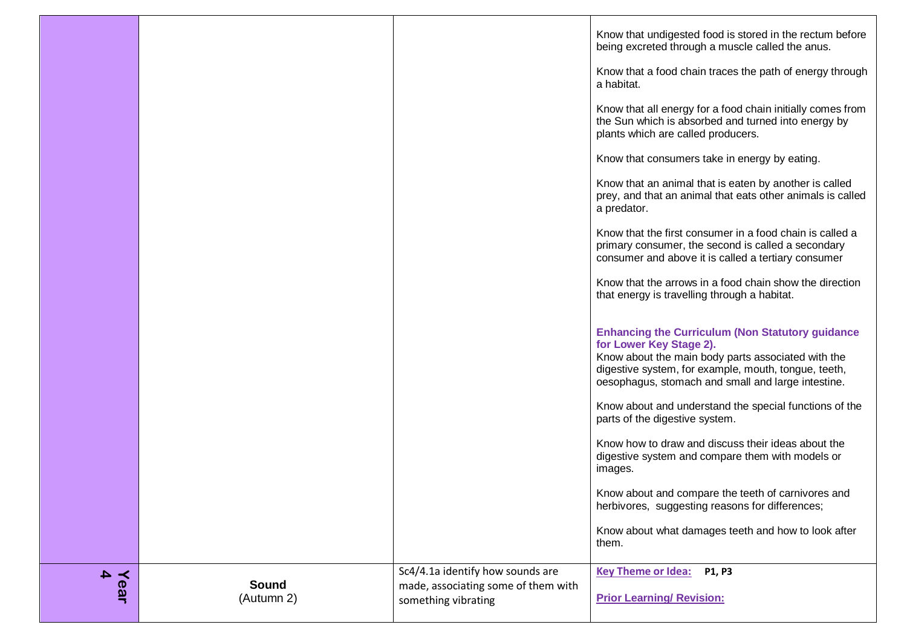|           |                            |                                                                         | Know that undigested food is stored in the rectum before<br>being excreted through a muscle called the anus.<br>Know that a food chain traces the path of energy through<br>a habitat.<br>Know that all energy for a food chain initially comes from<br>the Sun which is absorbed and turned into energy by<br>plants which are called producers.<br>Know that consumers take in energy by eating.<br>Know that an animal that is eaten by another is called<br>prey, and that an animal that eats other animals is called<br>a predator.<br>Know that the first consumer in a food chain is called a<br>primary consumer, the second is called a secondary<br>consumer and above it is called a tertiary consumer<br>Know that the arrows in a food chain show the direction<br>that energy is travelling through a habitat.<br><b>Enhancing the Curriculum (Non Statutory guidance</b><br>for Lower Key Stage 2).<br>Know about the main body parts associated with the<br>digestive system, for example, mouth, tongue, teeth,<br>oesophagus, stomach and small and large intestine.<br>Know about and understand the special functions of the<br>parts of the digestive system.<br>Know how to draw and discuss their ideas about the<br>digestive system and compare them with models or<br>images.<br>Know about and compare the teeth of carnivores and<br>herbivores, suggesting reasons for differences;<br>Know about what damages teeth and how to look after |
|-----------|----------------------------|-------------------------------------------------------------------------|--------------------------------------------------------------------------------------------------------------------------------------------------------------------------------------------------------------------------------------------------------------------------------------------------------------------------------------------------------------------------------------------------------------------------------------------------------------------------------------------------------------------------------------------------------------------------------------------------------------------------------------------------------------------------------------------------------------------------------------------------------------------------------------------------------------------------------------------------------------------------------------------------------------------------------------------------------------------------------------------------------------------------------------------------------------------------------------------------------------------------------------------------------------------------------------------------------------------------------------------------------------------------------------------------------------------------------------------------------------------------------------------------------------------------------------------------------------------------|
|           |                            |                                                                         | them.                                                                                                                                                                                                                                                                                                                                                                                                                                                                                                                                                                                                                                                                                                                                                                                                                                                                                                                                                                                                                                                                                                                                                                                                                                                                                                                                                                                                                                                                    |
| Year<br>4 | <b>Sound</b><br>(Autumn 2) | Sc4/4.1a identify how sounds are<br>made, associating some of them with | Key Theme or Idea: P1, P3<br><b>Prior Learning/ Revision:</b>                                                                                                                                                                                                                                                                                                                                                                                                                                                                                                                                                                                                                                                                                                                                                                                                                                                                                                                                                                                                                                                                                                                                                                                                                                                                                                                                                                                                            |
|           |                            | something vibrating                                                     |                                                                                                                                                                                                                                                                                                                                                                                                                                                                                                                                                                                                                                                                                                                                                                                                                                                                                                                                                                                                                                                                                                                                                                                                                                                                                                                                                                                                                                                                          |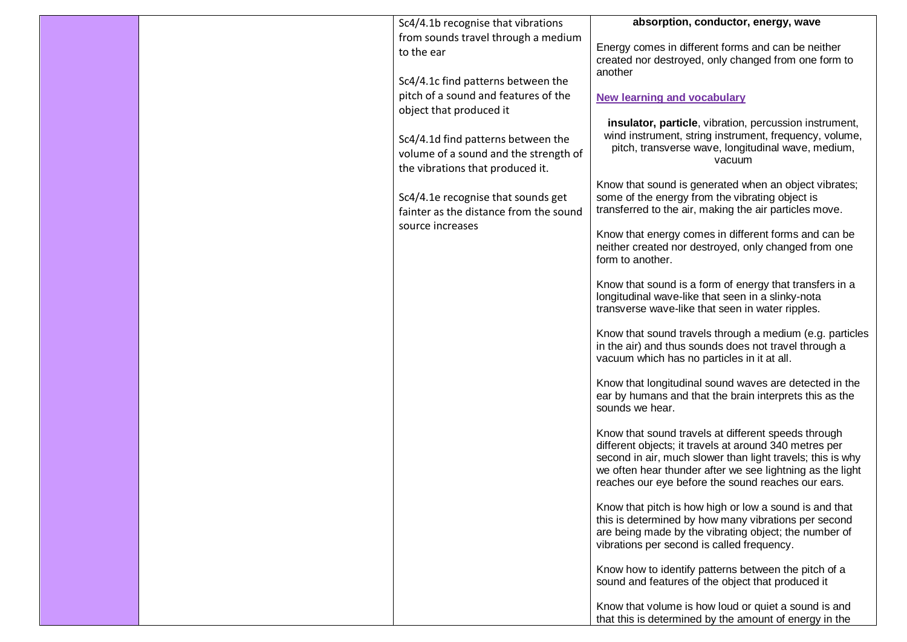|  | Sc4/4.1b recognise that vibrations                                                                              | absorption, conductor, energy, wave                                                                                                                                                                                                                                                            |
|--|-----------------------------------------------------------------------------------------------------------------|------------------------------------------------------------------------------------------------------------------------------------------------------------------------------------------------------------------------------------------------------------------------------------------------|
|  | from sounds travel through a medium                                                                             |                                                                                                                                                                                                                                                                                                |
|  | to the ear                                                                                                      | Energy comes in different forms and can be neither<br>created nor destroyed, only changed from one form to                                                                                                                                                                                     |
|  | Sc4/4.1c find patterns between the                                                                              | another                                                                                                                                                                                                                                                                                        |
|  | pitch of a sound and features of the                                                                            |                                                                                                                                                                                                                                                                                                |
|  | object that produced it                                                                                         | <b>New learning and vocabulary</b>                                                                                                                                                                                                                                                             |
|  | Sc4/4.1d find patterns between the<br>volume of a sound and the strength of<br>the vibrations that produced it. | insulator, particle, vibration, percussion instrument,<br>wind instrument, string instrument, frequency, volume,<br>pitch, transverse wave, longitudinal wave, medium,<br>vacuum                                                                                                               |
|  | Sc4/4.1e recognise that sounds get<br>fainter as the distance from the sound                                    | Know that sound is generated when an object vibrates;<br>some of the energy from the vibrating object is<br>transferred to the air, making the air particles move.                                                                                                                             |
|  | source increases                                                                                                | Know that energy comes in different forms and can be<br>neither created nor destroyed, only changed from one<br>form to another.                                                                                                                                                               |
|  |                                                                                                                 | Know that sound is a form of energy that transfers in a<br>longitudinal wave-like that seen in a slinky-nota<br>transverse wave-like that seen in water ripples.                                                                                                                               |
|  |                                                                                                                 | Know that sound travels through a medium (e.g. particles<br>in the air) and thus sounds does not travel through a<br>vacuum which has no particles in it at all.                                                                                                                               |
|  |                                                                                                                 | Know that longitudinal sound waves are detected in the<br>ear by humans and that the brain interprets this as the<br>sounds we hear.                                                                                                                                                           |
|  |                                                                                                                 | Know that sound travels at different speeds through<br>different objects; it travels at around 340 metres per<br>second in air, much slower than light travels; this is why<br>we often hear thunder after we see lightning as the light<br>reaches our eye before the sound reaches our ears. |
|  |                                                                                                                 | Know that pitch is how high or low a sound is and that<br>this is determined by how many vibrations per second<br>are being made by the vibrating object; the number of<br>vibrations per second is called frequency.                                                                          |
|  |                                                                                                                 | Know how to identify patterns between the pitch of a<br>sound and features of the object that produced it                                                                                                                                                                                      |
|  |                                                                                                                 | Know that volume is how loud or quiet a sound is and<br>that this is determined by the amount of energy in the                                                                                                                                                                                 |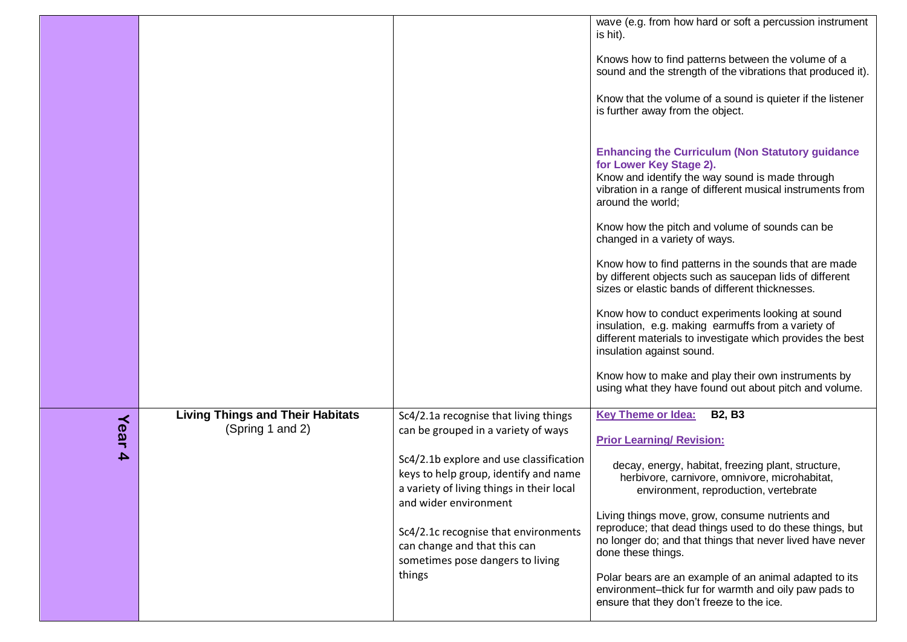|                          |                                                             |                                                                                                                                                                                                                                                                                                                                                              | wave (e.g. from how hard or soft a percussion instrument<br>is hit).<br>Knows how to find patterns between the volume of a<br>sound and the strength of the vibrations that produced it).<br>Know that the volume of a sound is quieter if the listener<br>is further away from the object.<br><b>Enhancing the Curriculum (Non Statutory guidance</b><br>for Lower Key Stage 2).<br>Know and identify the way sound is made through<br>vibration in a range of different musical instruments from<br>around the world;<br>Know how the pitch and volume of sounds can be<br>changed in a variety of ways.<br>Know how to find patterns in the sounds that are made<br>by different objects such as saucepan lids of different<br>sizes or elastic bands of different thicknesses.<br>Know how to conduct experiments looking at sound<br>insulation, e.g. making earmuffs from a variety of<br>different materials to investigate which provides the best<br>insulation against sound. |
|--------------------------|-------------------------------------------------------------|--------------------------------------------------------------------------------------------------------------------------------------------------------------------------------------------------------------------------------------------------------------------------------------------------------------------------------------------------------------|-----------------------------------------------------------------------------------------------------------------------------------------------------------------------------------------------------------------------------------------------------------------------------------------------------------------------------------------------------------------------------------------------------------------------------------------------------------------------------------------------------------------------------------------------------------------------------------------------------------------------------------------------------------------------------------------------------------------------------------------------------------------------------------------------------------------------------------------------------------------------------------------------------------------------------------------------------------------------------------------|
|                          |                                                             |                                                                                                                                                                                                                                                                                                                                                              | Know how to make and play their own instruments by<br>using what they have found out about pitch and volume.                                                                                                                                                                                                                                                                                                                                                                                                                                                                                                                                                                                                                                                                                                                                                                                                                                                                            |
| Year<br>$\blacktriangle$ | <b>Living Things and Their Habitats</b><br>(Spring 1 and 2) | Sc4/2.1a recognise that living things<br>can be grouped in a variety of ways<br>Sc4/2.1b explore and use classification<br>keys to help group, identify and name<br>a variety of living things in their local<br>and wider environment<br>Sc4/2.1c recognise that environments<br>can change and that this can<br>sometimes pose dangers to living<br>things | <b>Key Theme or Idea:</b><br><b>B2, B3</b><br><b>Prior Learning/ Revision:</b><br>decay, energy, habitat, freezing plant, structure,<br>herbivore, carnivore, omnivore, microhabitat,<br>environment, reproduction, vertebrate<br>Living things move, grow, consume nutrients and<br>reproduce; that dead things used to do these things, but<br>no longer do; and that things that never lived have never<br>done these things.<br>Polar bears are an example of an animal adapted to its<br>environment-thick fur for warmth and oily paw pads to<br>ensure that they don't freeze to the ice.                                                                                                                                                                                                                                                                                                                                                                                        |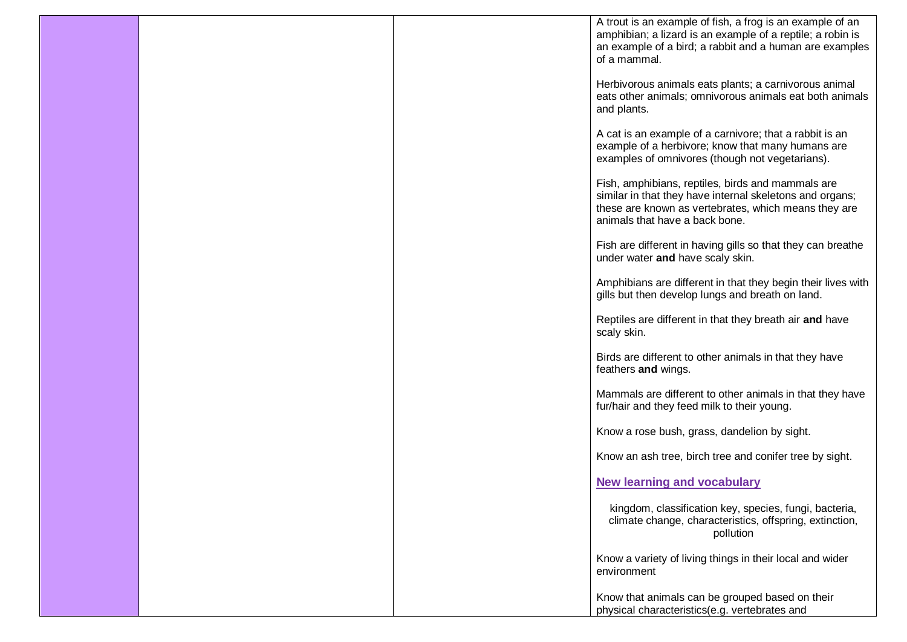|  | A trout is an example of fish, a frog is an example of an                                                             |
|--|-----------------------------------------------------------------------------------------------------------------------|
|  | amphibian; a lizard is an example of a reptile; a robin is<br>an example of a bird; a rabbit and a human are examples |
|  | of a mammal.                                                                                                          |
|  | Herbivorous animals eats plants; a carnivorous animal                                                                 |
|  | eats other animals; omnivorous animals eat both animals                                                               |
|  | and plants.                                                                                                           |
|  | A cat is an example of a carnivore; that a rabbit is an                                                               |
|  | example of a herbivore; know that many humans are                                                                     |
|  | examples of omnivores (though not vegetarians).                                                                       |
|  | Fish, amphibians, reptiles, birds and mammals are                                                                     |
|  | similar in that they have internal skeletons and organs;<br>these are known as vertebrates, which means they are      |
|  | animals that have a back bone.                                                                                        |
|  | Fish are different in having gills so that they can breathe                                                           |
|  | under water and have scaly skin.                                                                                      |
|  | Amphibians are different in that they begin their lives with                                                          |
|  | gills but then develop lungs and breath on land.                                                                      |
|  | Reptiles are different in that they breath air and have                                                               |
|  | scaly skin.                                                                                                           |
|  | Birds are different to other animals in that they have                                                                |
|  | feathers and wings.                                                                                                   |
|  | Mammals are different to other animals in that they have                                                              |
|  | fur/hair and they feed milk to their young.                                                                           |
|  | Know a rose bush, grass, dandelion by sight.                                                                          |
|  | Know an ash tree, birch tree and conifer tree by sight.                                                               |
|  | <b>New learning and vocabulary</b>                                                                                    |
|  | kingdom, classification key, species, fungi, bacteria,                                                                |
|  | climate change, characteristics, offspring, extinction,                                                               |
|  | pollution                                                                                                             |
|  | Know a variety of living things in their local and wider                                                              |
|  | environment                                                                                                           |
|  | Know that animals can be grouped based on their                                                                       |
|  | physical characteristics(e.g. vertebrates and                                                                         |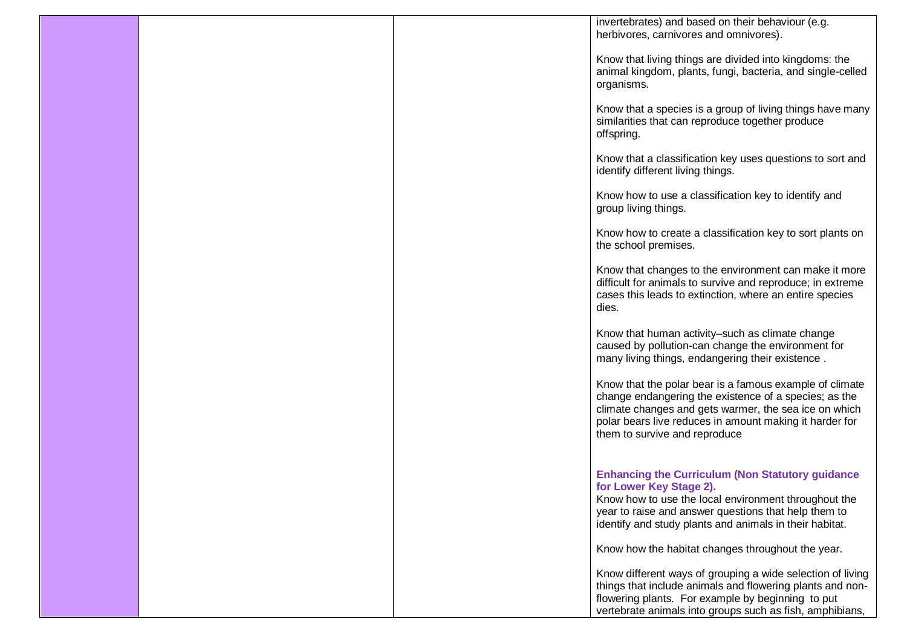|  | invertebrates) and based on their behaviour (e.g.<br>herbivores, carnivores and omnivores).                                                                                                                                                                           |
|--|-----------------------------------------------------------------------------------------------------------------------------------------------------------------------------------------------------------------------------------------------------------------------|
|  | Know that living things are divided into kingdoms: the<br>animal kingdom, plants, fungi, bacteria, and single-celled<br>organisms.                                                                                                                                    |
|  | Know that a species is a group of living things have many<br>similarities that can reproduce together produce<br>offspring.                                                                                                                                           |
|  | Know that a classification key uses questions to sort and<br>identify different living things.                                                                                                                                                                        |
|  | Know how to use a classification key to identify and<br>group living things.                                                                                                                                                                                          |
|  | Know how to create a classification key to sort plants on<br>the school premises.                                                                                                                                                                                     |
|  | Know that changes to the environment can make it more<br>difficult for animals to survive and reproduce; in extreme<br>cases this leads to extinction, where an entire species<br>dies.                                                                               |
|  | Know that human activity-such as climate change<br>caused by pollution-can change the environment for<br>many living things, endangering their existence.                                                                                                             |
|  | Know that the polar bear is a famous example of climate<br>change endangering the existence of a species; as the<br>climate changes and gets warmer, the sea ice on which<br>polar bears live reduces in amount making it harder for<br>them to survive and reproduce |
|  | <b>Enhancing the Curriculum (Non Statutory guidance</b><br>for Lower Key Stage 2).<br>Know how to use the local environment throughout the<br>year to raise and answer questions that help them to<br>identify and study plants and animals in their habitat.         |
|  | Know how the habitat changes throughout the year.                                                                                                                                                                                                                     |
|  | Know different ways of grouping a wide selection of living<br>things that include animals and flowering plants and non-<br>flowering plants. For example by beginning to put<br>vertebrate animals into groups such as fish, amphibians,                              |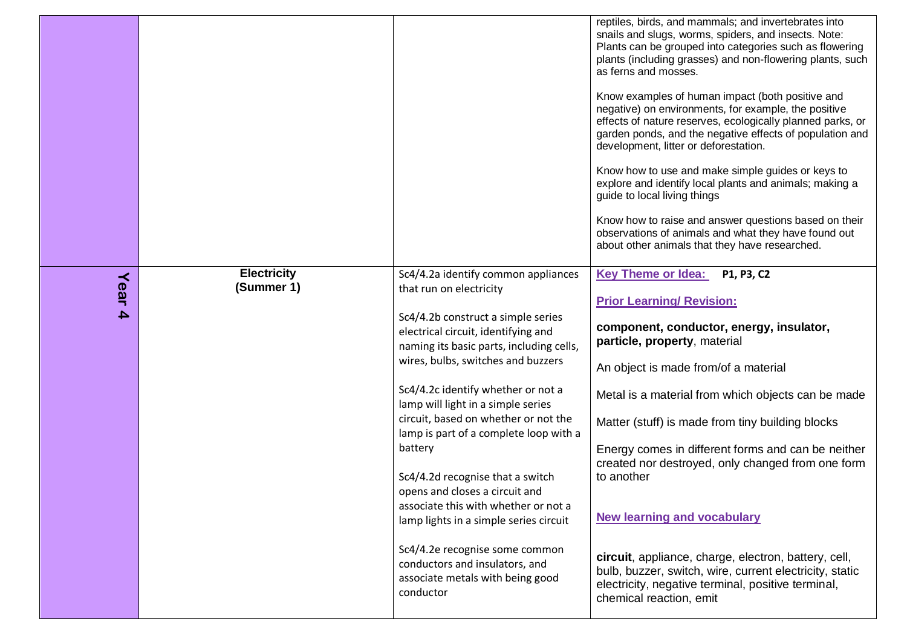|                          |                                  |                                                                                                                                                                                                                                                                                                                                                                                                                                                                                                                                                                                                                                                                                     | reptiles, birds, and mammals; and invertebrates into<br>snails and slugs, worms, spiders, and insects. Note:<br>Plants can be grouped into categories such as flowering<br>plants (including grasses) and non-flowering plants, such<br>as ferns and mosses.<br>Know examples of human impact (both positive and<br>negative) on environments, for example, the positive<br>effects of nature reserves, ecologically planned parks, or<br>garden ponds, and the negative effects of population and<br>development, litter or deforestation.<br>Know how to use and make simple guides or keys to<br>explore and identify local plants and animals; making a<br>guide to local living things<br>Know how to raise and answer questions based on their<br>observations of animals and what they have found out<br>about other animals that they have researched. |
|--------------------------|----------------------------------|-------------------------------------------------------------------------------------------------------------------------------------------------------------------------------------------------------------------------------------------------------------------------------------------------------------------------------------------------------------------------------------------------------------------------------------------------------------------------------------------------------------------------------------------------------------------------------------------------------------------------------------------------------------------------------------|----------------------------------------------------------------------------------------------------------------------------------------------------------------------------------------------------------------------------------------------------------------------------------------------------------------------------------------------------------------------------------------------------------------------------------------------------------------------------------------------------------------------------------------------------------------------------------------------------------------------------------------------------------------------------------------------------------------------------------------------------------------------------------------------------------------------------------------------------------------|
| Year<br>$\blacktriangle$ | <b>Electricity</b><br>(Summer 1) | Sc4/4.2a identify common appliances<br>that run on electricity<br>Sc4/4.2b construct a simple series<br>electrical circuit, identifying and<br>naming its basic parts, including cells,<br>wires, bulbs, switches and buzzers<br>Sc4/4.2c identify whether or not a<br>lamp will light in a simple series<br>circuit, based on whether or not the<br>lamp is part of a complete loop with a<br>battery<br>Sc4/4.2d recognise that a switch<br>opens and closes a circuit and<br>associate this with whether or not a<br>lamp lights in a simple series circuit<br>Sc4/4.2e recognise some common<br>conductors and insulators, and<br>associate metals with being good<br>conductor | <b>Key Theme or Idea:</b><br>P1, P3, C2<br><b>Prior Learning/ Revision:</b><br>component, conductor, energy, insulator,<br>particle, property, material<br>An object is made from/of a material<br>Metal is a material from which objects can be made<br>Matter (stuff) is made from tiny building blocks<br>Energy comes in different forms and can be neither<br>created nor destroyed, only changed from one form<br>to another<br><b>New learning and vocabulary</b><br>circuit, appliance, charge, electron, battery, cell,<br>bulb, buzzer, switch, wire, current electricity, static<br>electricity, negative terminal, positive terminal,<br>chemical reaction, emit                                                                                                                                                                                   |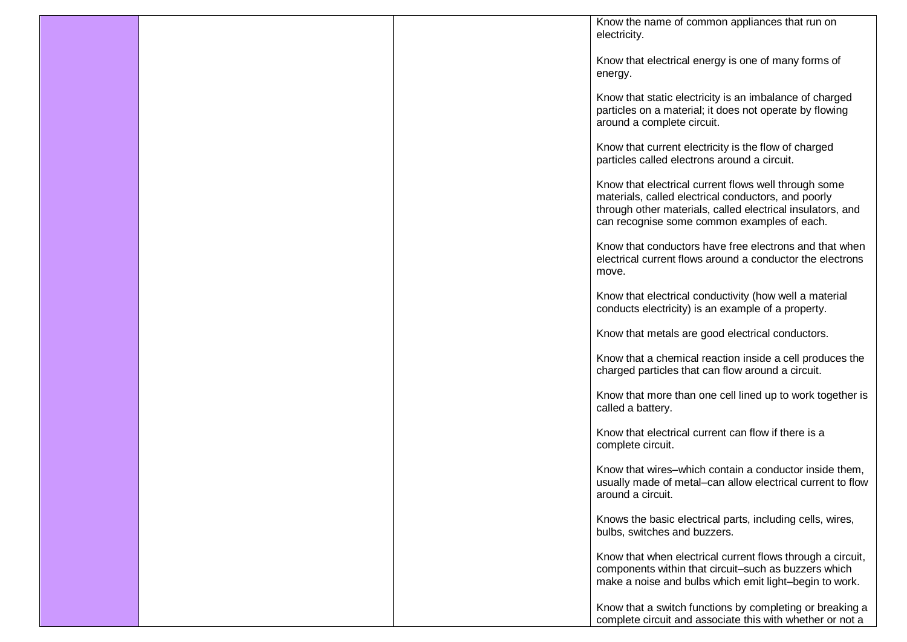|  | Know the name of common appliances that run on<br>electricity.                                                                                                                                                           |
|--|--------------------------------------------------------------------------------------------------------------------------------------------------------------------------------------------------------------------------|
|  | Know that electrical energy is one of many forms of<br>energy.                                                                                                                                                           |
|  | Know that static electricity is an imbalance of charged<br>particles on a material; it does not operate by flowing<br>around a complete circuit.                                                                         |
|  | Know that current electricity is the flow of charged<br>particles called electrons around a circuit.                                                                                                                     |
|  | Know that electrical current flows well through some<br>materials, called electrical conductors, and poorly<br>through other materials, called electrical insulators, and<br>can recognise some common examples of each. |
|  | Know that conductors have free electrons and that when<br>electrical current flows around a conductor the electrons<br>move.                                                                                             |
|  | Know that electrical conductivity (how well a material<br>conducts electricity) is an example of a property.                                                                                                             |
|  | Know that metals are good electrical conductors.                                                                                                                                                                         |
|  | Know that a chemical reaction inside a cell produces the<br>charged particles that can flow around a circuit.                                                                                                            |
|  | Know that more than one cell lined up to work together is<br>called a battery.                                                                                                                                           |
|  | Know that electrical current can flow if there is a<br>complete circuit.                                                                                                                                                 |
|  | Know that wires-which contain a conductor inside them,<br>usually made of metal-can allow electrical current to flow<br>around a circuit.                                                                                |
|  | Knows the basic electrical parts, including cells, wires,<br>bulbs, switches and buzzers.                                                                                                                                |
|  | Know that when electrical current flows through a circuit,<br>components within that circuit-such as buzzers which<br>make a noise and bulbs which emit light-begin to work.                                             |
|  | Know that a switch functions by completing or breaking a<br>complete circuit and associate this with whether or not a                                                                                                    |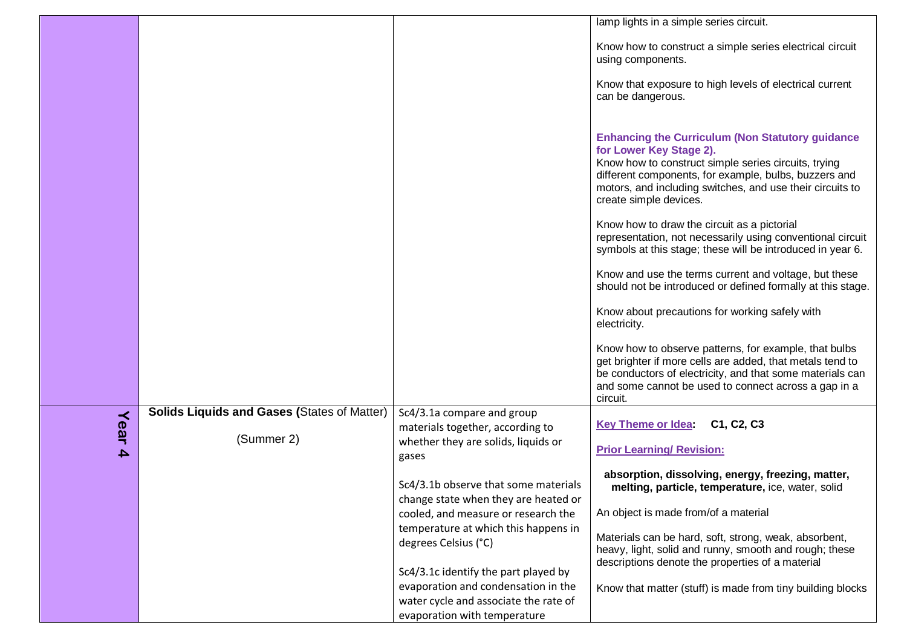|                  |                                                    |                                                                                                                                                      | lamp lights in a simple series circuit.                                                                                                                                                                                                                                                     |
|------------------|----------------------------------------------------|------------------------------------------------------------------------------------------------------------------------------------------------------|---------------------------------------------------------------------------------------------------------------------------------------------------------------------------------------------------------------------------------------------------------------------------------------------|
|                  |                                                    |                                                                                                                                                      | Know how to construct a simple series electrical circuit<br>using components.                                                                                                                                                                                                               |
|                  |                                                    |                                                                                                                                                      | Know that exposure to high levels of electrical current<br>can be dangerous.                                                                                                                                                                                                                |
|                  |                                                    |                                                                                                                                                      | <b>Enhancing the Curriculum (Non Statutory guidance)</b><br>for Lower Key Stage 2).<br>Know how to construct simple series circuits, trying<br>different components, for example, bulbs, buzzers and<br>motors, and including switches, and use their circuits to<br>create simple devices. |
|                  |                                                    |                                                                                                                                                      | Know how to draw the circuit as a pictorial<br>representation, not necessarily using conventional circuit<br>symbols at this stage; these will be introduced in year 6.                                                                                                                     |
|                  |                                                    |                                                                                                                                                      | Know and use the terms current and voltage, but these<br>should not be introduced or defined formally at this stage.                                                                                                                                                                        |
|                  |                                                    |                                                                                                                                                      | Know about precautions for working safely with<br>electricity.                                                                                                                                                                                                                              |
|                  |                                                    |                                                                                                                                                      | Know how to observe patterns, for example, that bulbs<br>get brighter if more cells are added, that metals tend to<br>be conductors of electricity, and that some materials can<br>and some cannot be used to connect across a gap in a<br>circuit.                                         |
|                  | <b>Solids Liquids and Gases (States of Matter)</b> | Sc4/3.1a compare and group                                                                                                                           | C1, C2, C3                                                                                                                                                                                                                                                                                  |
| Year             | (Summer 2)                                         | materials together, according to<br>whether they are solids, liquids or                                                                              | <b>Key Theme or Idea</b>                                                                                                                                                                                                                                                                    |
| $\blacktriangle$ |                                                    | gases                                                                                                                                                | <b>Prior Learning/ Revision:</b>                                                                                                                                                                                                                                                            |
|                  |                                                    | Sc4/3.1b observe that some materials<br>change state when they are heated or                                                                         | absorption, dissolving, energy, freezing, matter,<br>melting, particle, temperature, ice, water, solid                                                                                                                                                                                      |
|                  |                                                    | cooled, and measure or research the                                                                                                                  | An object is made from/of a material                                                                                                                                                                                                                                                        |
|                  |                                                    | temperature at which this happens in<br>degrees Celsius (°C)                                                                                         | Materials can be hard, soft, strong, weak, absorbent,<br>heavy, light, solid and runny, smooth and rough; these<br>descriptions denote the properties of a material                                                                                                                         |
|                  |                                                    | Sc4/3.1c identify the part played by<br>evaporation and condensation in the<br>water cycle and associate the rate of<br>evaporation with temperature | Know that matter (stuff) is made from tiny building blocks                                                                                                                                                                                                                                  |
|                  |                                                    |                                                                                                                                                      |                                                                                                                                                                                                                                                                                             |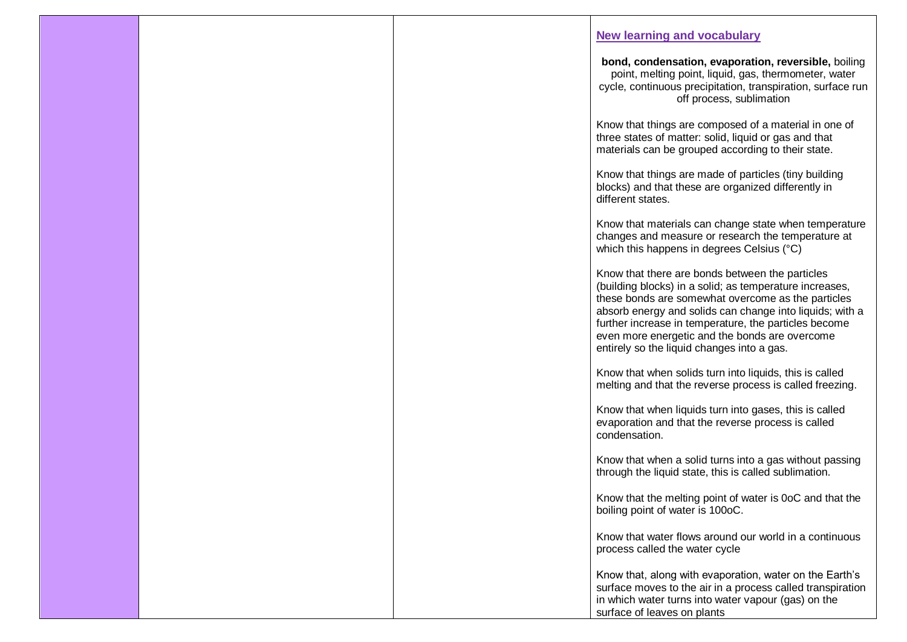|  | <b>New learning and vocabulary</b>                                                                                                                                                                                                                                                                                                                                                    |
|--|---------------------------------------------------------------------------------------------------------------------------------------------------------------------------------------------------------------------------------------------------------------------------------------------------------------------------------------------------------------------------------------|
|  | bond, condensation, evaporation, reversible, boiling<br>point, melting point, liquid, gas, thermometer, water<br>cycle, continuous precipitation, transpiration, surface run<br>off process, sublimation                                                                                                                                                                              |
|  | Know that things are composed of a material in one of<br>three states of matter: solid, liquid or gas and that<br>materials can be grouped according to their state.                                                                                                                                                                                                                  |
|  | Know that things are made of particles (tiny building<br>blocks) and that these are organized differently in<br>different states.                                                                                                                                                                                                                                                     |
|  | Know that materials can change state when temperature<br>changes and measure or research the temperature at<br>which this happens in degrees Celsius (°C)                                                                                                                                                                                                                             |
|  | Know that there are bonds between the particles<br>(building blocks) in a solid; as temperature increases,<br>these bonds are somewhat overcome as the particles<br>absorb energy and solids can change into liquids; with a<br>further increase in temperature, the particles become<br>even more energetic and the bonds are overcome<br>entirely so the liquid changes into a gas. |
|  | Know that when solids turn into liquids, this is called<br>melting and that the reverse process is called freezing.                                                                                                                                                                                                                                                                   |
|  | Know that when liquids turn into gases, this is called<br>evaporation and that the reverse process is called<br>condensation.                                                                                                                                                                                                                                                         |
|  | Know that when a solid turns into a gas without passing<br>through the liquid state, this is called sublimation.                                                                                                                                                                                                                                                                      |
|  | Know that the melting point of water is 0oC and that the<br>boiling point of water is 100oC.                                                                                                                                                                                                                                                                                          |
|  | Know that water flows around our world in a continuous<br>process called the water cycle                                                                                                                                                                                                                                                                                              |
|  | Know that, along with evaporation, water on the Earth's<br>surface moves to the air in a process called transpiration<br>in which water turns into water vapour (gas) on the<br>surface of leaves on plants                                                                                                                                                                           |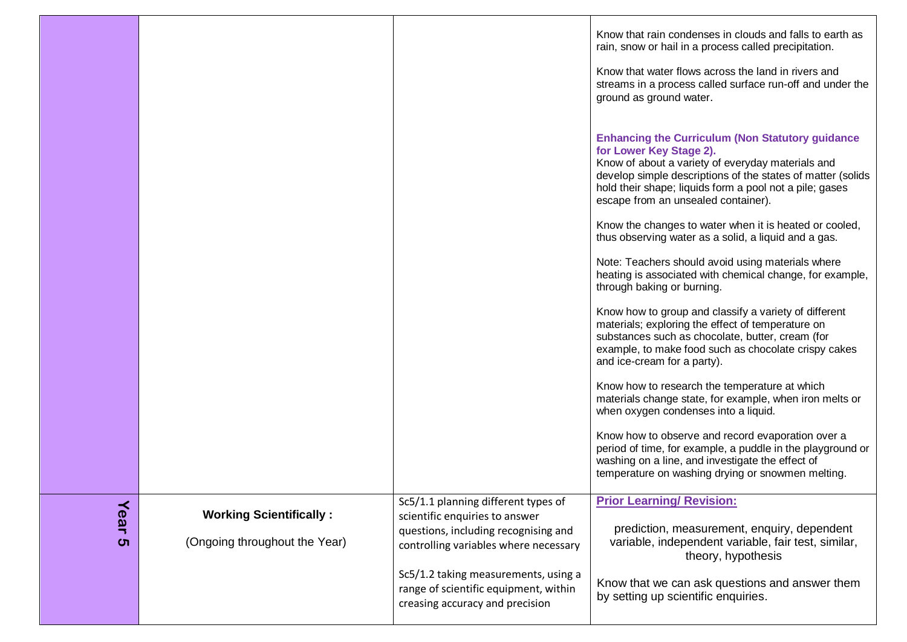|           |                                                                 |                                                                                                                                                                                                | Know that rain condenses in clouds and falls to earth as<br>rain, snow or hail in a process called precipitation.<br>Know that water flows across the land in rivers and<br>streams in a process called surface run-off and under the<br>ground as ground water.<br><b>Enhancing the Curriculum (Non Statutory guidance)</b><br>for Lower Key Stage 2).<br>Know of about a variety of everyday materials and<br>develop simple descriptions of the states of matter (solids<br>hold their shape; liquids form a pool not a pile; gases<br>escape from an unsealed container).<br>Know the changes to water when it is heated or cooled,<br>thus observing water as a solid, a liquid and a gas.<br>Note: Teachers should avoid using materials where<br>heating is associated with chemical change, for example,<br>through baking or burning.<br>Know how to group and classify a variety of different<br>materials; exploring the effect of temperature on<br>substances such as chocolate, butter, cream (for<br>example, to make food such as chocolate crispy cakes<br>and ice-cream for a party).<br>Know how to research the temperature at which<br>materials change state, for example, when iron melts or<br>when oxygen condenses into a liquid.<br>Know how to observe and record evaporation over a |
|-----------|-----------------------------------------------------------------|------------------------------------------------------------------------------------------------------------------------------------------------------------------------------------------------|------------------------------------------------------------------------------------------------------------------------------------------------------------------------------------------------------------------------------------------------------------------------------------------------------------------------------------------------------------------------------------------------------------------------------------------------------------------------------------------------------------------------------------------------------------------------------------------------------------------------------------------------------------------------------------------------------------------------------------------------------------------------------------------------------------------------------------------------------------------------------------------------------------------------------------------------------------------------------------------------------------------------------------------------------------------------------------------------------------------------------------------------------------------------------------------------------------------------------------------------------------------------------------------------------------------|
|           |                                                                 |                                                                                                                                                                                                | period of time, for example, a puddle in the playground or<br>washing on a line, and investigate the effect of<br>temperature on washing drying or snowmen melting.                                                                                                                                                                                                                                                                                                                                                                                                                                                                                                                                                                                                                                                                                                                                                                                                                                                                                                                                                                                                                                                                                                                                              |
| Year<br>ຕ | <b>Working Scientifically:</b><br>(Ongoing throughout the Year) | Sc5/1.1 planning different types of<br>scientific enquiries to answer<br>questions, including recognising and<br>controlling variables where necessary<br>Sc5/1.2 taking measurements, using a | <b>Prior Learning/ Revision:</b><br>prediction, measurement, enquiry, dependent<br>variable, independent variable, fair test, similar,<br>theory, hypothesis                                                                                                                                                                                                                                                                                                                                                                                                                                                                                                                                                                                                                                                                                                                                                                                                                                                                                                                                                                                                                                                                                                                                                     |
|           |                                                                 | range of scientific equipment, within<br>creasing accuracy and precision                                                                                                                       | Know that we can ask questions and answer them<br>by setting up scientific enquiries.                                                                                                                                                                                                                                                                                                                                                                                                                                                                                                                                                                                                                                                                                                                                                                                                                                                                                                                                                                                                                                                                                                                                                                                                                            |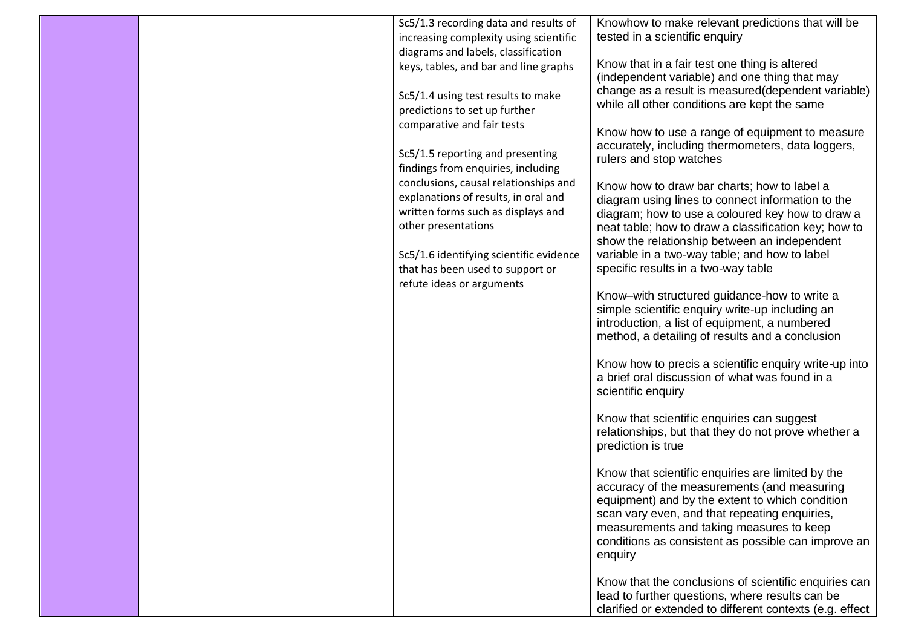|  | Sc5/1.3 recording data and results of                                       | Knowhow to make relevant predictions that will be                                                       |
|--|-----------------------------------------------------------------------------|---------------------------------------------------------------------------------------------------------|
|  | increasing complexity using scientific                                      | tested in a scientific enquiry                                                                          |
|  | diagrams and labels, classification                                         |                                                                                                         |
|  | keys, tables, and bar and line graphs                                       | Know that in a fair test one thing is altered                                                           |
|  |                                                                             | (independent variable) and one thing that may                                                           |
|  | Sc5/1.4 using test results to make                                          | change as a result is measured (dependent variable)                                                     |
|  | predictions to set up further                                               | while all other conditions are kept the same                                                            |
|  | comparative and fair tests                                                  | Know how to use a range of equipment to measure                                                         |
|  |                                                                             | accurately, including thermometers, data loggers,                                                       |
|  | Sc5/1.5 reporting and presenting                                            | rulers and stop watches                                                                                 |
|  | findings from enquiries, including                                          |                                                                                                         |
|  | conclusions, causal relationships and                                       | Know how to draw bar charts; how to label a                                                             |
|  | explanations of results, in oral and                                        | diagram using lines to connect information to the                                                       |
|  | written forms such as displays and                                          | diagram; how to use a coloured key how to draw a                                                        |
|  | other presentations                                                         | neat table; how to draw a classification key; how to                                                    |
|  |                                                                             | show the relationship between an independent<br>variable in a two-way table; and how to label           |
|  | Sc5/1.6 identifying scientific evidence<br>that has been used to support or | specific results in a two-way table                                                                     |
|  | refute ideas or arguments                                                   |                                                                                                         |
|  |                                                                             | Know-with structured guidance-how to write a                                                            |
|  |                                                                             | simple scientific enquiry write-up including an                                                         |
|  |                                                                             | introduction, a list of equipment, a numbered                                                           |
|  |                                                                             | method, a detailing of results and a conclusion                                                         |
|  |                                                                             |                                                                                                         |
|  |                                                                             | Know how to precis a scientific enquiry write-up into<br>a brief oral discussion of what was found in a |
|  |                                                                             | scientific enquiry                                                                                      |
|  |                                                                             |                                                                                                         |
|  |                                                                             | Know that scientific enquiries can suggest                                                              |
|  |                                                                             | relationships, but that they do not prove whether a                                                     |
|  |                                                                             | prediction is true                                                                                      |
|  |                                                                             |                                                                                                         |
|  |                                                                             | Know that scientific enquiries are limited by the                                                       |
|  |                                                                             | accuracy of the measurements (and measuring                                                             |
|  |                                                                             | equipment) and by the extent to which condition                                                         |
|  |                                                                             | scan vary even, and that repeating enquiries,<br>measurements and taking measures to keep               |
|  |                                                                             | conditions as consistent as possible can improve an                                                     |
|  |                                                                             | enquiry                                                                                                 |
|  |                                                                             |                                                                                                         |
|  |                                                                             | Know that the conclusions of scientific enquiries can                                                   |
|  |                                                                             | lead to further questions, where results can be                                                         |
|  |                                                                             | clarified or extended to different contexts (e.g. effect                                                |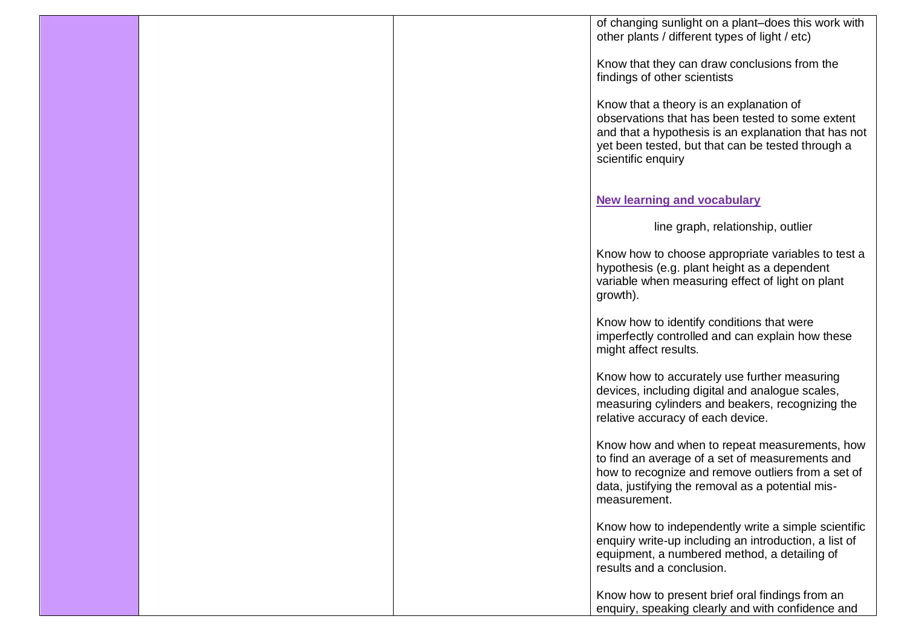|  | of changing sunlight on a plant-does this work with<br>other plants / different types of light / etc)                                                                                                                          |
|--|--------------------------------------------------------------------------------------------------------------------------------------------------------------------------------------------------------------------------------|
|  | Know that they can draw conclusions from the<br>findings of other scientists                                                                                                                                                   |
|  | Know that a theory is an explanation of<br>observations that has been tested to some extent<br>and that a hypothesis is an explanation that has not<br>yet been tested, but that can be tested through a<br>scientific enquiry |
|  | <b>New learning and vocabulary</b>                                                                                                                                                                                             |
|  | line graph, relationship, outlier                                                                                                                                                                                              |
|  | Know how to choose appropriate variables to test a<br>hypothesis (e.g. plant height as a dependent<br>variable when measuring effect of light on plant<br>growth).                                                             |
|  | Know how to identify conditions that were<br>imperfectly controlled and can explain how these<br>might affect results.                                                                                                         |
|  | Know how to accurately use further measuring<br>devices, including digital and analogue scales,<br>measuring cylinders and beakers, recognizing the<br>relative accuracy of each device.                                       |
|  | Know how and when to repeat measurements, how<br>to find an average of a set of measurements and<br>how to recognize and remove outliers from a set of<br>data, justifying the removal as a potential mis-<br>measurement.     |
|  | Know how to independently write a simple scientific<br>enquiry write-up including an introduction, a list of<br>equipment, a numbered method, a detailing of<br>results and a conclusion.                                      |
|  | Know how to present brief oral findings from an<br>enquiry, speaking clearly and with confidence and                                                                                                                           |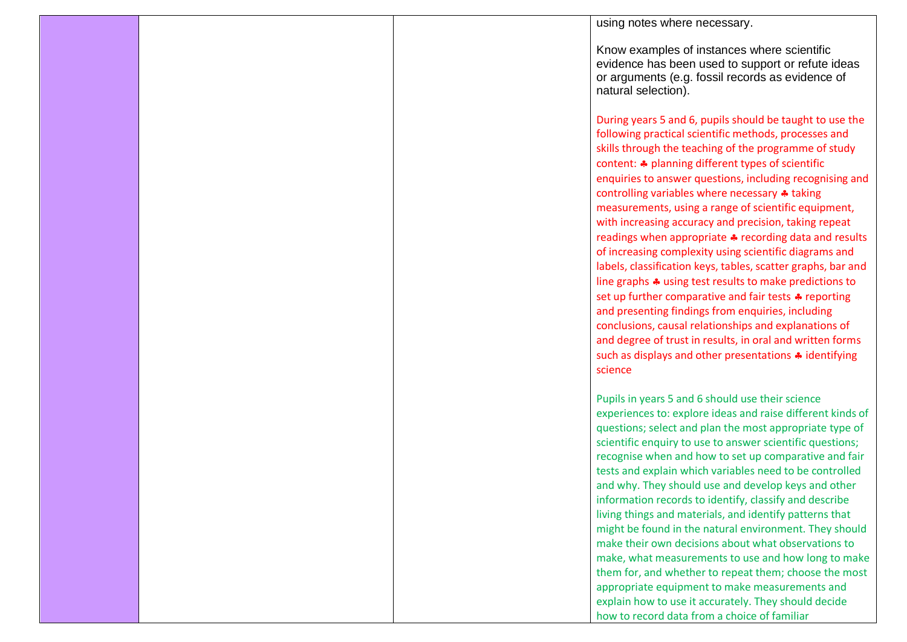|  | using notes where necessary.                                                                                                                                                                                                                                                                                                                                                                                |
|--|-------------------------------------------------------------------------------------------------------------------------------------------------------------------------------------------------------------------------------------------------------------------------------------------------------------------------------------------------------------------------------------------------------------|
|  | Know examples of instances where scientific<br>evidence has been used to support or refute ideas<br>or arguments (e.g. fossil records as evidence of<br>natural selection).                                                                                                                                                                                                                                 |
|  | During years 5 and 6, pupils should be taught to use the<br>following practical scientific methods, processes and<br>skills through the teaching of the programme of study<br>content: * planning different types of scientific<br>enquiries to answer questions, including recognising and                                                                                                                 |
|  | controlling variables where necessary * taking<br>measurements, using a range of scientific equipment,<br>with increasing accuracy and precision, taking repeat<br>readings when appropriate * recording data and results<br>of increasing complexity using scientific diagrams and<br>labels, classification keys, tables, scatter graphs, bar and                                                         |
|  | line graphs $\clubsuit$ using test results to make predictions to<br>set up further comparative and fair tests * reporting<br>and presenting findings from enquiries, including<br>conclusions, causal relationships and explanations of<br>and degree of trust in results, in oral and written forms<br>such as displays and other presentations * identifying<br>science                                  |
|  | Pupils in years 5 and 6 should use their science<br>experiences to: explore ideas and raise different kinds of<br>questions; select and plan the most appropriate type of<br>scientific enquiry to use to answer scientific questions;<br>recognise when and how to set up comparative and fair                                                                                                             |
|  | tests and explain which variables need to be controlled<br>and why. They should use and develop keys and other<br>information records to identify, classify and describe<br>living things and materials, and identify patterns that<br>might be found in the natural environment. They should<br>make their own decisions about what observations to<br>make, what measurements to use and how long to make |
|  | them for, and whether to repeat them; choose the most<br>appropriate equipment to make measurements and<br>explain how to use it accurately. They should decide<br>how to record data from a choice of familiar                                                                                                                                                                                             |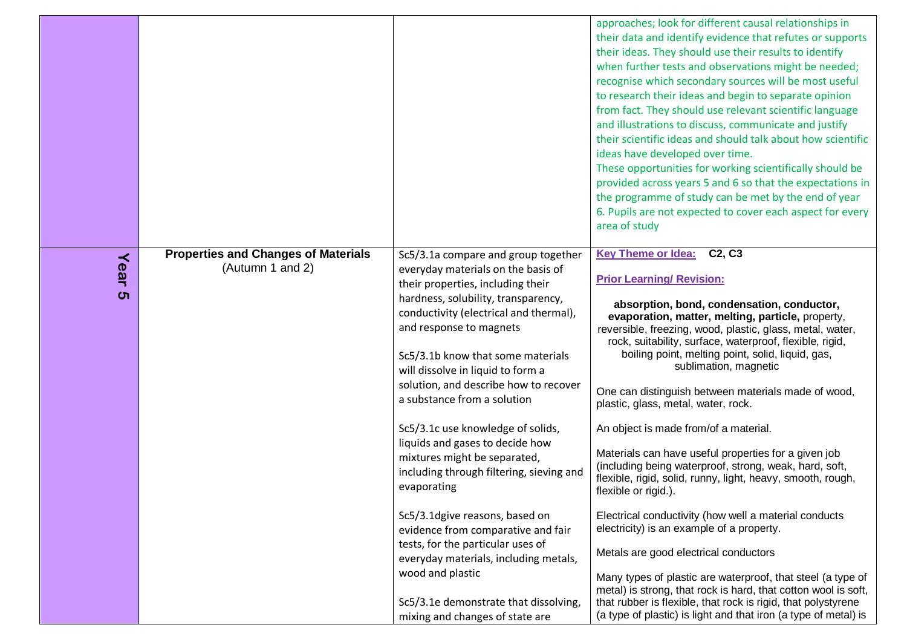|            |                                                                |                                                                                                                                                                                                                                                                                                                                                                                                                                                                                                                                                                                                                                                                                                       | approaches; look for different causal relationships in<br>their data and identify evidence that refutes or supports<br>their ideas. They should use their results to identify<br>when further tests and observations might be needed;<br>recognise which secondary sources will be most useful<br>to research their ideas and begin to separate opinion<br>from fact. They should use relevant scientific language<br>and illustrations to discuss, communicate and justify<br>their scientific ideas and should talk about how scientific<br>ideas have developed over time.<br>These opportunities for working scientifically should be<br>provided across years 5 and 6 so that the expectations in<br>the programme of study can be met by the end of year<br>6. Pupils are not expected to cover each aspect for every<br>area of study                                                              |
|------------|----------------------------------------------------------------|-------------------------------------------------------------------------------------------------------------------------------------------------------------------------------------------------------------------------------------------------------------------------------------------------------------------------------------------------------------------------------------------------------------------------------------------------------------------------------------------------------------------------------------------------------------------------------------------------------------------------------------------------------------------------------------------------------|-----------------------------------------------------------------------------------------------------------------------------------------------------------------------------------------------------------------------------------------------------------------------------------------------------------------------------------------------------------------------------------------------------------------------------------------------------------------------------------------------------------------------------------------------------------------------------------------------------------------------------------------------------------------------------------------------------------------------------------------------------------------------------------------------------------------------------------------------------------------------------------------------------------|
| Year<br>ပာ | <b>Properties and Changes of Materials</b><br>(Autumn 1 and 2) | Sc5/3.1a compare and group together<br>everyday materials on the basis of<br>their properties, including their<br>hardness, solubility, transparency,<br>conductivity (electrical and thermal),<br>and response to magnets<br>Sc5/3.1b know that some materials<br>will dissolve in liquid to form a<br>solution, and describe how to recover<br>a substance from a solution<br>Sc5/3.1c use knowledge of solids,<br>liquids and gases to decide how<br>mixtures might be separated,<br>including through filtering, sieving and<br>evaporating<br>Sc5/3.1dgive reasons, based on<br>evidence from comparative and fair<br>tests, for the particular uses of<br>everyday materials, including metals, | <b>Key Theme or Idea:</b><br>C <sub>2</sub> , C <sub>3</sub><br><b>Prior Learning/ Revision:</b><br>absorption, bond, condensation, conductor,<br>evaporation, matter, melting, particle, property,<br>reversible, freezing, wood, plastic, glass, metal, water,<br>rock, suitability, surface, waterproof, flexible, rigid,<br>boiling point, melting point, solid, liquid, gas,<br>sublimation, magnetic<br>One can distinguish between materials made of wood,<br>plastic, glass, metal, water, rock.<br>An object is made from/of a material.<br>Materials can have useful properties for a given job<br>(including being waterproof, strong, weak, hard, soft,<br>flexible, rigid, solid, runny, light, heavy, smooth, rough,<br>flexible or rigid.).<br>Electrical conductivity (how well a material conducts<br>electricity) is an example of a property.<br>Metals are good electrical conductors |
|            |                                                                | wood and plastic<br>Sc5/3.1e demonstrate that dissolving,<br>mixing and changes of state are                                                                                                                                                                                                                                                                                                                                                                                                                                                                                                                                                                                                          | Many types of plastic are waterproof, that steel (a type of<br>metal) is strong, that rock is hard, that cotton wool is soft,<br>that rubber is flexible, that rock is rigid, that polystyrene<br>(a type of plastic) is light and that iron (a type of metal) is                                                                                                                                                                                                                                                                                                                                                                                                                                                                                                                                                                                                                                         |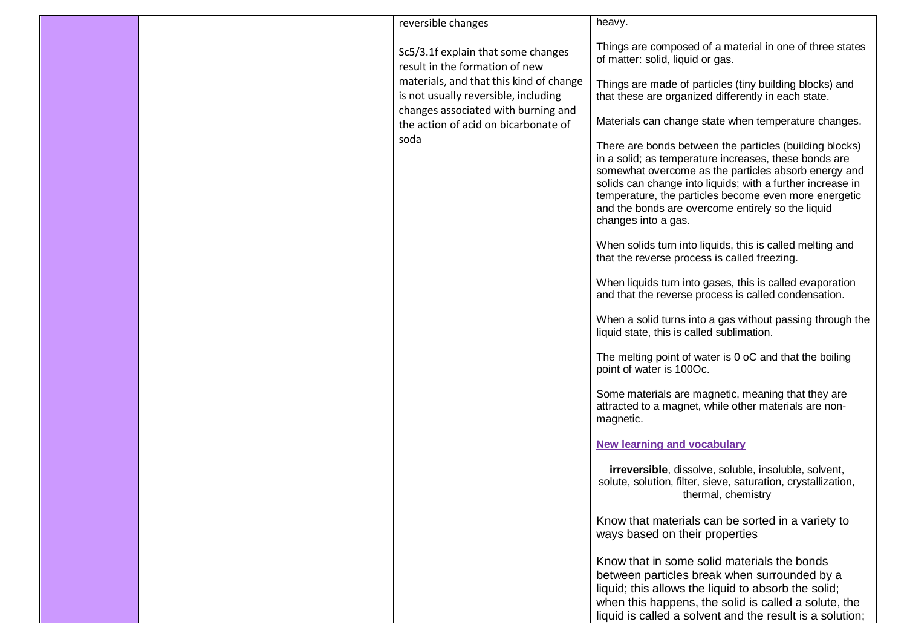|  | reversible changes                                                              | heavy.                                                                                                                                                                                                                                                                                                                                                                      |
|--|---------------------------------------------------------------------------------|-----------------------------------------------------------------------------------------------------------------------------------------------------------------------------------------------------------------------------------------------------------------------------------------------------------------------------------------------------------------------------|
|  | Sc5/3.1f explain that some changes<br>result in the formation of new            | Things are composed of a material in one of three states<br>of matter: solid, liquid or gas.                                                                                                                                                                                                                                                                                |
|  | materials, and that this kind of change<br>is not usually reversible, including | Things are made of particles (tiny building blocks) and<br>that these are organized differently in each state.                                                                                                                                                                                                                                                              |
|  | changes associated with burning and<br>the action of acid on bicarbonate of     | Materials can change state when temperature changes.                                                                                                                                                                                                                                                                                                                        |
|  | soda                                                                            | There are bonds between the particles (building blocks)<br>in a solid; as temperature increases, these bonds are<br>somewhat overcome as the particles absorb energy and<br>solids can change into liquids; with a further increase in<br>temperature, the particles become even more energetic<br>and the bonds are overcome entirely so the liquid<br>changes into a gas. |
|  |                                                                                 | When solids turn into liquids, this is called melting and<br>that the reverse process is called freezing.                                                                                                                                                                                                                                                                   |
|  |                                                                                 | When liquids turn into gases, this is called evaporation<br>and that the reverse process is called condensation.                                                                                                                                                                                                                                                            |
|  |                                                                                 | When a solid turns into a gas without passing through the<br>liquid state, this is called sublimation.                                                                                                                                                                                                                                                                      |
|  |                                                                                 | The melting point of water is 0 oC and that the boiling<br>point of water is 100Oc.                                                                                                                                                                                                                                                                                         |
|  |                                                                                 | Some materials are magnetic, meaning that they are<br>attracted to a magnet, while other materials are non-<br>magnetic.                                                                                                                                                                                                                                                    |
|  |                                                                                 | <b>New learning and vocabulary</b>                                                                                                                                                                                                                                                                                                                                          |
|  |                                                                                 | <b>irreversible</b> , dissolve, soluble, insoluble, solvent,<br>solute, solution, filter, sieve, saturation, crystallization,<br>thermal, chemistry                                                                                                                                                                                                                         |
|  |                                                                                 | Know that materials can be sorted in a variety to<br>ways based on their properties                                                                                                                                                                                                                                                                                         |
|  |                                                                                 | Know that in some solid materials the bonds<br>between particles break when surrounded by a<br>liquid; this allows the liquid to absorb the solid;<br>when this happens, the solid is called a solute, the<br>liquid is called a solvent and the result is a solution;                                                                                                      |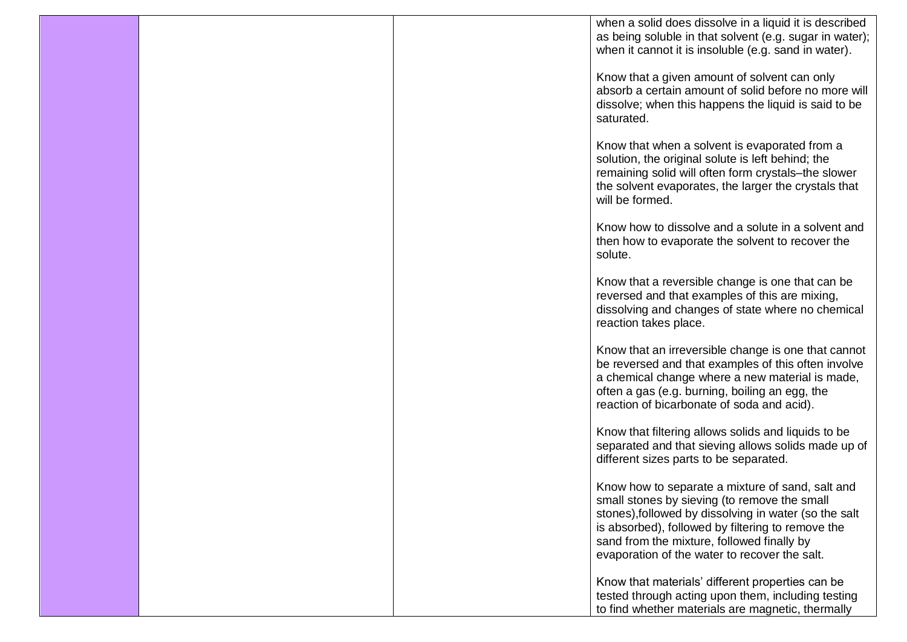|  | when a solid does dissolve in a liquid it is described<br>as being soluble in that solvent (e.g. sugar in water);<br>when it cannot it is insoluble (e.g. sand in water).                                                                                                                                     |
|--|---------------------------------------------------------------------------------------------------------------------------------------------------------------------------------------------------------------------------------------------------------------------------------------------------------------|
|  | Know that a given amount of solvent can only<br>absorb a certain amount of solid before no more will<br>dissolve; when this happens the liquid is said to be<br>saturated.                                                                                                                                    |
|  | Know that when a solvent is evaporated from a<br>solution, the original solute is left behind; the<br>remaining solid will often form crystals-the slower<br>the solvent evaporates, the larger the crystals that<br>will be formed.                                                                          |
|  | Know how to dissolve and a solute in a solvent and<br>then how to evaporate the solvent to recover the<br>solute.                                                                                                                                                                                             |
|  | Know that a reversible change is one that can be<br>reversed and that examples of this are mixing,<br>dissolving and changes of state where no chemical<br>reaction takes place.                                                                                                                              |
|  | Know that an irreversible change is one that cannot<br>be reversed and that examples of this often involve<br>a chemical change where a new material is made,<br>often a gas (e.g. burning, boiling an egg, the<br>reaction of bicarbonate of soda and acid).                                                 |
|  | Know that filtering allows solids and liquids to be<br>separated and that sieving allows solids made up of<br>different sizes parts to be separated.                                                                                                                                                          |
|  | Know how to separate a mixture of sand, salt and<br>small stones by sieving (to remove the small<br>stones), followed by dissolving in water (so the salt<br>is absorbed), followed by filtering to remove the<br>sand from the mixture, followed finally by<br>evaporation of the water to recover the salt. |
|  | Know that materials' different properties can be<br>tested through acting upon them, including testing<br>to find whether materials are magnetic, thermally                                                                                                                                                   |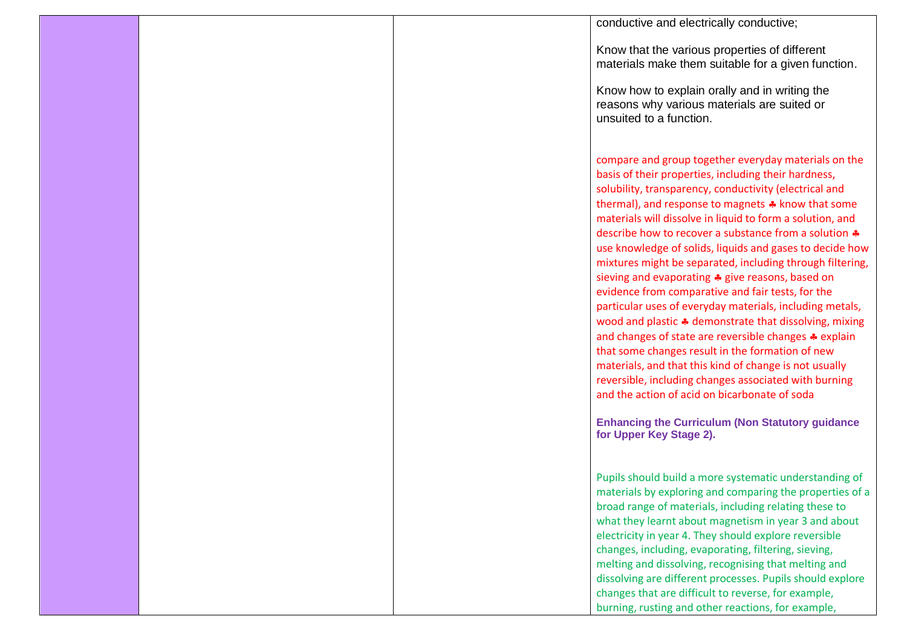|  | conductive and electrically conductive;                                                                                                                                                                                                                                                                                                                                                                                                                                                                                                                                                                                                                                                                                                                                                                                                                                                                                                                                                                                                                                                     |
|--|---------------------------------------------------------------------------------------------------------------------------------------------------------------------------------------------------------------------------------------------------------------------------------------------------------------------------------------------------------------------------------------------------------------------------------------------------------------------------------------------------------------------------------------------------------------------------------------------------------------------------------------------------------------------------------------------------------------------------------------------------------------------------------------------------------------------------------------------------------------------------------------------------------------------------------------------------------------------------------------------------------------------------------------------------------------------------------------------|
|  | Know that the various properties of different<br>materials make them suitable for a given function.                                                                                                                                                                                                                                                                                                                                                                                                                                                                                                                                                                                                                                                                                                                                                                                                                                                                                                                                                                                         |
|  | Know how to explain orally and in writing the<br>reasons why various materials are suited or<br>unsuited to a function.                                                                                                                                                                                                                                                                                                                                                                                                                                                                                                                                                                                                                                                                                                                                                                                                                                                                                                                                                                     |
|  | compare and group together everyday materials on the<br>basis of their properties, including their hardness,<br>solubility, transparency, conductivity (electrical and<br>thermal), and response to magnets * know that some<br>materials will dissolve in liquid to form a solution, and<br>describe how to recover a substance from a solution $\clubsuit$<br>use knowledge of solids, liquids and gases to decide how<br>mixtures might be separated, including through filtering,<br>sieving and evaporating * give reasons, based on<br>evidence from comparative and fair tests, for the<br>particular uses of everyday materials, including metals,<br>wood and plastic * demonstrate that dissolving, mixing<br>and changes of state are reversible changes * explain<br>that some changes result in the formation of new<br>materials, and that this kind of change is not usually<br>reversible, including changes associated with burning<br>and the action of acid on bicarbonate of soda<br><b>Enhancing the Curriculum (Non Statutory guidance</b><br>for Upper Key Stage 2). |
|  | Pupils should build a more systematic understanding of<br>materials by exploring and comparing the properties of a<br>broad range of materials, including relating these to<br>what they learnt about magnetism in year 3 and about<br>electricity in year 4. They should explore reversible<br>changes, including, evaporating, filtering, sieving,<br>melting and dissolving, recognising that melting and<br>dissolving are different processes. Pupils should explore<br>changes that are difficult to reverse, for example,<br>burning, rusting and other reactions, for example,                                                                                                                                                                                                                                                                                                                                                                                                                                                                                                      |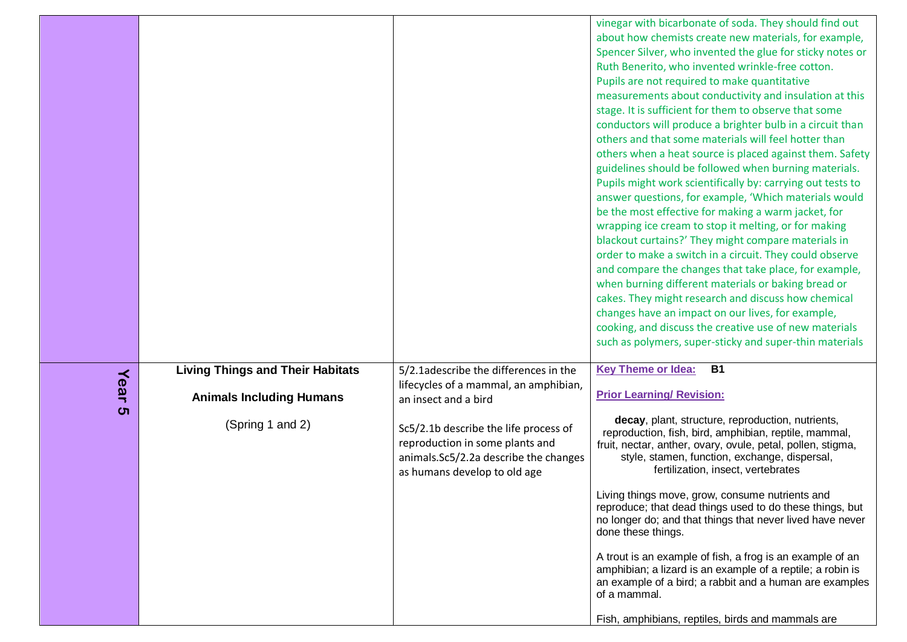|      |                                                                            |                                                                                                                                                   | vinegar with bicarbonate of soda. They should find out<br>about how chemists create new materials, for example,<br>Spencer Silver, who invented the glue for sticky notes or<br>Ruth Benerito, who invented wrinkle-free cotton.<br>Pupils are not required to make quantitative<br>measurements about conductivity and insulation at this<br>stage. It is sufficient for them to observe that some<br>conductors will produce a brighter bulb in a circuit than<br>others and that some materials will feel hotter than<br>others when a heat source is placed against them. Safety<br>guidelines should be followed when burning materials.<br>Pupils might work scientifically by: carrying out tests to<br>answer questions, for example, 'Which materials would<br>be the most effective for making a warm jacket, for<br>wrapping ice cream to stop it melting, or for making<br>blackout curtains?' They might compare materials in<br>order to make a switch in a circuit. They could observe<br>and compare the changes that take place, for example,<br>when burning different materials or baking bread or<br>cakes. They might research and discuss how chemical<br>changes have an impact on our lives, for example,<br>cooking, and discuss the creative use of new materials<br>such as polymers, super-sticky and super-thin materials |
|------|----------------------------------------------------------------------------|---------------------------------------------------------------------------------------------------------------------------------------------------|--------------------------------------------------------------------------------------------------------------------------------------------------------------------------------------------------------------------------------------------------------------------------------------------------------------------------------------------------------------------------------------------------------------------------------------------------------------------------------------------------------------------------------------------------------------------------------------------------------------------------------------------------------------------------------------------------------------------------------------------------------------------------------------------------------------------------------------------------------------------------------------------------------------------------------------------------------------------------------------------------------------------------------------------------------------------------------------------------------------------------------------------------------------------------------------------------------------------------------------------------------------------------------------------------------------------------------------------------------|
| Year | <b>Living Things and Their Habitats</b><br><b>Animals Including Humans</b> | 5/2.1adescribe the differences in the<br>lifecycles of a mammal, an amphibian,<br>an insect and a bird                                            | <b>Key Theme or Idea:</b><br><b>B1</b><br><b>Prior Learning/ Revision:</b>                                                                                                                                                                                                                                                                                                                                                                                                                                                                                                                                                                                                                                                                                                                                                                                                                                                                                                                                                                                                                                                                                                                                                                                                                                                                             |
| ຕ    | (Spring 1 and 2)                                                           | Sc5/2.1b describe the life process of<br>reproduction in some plants and<br>animals.Sc5/2.2a describe the changes<br>as humans develop to old age | decay, plant, structure, reproduction, nutrients,<br>reproduction, fish, bird, amphibian, reptile, mammal,<br>fruit, nectar, anther, ovary, ovule, petal, pollen, stigma,<br>style, stamen, function, exchange, dispersal,<br>fertilization, insect, vertebrates<br>Living things move, grow, consume nutrients and<br>reproduce; that dead things used to do these things, but<br>no longer do; and that things that never lived have never<br>done these things.<br>A trout is an example of fish, a frog is an example of an<br>amphibian; a lizard is an example of a reptile; a robin is<br>an example of a bird; a rabbit and a human are examples                                                                                                                                                                                                                                                                                                                                                                                                                                                                                                                                                                                                                                                                                               |
|      |                                                                            |                                                                                                                                                   | of a mammal.<br>Fish, amphibians, reptiles, birds and mammals are                                                                                                                                                                                                                                                                                                                                                                                                                                                                                                                                                                                                                                                                                                                                                                                                                                                                                                                                                                                                                                                                                                                                                                                                                                                                                      |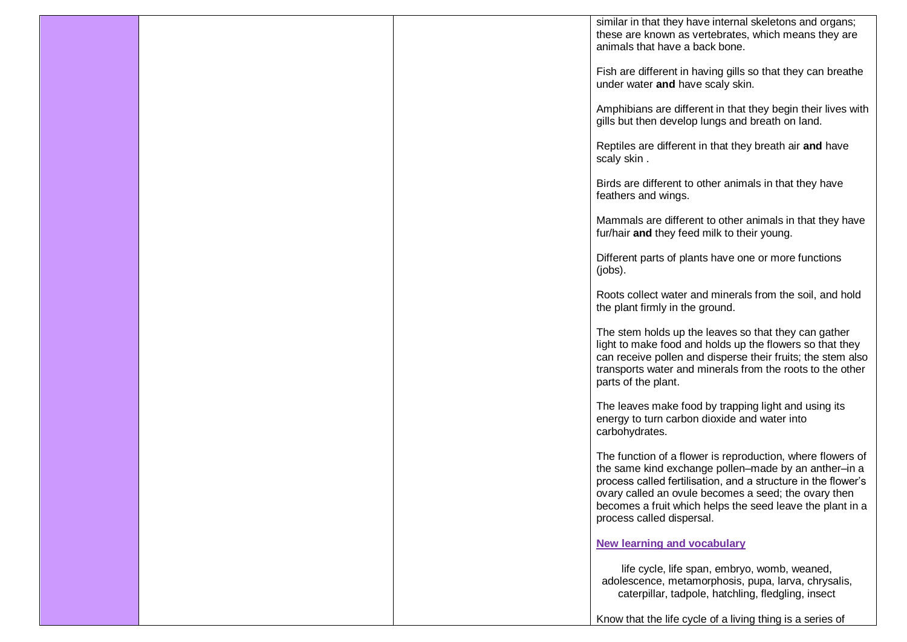|  | similar in that they have internal skeletons and organs;                                                |
|--|---------------------------------------------------------------------------------------------------------|
|  | these are known as vertebrates, which means they are                                                    |
|  | animals that have a back bone.                                                                          |
|  | Fish are different in having gills so that they can breathe                                             |
|  | under water and have scaly skin.                                                                        |
|  |                                                                                                         |
|  | Amphibians are different in that they begin their lives with                                            |
|  | gills but then develop lungs and breath on land.                                                        |
|  | Reptiles are different in that they breath air and have                                                 |
|  | scaly skin.                                                                                             |
|  |                                                                                                         |
|  | Birds are different to other animals in that they have                                                  |
|  | feathers and wings.                                                                                     |
|  |                                                                                                         |
|  | Mammals are different to other animals in that they have<br>fur/hair and they feed milk to their young. |
|  |                                                                                                         |
|  | Different parts of plants have one or more functions                                                    |
|  | (jobs).                                                                                                 |
|  |                                                                                                         |
|  | Roots collect water and minerals from the soil, and hold<br>the plant firmly in the ground.             |
|  |                                                                                                         |
|  | The stem holds up the leaves so that they can gather                                                    |
|  | light to make food and holds up the flowers so that they                                                |
|  | can receive pollen and disperse their fruits; the stem also                                             |
|  | transports water and minerals from the roots to the other<br>parts of the plant.                        |
|  |                                                                                                         |
|  | The leaves make food by trapping light and using its                                                    |
|  | energy to turn carbon dioxide and water into                                                            |
|  | carbohydrates.                                                                                          |
|  | The function of a flower is reproduction, where flowers of                                              |
|  | the same kind exchange pollen-made by an anther-in a                                                    |
|  | process called fertilisation, and a structure in the flower's                                           |
|  | ovary called an ovule becomes a seed; the ovary then                                                    |
|  | becomes a fruit which helps the seed leave the plant in a                                               |
|  | process called dispersal.                                                                               |
|  | <b>New learning and vocabulary</b>                                                                      |
|  |                                                                                                         |
|  | life cycle, life span, embryo, womb, weaned,                                                            |
|  | adolescence, metamorphosis, pupa, larva, chrysalis,                                                     |
|  | caterpillar, tadpole, hatchling, fledgling, insect                                                      |
|  | Know that the life cycle of a living thing is a series of                                               |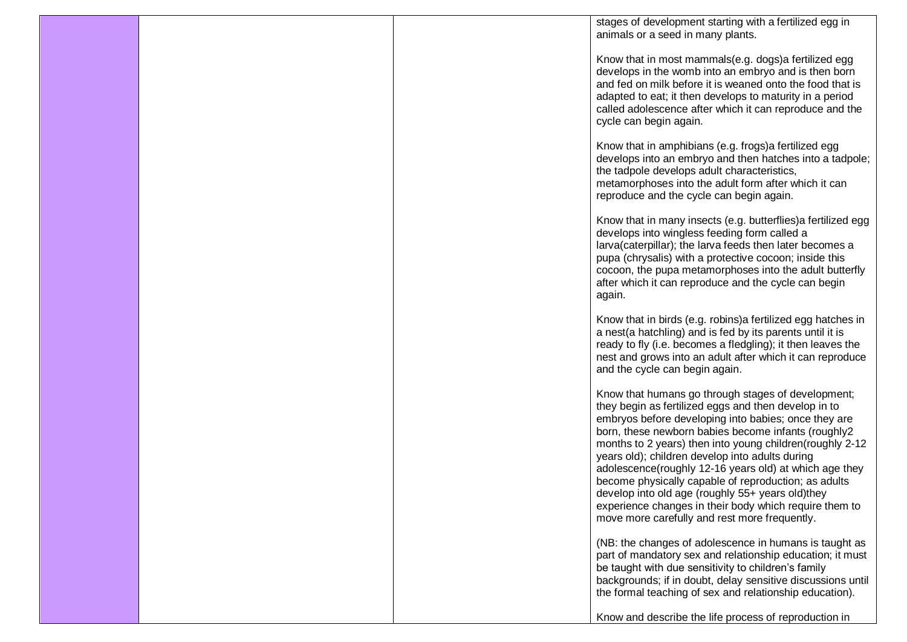|  | stages of development starting with a fertilized egg in                                                                                                                                                                                                                                                                                                                                                                                                                                                                                                                                                                   |
|--|---------------------------------------------------------------------------------------------------------------------------------------------------------------------------------------------------------------------------------------------------------------------------------------------------------------------------------------------------------------------------------------------------------------------------------------------------------------------------------------------------------------------------------------------------------------------------------------------------------------------------|
|  | animals or a seed in many plants.                                                                                                                                                                                                                                                                                                                                                                                                                                                                                                                                                                                         |
|  | Know that in most mammals(e.g. dogs) a fertilized egg<br>develops in the womb into an embryo and is then born<br>and fed on milk before it is weaned onto the food that is<br>adapted to eat; it then develops to maturity in a period<br>called adolescence after which it can reproduce and the<br>cycle can begin again.                                                                                                                                                                                                                                                                                               |
|  | Know that in amphibians (e.g. frogs) a fertilized egg<br>develops into an embryo and then hatches into a tadpole;<br>the tadpole develops adult characteristics,<br>metamorphoses into the adult form after which it can<br>reproduce and the cycle can begin again.                                                                                                                                                                                                                                                                                                                                                      |
|  | Know that in many insects (e.g. butterflies) a fertilized egg<br>develops into wingless feeding form called a<br>larva(caterpillar); the larva feeds then later becomes a<br>pupa (chrysalis) with a protective cocoon; inside this<br>cocoon, the pupa metamorphoses into the adult butterfly<br>after which it can reproduce and the cycle can begin<br>again.                                                                                                                                                                                                                                                          |
|  | Know that in birds (e.g. robins) a fertilized egg hatches in<br>a nest(a hatchling) and is fed by its parents until it is<br>ready to fly (i.e. becomes a fledgling); it then leaves the<br>nest and grows into an adult after which it can reproduce<br>and the cycle can begin again.                                                                                                                                                                                                                                                                                                                                   |
|  | Know that humans go through stages of development;<br>they begin as fertilized eggs and then develop in to<br>embryos before developing into babies; once they are<br>born, these newborn babies become infants (roughly2<br>months to 2 years) then into young children(roughly 2-12<br>years old); children develop into adults during<br>adolescence(roughly 12-16 years old) at which age they<br>become physically capable of reproduction; as adults<br>develop into old age (roughly 55+ years old)they<br>experience changes in their body which require them to<br>move more carefully and rest more frequently. |
|  | (NB: the changes of adolescence in humans is taught as<br>part of mandatory sex and relationship education; it must<br>be taught with due sensitivity to children's family<br>backgrounds; if in doubt, delay sensitive discussions until<br>the formal teaching of sex and relationship education).                                                                                                                                                                                                                                                                                                                      |
|  | Know and describe the life process of reproduction in                                                                                                                                                                                                                                                                                                                                                                                                                                                                                                                                                                     |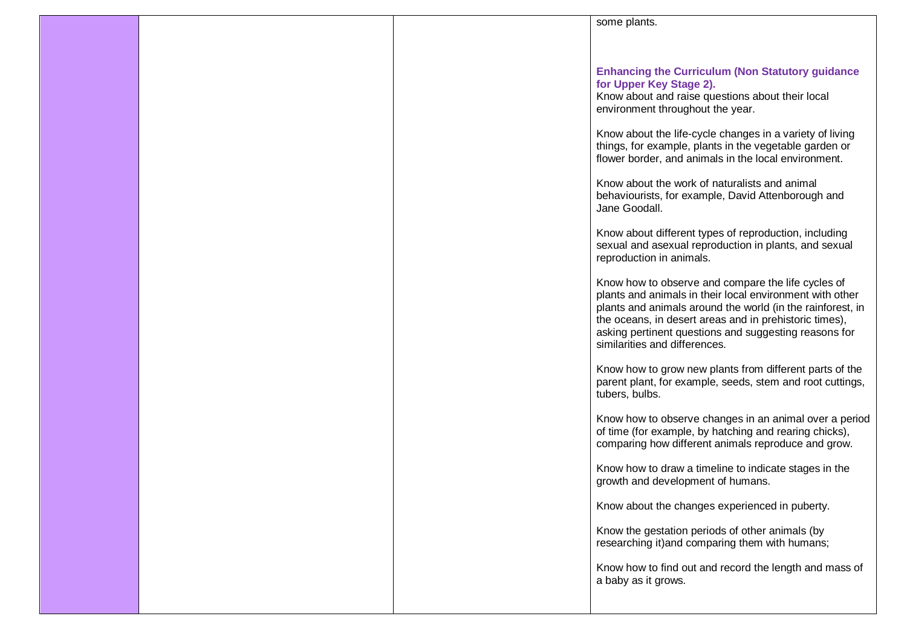|  | some plants.                                                                                                    |
|--|-----------------------------------------------------------------------------------------------------------------|
|  |                                                                                                                 |
|  |                                                                                                                 |
|  | <b>Enhancing the Curriculum (Non Statutory guidance</b><br>for Upper Key Stage 2).                              |
|  | Know about and raise questions about their local                                                                |
|  | environment throughout the year.                                                                                |
|  | Know about the life-cycle changes in a variety of living                                                        |
|  | things, for example, plants in the vegetable garden or                                                          |
|  | flower border, and animals in the local environment.                                                            |
|  | Know about the work of naturalists and animal                                                                   |
|  | behaviourists, for example, David Attenborough and<br>Jane Goodall.                                             |
|  |                                                                                                                 |
|  | Know about different types of reproduction, including<br>sexual and asexual reproduction in plants, and sexual  |
|  | reproduction in animals.                                                                                        |
|  |                                                                                                                 |
|  | Know how to observe and compare the life cycles of<br>plants and animals in their local environment with other  |
|  | plants and animals around the world (in the rainforest, in                                                      |
|  | the oceans, in desert areas and in prehistoric times),<br>asking pertinent questions and suggesting reasons for |
|  | similarities and differences.                                                                                   |
|  | Know how to grow new plants from different parts of the                                                         |
|  | parent plant, for example, seeds, stem and root cuttings,                                                       |
|  | tubers, bulbs.                                                                                                  |
|  | Know how to observe changes in an animal over a period                                                          |
|  | of time (for example, by hatching and rearing chicks),<br>comparing how different animals reproduce and grow.   |
|  |                                                                                                                 |
|  | Know how to draw a timeline to indicate stages in the<br>growth and development of humans.                      |
|  |                                                                                                                 |
|  | Know about the changes experienced in puberty.                                                                  |
|  | Know the gestation periods of other animals (by                                                                 |
|  | researching it) and comparing them with humans;                                                                 |
|  | Know how to find out and record the length and mass of                                                          |
|  | a baby as it grows.                                                                                             |
|  |                                                                                                                 |
|  |                                                                                                                 |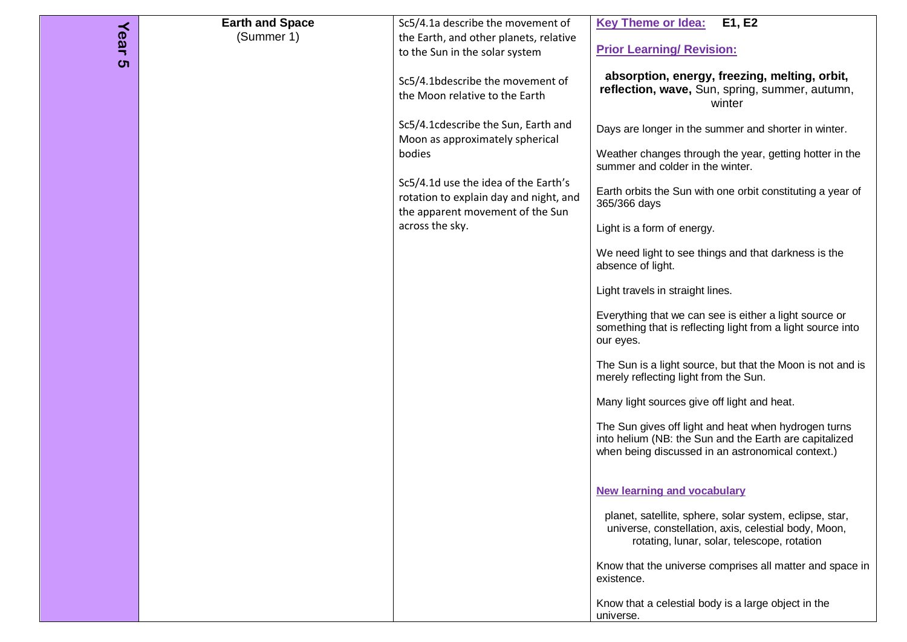| Year<br>ຕ | <b>Earth and Space</b><br>(Summer 1) | Sc5/4.1a describe the movement of<br>the Earth, and other planets, relative<br>to the Sun in the solar system<br>Sc5/4.1bdescribe the movement of<br>the Moon relative to the Earth                                       | E1, E2<br><b>Key Theme or Idea:</b><br><b>Prior Learning/ Revision:</b><br>absorption, energy, freezing, melting, orbit,<br>reflection, wave, Sun, spring, summer, autumn,                                                                                                                                                                                                                                                                                                                                                                                                                                                                                                                                                                                                                                                                                                                          |
|-----------|--------------------------------------|---------------------------------------------------------------------------------------------------------------------------------------------------------------------------------------------------------------------------|-----------------------------------------------------------------------------------------------------------------------------------------------------------------------------------------------------------------------------------------------------------------------------------------------------------------------------------------------------------------------------------------------------------------------------------------------------------------------------------------------------------------------------------------------------------------------------------------------------------------------------------------------------------------------------------------------------------------------------------------------------------------------------------------------------------------------------------------------------------------------------------------------------|
|           |                                      | Sc5/4.1cdescribe the Sun, Earth and<br>Moon as approximately spherical<br>bodies<br>Sc5/4.1d use the idea of the Earth's<br>rotation to explain day and night, and<br>the apparent movement of the Sun<br>across the sky. | winter<br>Days are longer in the summer and shorter in winter.<br>Weather changes through the year, getting hotter in the<br>summer and colder in the winter.<br>Earth orbits the Sun with one orbit constituting a year of<br>365/366 days<br>Light is a form of energy.<br>We need light to see things and that darkness is the<br>absence of light.<br>Light travels in straight lines.<br>Everything that we can see is either a light source or<br>something that is reflecting light from a light source into<br>our eyes.<br>The Sun is a light source, but that the Moon is not and is<br>merely reflecting light from the Sun.<br>Many light sources give off light and heat.<br>The Sun gives off light and heat when hydrogen turns<br>into helium (NB: the Sun and the Earth are capitalized<br>when being discussed in an astronomical context.)<br><b>New learning and vocabulary</b> |
|           |                                      |                                                                                                                                                                                                                           | planet, satellite, sphere, solar system, eclipse, star,<br>universe, constellation, axis, celestial body, Moon,<br>rotating, lunar, solar, telescope, rotation<br>Know that the universe comprises all matter and space in<br>existence.<br>Know that a celestial body is a large object in the<br>universe.                                                                                                                                                                                                                                                                                                                                                                                                                                                                                                                                                                                        |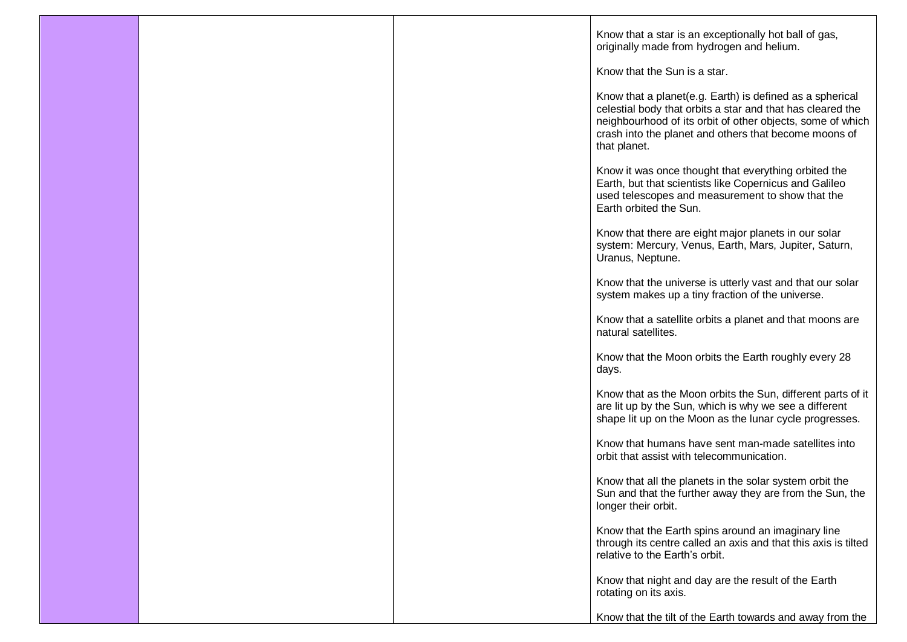|  | Know that a star is an exceptionally hot ball of gas,<br>originally made from hydrogen and helium.                                                                                                                                                             |
|--|----------------------------------------------------------------------------------------------------------------------------------------------------------------------------------------------------------------------------------------------------------------|
|  | Know that the Sun is a star.                                                                                                                                                                                                                                   |
|  | Know that a planet (e.g. Earth) is defined as a spherical<br>celestial body that orbits a star and that has cleared the<br>neighbourhood of its orbit of other objects, some of which<br>crash into the planet and others that become moons of<br>that planet. |
|  | Know it was once thought that everything orbited the<br>Earth, but that scientists like Copernicus and Galileo<br>used telescopes and measurement to show that the<br>Earth orbited the Sun.                                                                   |
|  | Know that there are eight major planets in our solar<br>system: Mercury, Venus, Earth, Mars, Jupiter, Saturn,<br>Uranus, Neptune.                                                                                                                              |
|  | Know that the universe is utterly vast and that our solar<br>system makes up a tiny fraction of the universe.                                                                                                                                                  |
|  | Know that a satellite orbits a planet and that moons are<br>natural satellites.                                                                                                                                                                                |
|  | Know that the Moon orbits the Earth roughly every 28<br>days.                                                                                                                                                                                                  |
|  | Know that as the Moon orbits the Sun, different parts of it<br>are lit up by the Sun, which is why we see a different<br>shape lit up on the Moon as the lunar cycle progresses.                                                                               |
|  | Know that humans have sent man-made satellites into<br>orbit that assist with telecommunication.                                                                                                                                                               |
|  | Know that all the planets in the solar system orbit the<br>Sun and that the further away they are from the Sun, the<br>longer their orbit.                                                                                                                     |
|  | Know that the Earth spins around an imaginary line<br>through its centre called an axis and that this axis is tilted<br>relative to the Earth's orbit.                                                                                                         |
|  | Know that night and day are the result of the Earth<br>rotating on its axis.                                                                                                                                                                                   |
|  | Know that the tilt of the Earth towards and away from the                                                                                                                                                                                                      |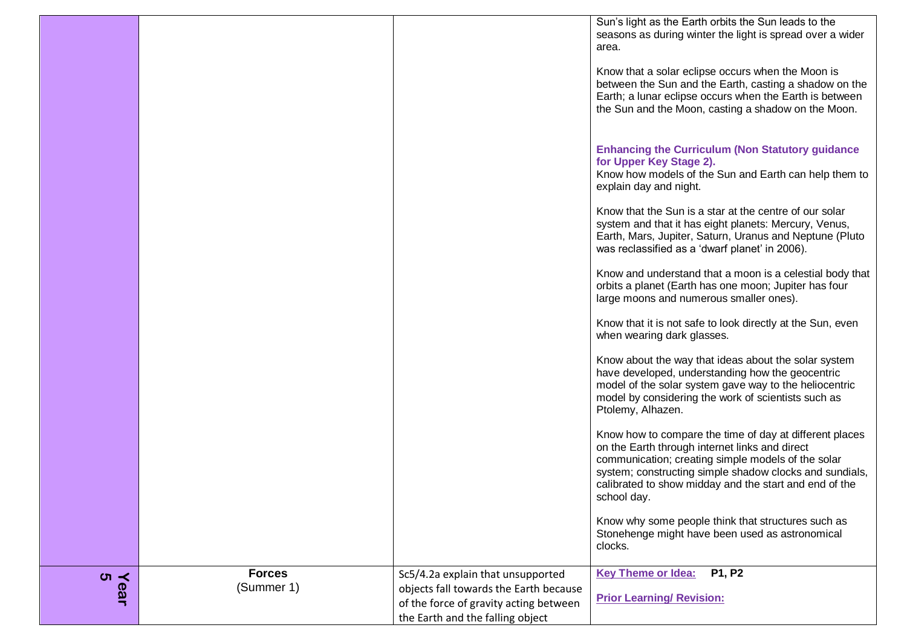|           |                             |                                                                                                                                                           | Sun's light as the Earth orbits the Sun leads to the<br>seasons as during winter the light is spread over a wider<br>area.<br>Know that a solar eclipse occurs when the Moon is<br>between the Sun and the Earth, casting a shadow on the<br>Earth; a lunar eclipse occurs when the Earth is between<br>the Sun and the Moon, casting a shadow on the Moon.<br><b>Enhancing the Curriculum (Non Statutory guidance</b><br>for Upper Key Stage 2).<br>Know how models of the Sun and Earth can help them to<br>explain day and night.<br>Know that the Sun is a star at the centre of our solar<br>system and that it has eight planets: Mercury, Venus,<br>Earth, Mars, Jupiter, Saturn, Uranus and Neptune (Pluto<br>was reclassified as a 'dwarf planet' in 2006).<br>Know and understand that a moon is a celestial body that<br>orbits a planet (Earth has one moon; Jupiter has four<br>large moons and numerous smaller ones).<br>Know that it is not safe to look directly at the Sun, even<br>when wearing dark glasses.<br>Know about the way that ideas about the solar system<br>have developed, understanding how the geocentric<br>model of the solar system gave way to the heliocentric |
|-----------|-----------------------------|-----------------------------------------------------------------------------------------------------------------------------------------------------------|--------------------------------------------------------------------------------------------------------------------------------------------------------------------------------------------------------------------------------------------------------------------------------------------------------------------------------------------------------------------------------------------------------------------------------------------------------------------------------------------------------------------------------------------------------------------------------------------------------------------------------------------------------------------------------------------------------------------------------------------------------------------------------------------------------------------------------------------------------------------------------------------------------------------------------------------------------------------------------------------------------------------------------------------------------------------------------------------------------------------------------------------------------------------------------------------------------|
|           |                             |                                                                                                                                                           | model by considering the work of scientists such as                                                                                                                                                                                                                                                                                                                                                                                                                                                                                                                                                                                                                                                                                                                                                                                                                                                                                                                                                                                                                                                                                                                                                    |
|           |                             |                                                                                                                                                           | Ptolemy, Alhazen.<br>Know how to compare the time of day at different places<br>on the Earth through internet links and direct<br>communication; creating simple models of the solar                                                                                                                                                                                                                                                                                                                                                                                                                                                                                                                                                                                                                                                                                                                                                                                                                                                                                                                                                                                                                   |
|           |                             |                                                                                                                                                           | system; constructing simple shadow clocks and sundials,<br>calibrated to show midday and the start and end of the<br>school day.                                                                                                                                                                                                                                                                                                                                                                                                                                                                                                                                                                                                                                                                                                                                                                                                                                                                                                                                                                                                                                                                       |
|           |                             |                                                                                                                                                           | Know why some people think that structures such as<br>Stonehenge might have been used as astronomical<br>clocks.                                                                                                                                                                                                                                                                                                                                                                                                                                                                                                                                                                                                                                                                                                                                                                                                                                                                                                                                                                                                                                                                                       |
| Year<br>5 | <b>Forces</b><br>(Summer 1) | Sc5/4.2a explain that unsupported<br>objects fall towards the Earth because<br>of the force of gravity acting between<br>the Earth and the falling object | <b>Key Theme or Idea:</b><br>P1, P2<br><b>Prior Learning/ Revision:</b>                                                                                                                                                                                                                                                                                                                                                                                                                                                                                                                                                                                                                                                                                                                                                                                                                                                                                                                                                                                                                                                                                                                                |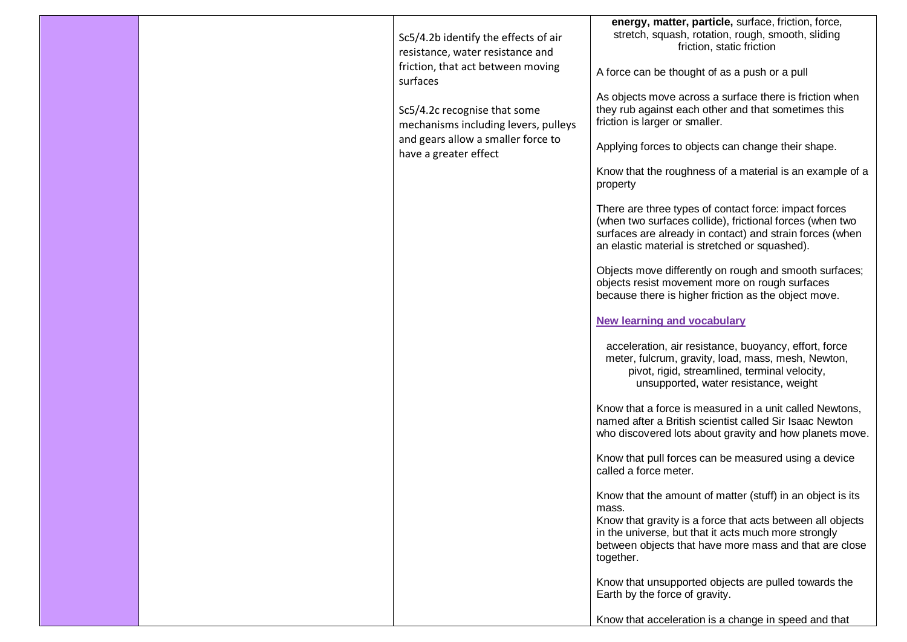|  | Sc5/4.2b identify the effects of air<br>resistance, water resistance and<br>friction, that act between moving<br>surfaces<br>Sc5/4.2c recognise that some<br>mechanisms including levers, pulleys<br>and gears allow a smaller force to<br>have a greater effect | energy, matter, particle, surface, friction, force,<br>stretch, squash, rotation, rough, smooth, sliding<br>friction, static friction<br>A force can be thought of as a push or a pull<br>As objects move across a surface there is friction when<br>they rub against each other and that sometimes this<br>friction is larger or smaller.<br>Applying forces to objects can change their shape.<br>Know that the roughness of a material is an example of a<br>property<br>There are three types of contact force: impact forces<br>(when two surfaces collide), frictional forces (when two<br>surfaces are already in contact) and strain forces (when<br>an elastic material is stretched or squashed).<br>Objects move differently on rough and smooth surfaces;<br>objects resist movement more on rough surfaces<br>because there is higher friction as the object move.<br><b>New learning and vocabulary</b><br>acceleration, air resistance, buoyancy, effort, force<br>meter, fulcrum, gravity, load, mass, mesh, Newton,<br>pivot, rigid, streamlined, terminal velocity,<br>unsupported, water resistance, weight<br>Know that a force is measured in a unit called Newtons,<br>named after a British scientist called Sir Isaac Newton<br>who discovered lots about gravity and how planets move.<br>Know that pull forces can be measured using a device<br>called a force meter.<br>Know that the amount of matter (stuff) in an object is its<br>mass.<br>Know that gravity is a force that acts between all objects<br>in the universe, but that it acts much more strongly<br>between objects that have more mass and that are close<br>together. |
|--|------------------------------------------------------------------------------------------------------------------------------------------------------------------------------------------------------------------------------------------------------------------|----------------------------------------------------------------------------------------------------------------------------------------------------------------------------------------------------------------------------------------------------------------------------------------------------------------------------------------------------------------------------------------------------------------------------------------------------------------------------------------------------------------------------------------------------------------------------------------------------------------------------------------------------------------------------------------------------------------------------------------------------------------------------------------------------------------------------------------------------------------------------------------------------------------------------------------------------------------------------------------------------------------------------------------------------------------------------------------------------------------------------------------------------------------------------------------------------------------------------------------------------------------------------------------------------------------------------------------------------------------------------------------------------------------------------------------------------------------------------------------------------------------------------------------------------------------------------------------------------------------------------------------------------------------------|
|  |                                                                                                                                                                                                                                                                  | Know that unsupported objects are pulled towards the<br>Earth by the force of gravity.<br>Know that acceleration is a change in speed and that                                                                                                                                                                                                                                                                                                                                                                                                                                                                                                                                                                                                                                                                                                                                                                                                                                                                                                                                                                                                                                                                                                                                                                                                                                                                                                                                                                                                                                                                                                                       |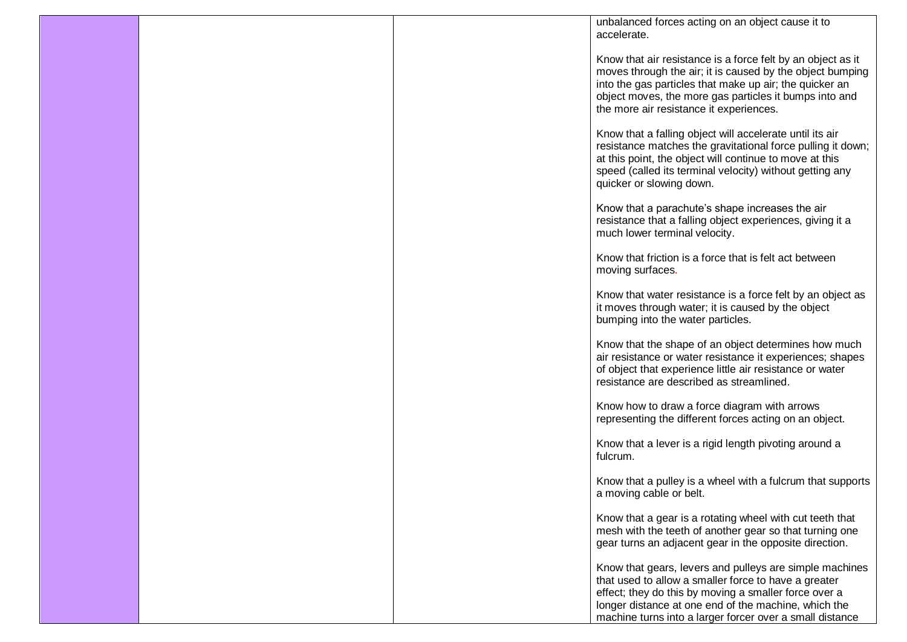|  | unbalanced forces acting on an object cause it to<br>accelerate.                                                                                                                                                                                                                             |
|--|----------------------------------------------------------------------------------------------------------------------------------------------------------------------------------------------------------------------------------------------------------------------------------------------|
|  | Know that air resistance is a force felt by an object as it<br>moves through the air; it is caused by the object bumping<br>into the gas particles that make up air; the quicker an<br>object moves, the more gas particles it bumps into and<br>the more air resistance it experiences.     |
|  | Know that a falling object will accelerate until its air<br>resistance matches the gravitational force pulling it down;<br>at this point, the object will continue to move at this<br>speed (called its terminal velocity) without getting any<br>quicker or slowing down.                   |
|  | Know that a parachute's shape increases the air<br>resistance that a falling object experiences, giving it a<br>much lower terminal velocity.                                                                                                                                                |
|  | Know that friction is a force that is felt act between<br>moving surfaces.                                                                                                                                                                                                                   |
|  | Know that water resistance is a force felt by an object as<br>it moves through water; it is caused by the object<br>bumping into the water particles.                                                                                                                                        |
|  | Know that the shape of an object determines how much<br>air resistance or water resistance it experiences; shapes<br>of object that experience little air resistance or water<br>resistance are described as streamlined.                                                                    |
|  | Know how to draw a force diagram with arrows<br>representing the different forces acting on an object.                                                                                                                                                                                       |
|  | Know that a lever is a rigid length pivoting around a<br>fulcrum.                                                                                                                                                                                                                            |
|  | Know that a pulley is a wheel with a fulcrum that supports<br>a moving cable or belt.                                                                                                                                                                                                        |
|  | Know that a gear is a rotating wheel with cut teeth that<br>mesh with the teeth of another gear so that turning one<br>gear turns an adjacent gear in the opposite direction.                                                                                                                |
|  | Know that gears, levers and pulleys are simple machines<br>that used to allow a smaller force to have a greater<br>effect; they do this by moving a smaller force over a<br>longer distance at one end of the machine, which the<br>machine turns into a larger forcer over a small distance |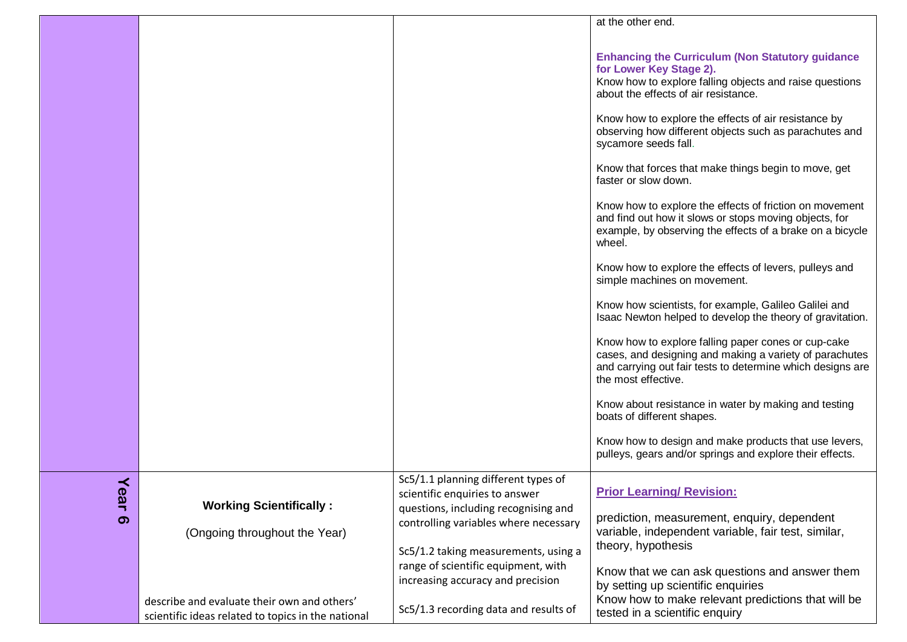|                                       |                                                                                                   |                                                                                                                                                         | at the other end.                                                                                                                                                                                                                                                                                                                                                                                                                                                                                                                                                                                                                                                                                                                                                                                                                                                                                                                                                                                                                                                                                                                                                                                                                             |
|---------------------------------------|---------------------------------------------------------------------------------------------------|---------------------------------------------------------------------------------------------------------------------------------------------------------|-----------------------------------------------------------------------------------------------------------------------------------------------------------------------------------------------------------------------------------------------------------------------------------------------------------------------------------------------------------------------------------------------------------------------------------------------------------------------------------------------------------------------------------------------------------------------------------------------------------------------------------------------------------------------------------------------------------------------------------------------------------------------------------------------------------------------------------------------------------------------------------------------------------------------------------------------------------------------------------------------------------------------------------------------------------------------------------------------------------------------------------------------------------------------------------------------------------------------------------------------|
|                                       |                                                                                                   |                                                                                                                                                         | <b>Enhancing the Curriculum (Non Statutory guidance</b><br>for Lower Key Stage 2).<br>Know how to explore falling objects and raise questions<br>about the effects of air resistance.<br>Know how to explore the effects of air resistance by<br>observing how different objects such as parachutes and<br>sycamore seeds fall.<br>Know that forces that make things begin to move, get<br>faster or slow down.<br>Know how to explore the effects of friction on movement<br>and find out how it slows or stops moving objects, for<br>example, by observing the effects of a brake on a bicycle<br>wheel.<br>Know how to explore the effects of levers, pulleys and<br>simple machines on movement.<br>Know how scientists, for example, Galileo Galilei and<br>Isaac Newton helped to develop the theory of gravitation.<br>Know how to explore falling paper cones or cup-cake<br>cases, and designing and making a variety of parachutes<br>and carrying out fair tests to determine which designs are<br>the most effective.<br>Know about resistance in water by making and testing<br>boats of different shapes.<br>Know how to design and make products that use levers,<br>pulleys, gears and/or springs and explore their effects. |
|                                       |                                                                                                   | Sc5/1.1 planning different types of                                                                                                                     |                                                                                                                                                                                                                                                                                                                                                                                                                                                                                                                                                                                                                                                                                                                                                                                                                                                                                                                                                                                                                                                                                                                                                                                                                                               |
| ≺<br>$\boldsymbol{\sigma}$<br>ar<br>ၜ | <b>Working Scientifically:</b><br>(Ongoing throughout the Year)                                   | scientific enquiries to answer<br>questions, including recognising and<br>controlling variables where necessary<br>Sc5/1.2 taking measurements, using a | <b>Prior Learning/ Revision:</b><br>prediction, measurement, enquiry, dependent<br>variable, independent variable, fair test, similar,<br>theory, hypothesis                                                                                                                                                                                                                                                                                                                                                                                                                                                                                                                                                                                                                                                                                                                                                                                                                                                                                                                                                                                                                                                                                  |
|                                       | describe and evaluate their own and others'<br>scientific ideas related to topics in the national | range of scientific equipment, with<br>increasing accuracy and precision<br>Sc5/1.3 recording data and results of                                       | Know that we can ask questions and answer them<br>by setting up scientific enquiries<br>Know how to make relevant predictions that will be<br>tested in a scientific enquiry                                                                                                                                                                                                                                                                                                                                                                                                                                                                                                                                                                                                                                                                                                                                                                                                                                                                                                                                                                                                                                                                  |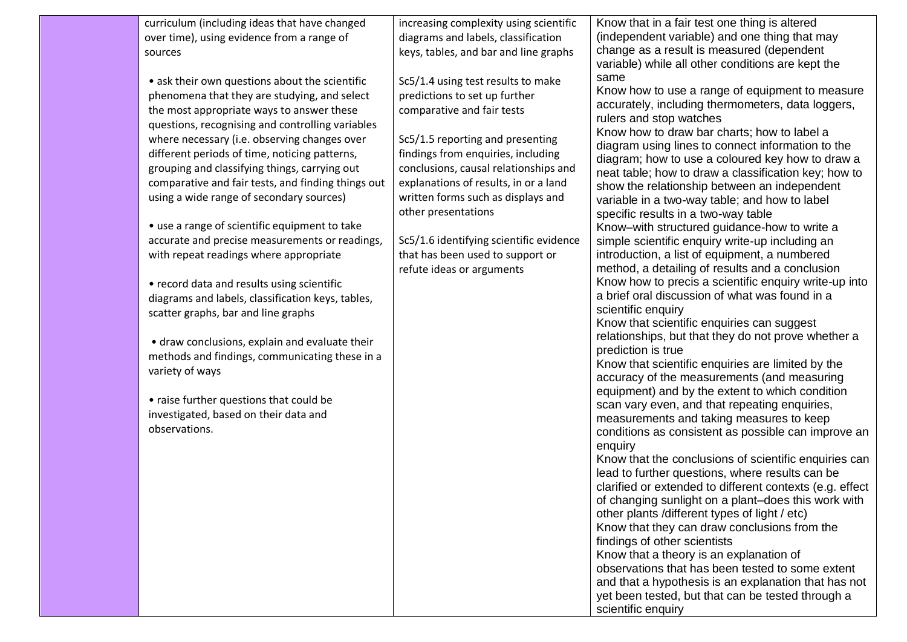| curriculum (including ideas that have changed<br>over time), using evidence from a range of<br>sources<br>• ask their own questions about the scientific<br>phenomena that they are studying, and select<br>the most appropriate ways to answer these<br>questions, recognising and controlling variables<br>where necessary (i.e. observing changes over<br>different periods of time, noticing patterns,<br>grouping and classifying things, carrying out<br>comparative and fair tests, and finding things out<br>using a wide range of secondary sources)<br>• use a range of scientific equipment to take<br>accurate and precise measurements or readings,<br>with repeat readings where appropriate<br>• record data and results using scientific<br>diagrams and labels, classification keys, tables,<br>scatter graphs, bar and line graphs | increasing complexity using scientific<br>diagrams and labels, classification<br>keys, tables, and bar and line graphs<br>Sc5/1.4 using test results to make<br>predictions to set up further<br>comparative and fair tests<br>Sc5/1.5 reporting and presenting<br>findings from enquiries, including<br>conclusions, causal relationships and<br>explanations of results, in or a land<br>written forms such as displays and<br>other presentations<br>Sc5/1.6 identifying scientific evidence<br>that has been used to support or<br>refute ideas or arguments | Know that in a fair test one thing is altered<br>(independent variable) and one thing that may<br>change as a result is measured (dependent<br>variable) while all other conditions are kept the<br>same<br>Know how to use a range of equipment to measure<br>accurately, including thermometers, data loggers,<br>rulers and stop watches<br>Know how to draw bar charts; how to label a<br>diagram using lines to connect information to the<br>diagram; how to use a coloured key how to draw a<br>neat table; how to draw a classification key; how to<br>show the relationship between an independent<br>variable in a two-way table; and how to label<br>specific results in a two-way table<br>Know-with structured guidance-how to write a<br>simple scientific enquiry write-up including an<br>introduction, a list of equipment, a numbered<br>method, a detailing of results and a conclusion<br>Know how to precis a scientific enquiry write-up into<br>a brief oral discussion of what was found in a<br>scientific enquiry<br>Know that scientific enquiries can suggest |
|------------------------------------------------------------------------------------------------------------------------------------------------------------------------------------------------------------------------------------------------------------------------------------------------------------------------------------------------------------------------------------------------------------------------------------------------------------------------------------------------------------------------------------------------------------------------------------------------------------------------------------------------------------------------------------------------------------------------------------------------------------------------------------------------------------------------------------------------------|------------------------------------------------------------------------------------------------------------------------------------------------------------------------------------------------------------------------------------------------------------------------------------------------------------------------------------------------------------------------------------------------------------------------------------------------------------------------------------------------------------------------------------------------------------------|-------------------------------------------------------------------------------------------------------------------------------------------------------------------------------------------------------------------------------------------------------------------------------------------------------------------------------------------------------------------------------------------------------------------------------------------------------------------------------------------------------------------------------------------------------------------------------------------------------------------------------------------------------------------------------------------------------------------------------------------------------------------------------------------------------------------------------------------------------------------------------------------------------------------------------------------------------------------------------------------------------------------------------------------------------------------------------------------|
| variety of ways<br>• raise further questions that could be<br>investigated, based on their data and<br>observations.                                                                                                                                                                                                                                                                                                                                                                                                                                                                                                                                                                                                                                                                                                                                 |                                                                                                                                                                                                                                                                                                                                                                                                                                                                                                                                                                  | Know that scientific enquiries are limited by the<br>accuracy of the measurements (and measuring<br>equipment) and by the extent to which condition<br>scan vary even, and that repeating enquiries,<br>measurements and taking measures to keep<br>conditions as consistent as possible can improve an<br>enquiry<br>Know that the conclusions of scientific enquiries can<br>lead to further questions, where results can be<br>clarified or extended to different contexts (e.g. effect<br>of changing sunlight on a plant-does this work with<br>other plants /different types of light / etc)<br>Know that they can draw conclusions from the<br>findings of other scientists<br>Know that a theory is an explanation of<br>observations that has been tested to some extent<br>and that a hypothesis is an explanation that has not<br>yet been tested, but that can be tested through a<br>scientific enquiry                                                                                                                                                                      |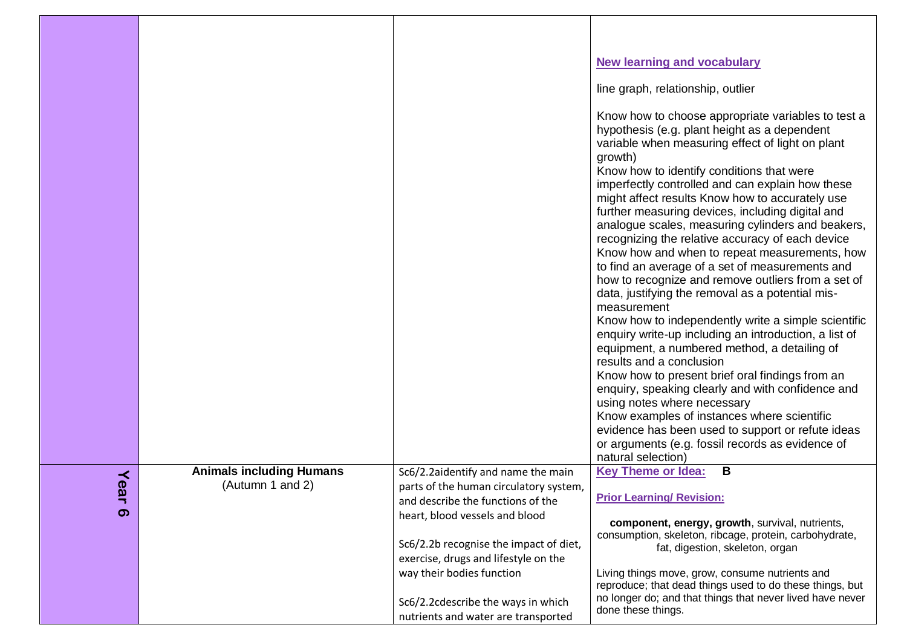|               |                                                     |                                                                                                                   | <b>New learning and vocabulary</b><br>line graph, relationship, outlier<br>Know how to choose appropriate variables to test a<br>hypothesis (e.g. plant height as a dependent<br>variable when measuring effect of light on plant<br>growth)<br>Know how to identify conditions that were<br>imperfectly controlled and can explain how these<br>might affect results Know how to accurately use<br>further measuring devices, including digital and<br>analogue scales, measuring cylinders and beakers,<br>recognizing the relative accuracy of each device<br>Know how and when to repeat measurements, how<br>to find an average of a set of measurements and<br>how to recognize and remove outliers from a set of<br>data, justifying the removal as a potential mis-<br>measurement<br>Know how to independently write a simple scientific<br>enquiry write-up including an introduction, a list of<br>equipment, a numbered method, a detailing of<br>results and a conclusion |
|---------------|-----------------------------------------------------|-------------------------------------------------------------------------------------------------------------------|----------------------------------------------------------------------------------------------------------------------------------------------------------------------------------------------------------------------------------------------------------------------------------------------------------------------------------------------------------------------------------------------------------------------------------------------------------------------------------------------------------------------------------------------------------------------------------------------------------------------------------------------------------------------------------------------------------------------------------------------------------------------------------------------------------------------------------------------------------------------------------------------------------------------------------------------------------------------------------------|
|               |                                                     |                                                                                                                   | Know how to present brief oral findings from an<br>enquiry, speaking clearly and with confidence and<br>using notes where necessary<br>Know examples of instances where scientific<br>evidence has been used to support or refute ideas<br>or arguments (e.g. fossil records as evidence of                                                                                                                                                                                                                                                                                                                                                                                                                                                                                                                                                                                                                                                                                            |
|               |                                                     |                                                                                                                   | natural selection)                                                                                                                                                                                                                                                                                                                                                                                                                                                                                                                                                                                                                                                                                                                                                                                                                                                                                                                                                                     |
| Yea<br>¬<br>ၜ | <b>Animals including Humans</b><br>(Autumn 1 and 2) | Sc6/2.2aidentify and name the main<br>parts of the human circulatory system,<br>and describe the functions of the | B<br><b>Key Theme or Idea:</b><br><b>Prior Learning/ Revision:</b>                                                                                                                                                                                                                                                                                                                                                                                                                                                                                                                                                                                                                                                                                                                                                                                                                                                                                                                     |
|               |                                                     | heart, blood vessels and blood<br>Sc6/2.2b recognise the impact of diet,<br>exercise, drugs and lifestyle on the  | component, energy, growth, survival, nutrients,<br>consumption, skeleton, ribcage, protein, carbohydrate,<br>fat, digestion, skeleton, organ                                                                                                                                                                                                                                                                                                                                                                                                                                                                                                                                                                                                                                                                                                                                                                                                                                           |
|               |                                                     | way their bodies function<br>Sc6/2.2cdescribe the ways in which<br>nutrients and water are transported            | Living things move, grow, consume nutrients and<br>reproduce; that dead things used to do these things, but<br>no longer do; and that things that never lived have never<br>done these things.                                                                                                                                                                                                                                                                                                                                                                                                                                                                                                                                                                                                                                                                                                                                                                                         |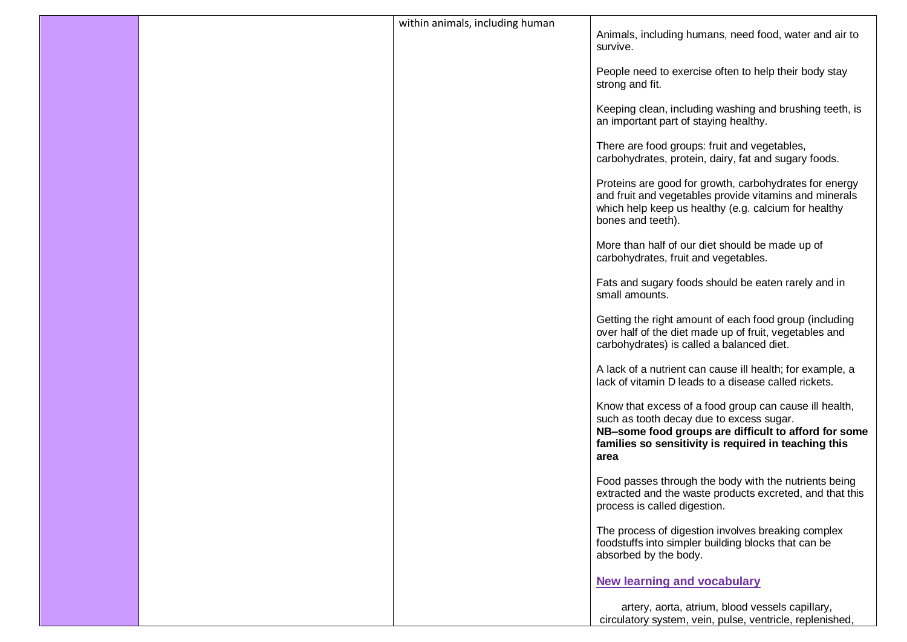|  | within animals, including human | Animals, including humans, need food, water and air to<br>survive.                                                                                                                                                         |
|--|---------------------------------|----------------------------------------------------------------------------------------------------------------------------------------------------------------------------------------------------------------------------|
|  |                                 | People need to exercise often to help their body stay<br>strong and fit.                                                                                                                                                   |
|  |                                 | Keeping clean, including washing and brushing teeth, is<br>an important part of staying healthy.                                                                                                                           |
|  |                                 | There are food groups: fruit and vegetables,<br>carbohydrates, protein, dairy, fat and sugary foods.                                                                                                                       |
|  |                                 | Proteins are good for growth, carbohydrates for energy<br>and fruit and vegetables provide vitamins and minerals<br>which help keep us healthy (e.g. calcium for healthy<br>bones and teeth).                              |
|  |                                 | More than half of our diet should be made up of<br>carbohydrates, fruit and vegetables.                                                                                                                                    |
|  |                                 | Fats and sugary foods should be eaten rarely and in<br>small amounts.                                                                                                                                                      |
|  |                                 | Getting the right amount of each food group (including<br>over half of the diet made up of fruit, vegetables and<br>carbohydrates) is called a balanced diet.                                                              |
|  |                                 | A lack of a nutrient can cause ill health; for example, a<br>lack of vitamin D leads to a disease called rickets.                                                                                                          |
|  |                                 | Know that excess of a food group can cause ill health,<br>such as tooth decay due to excess sugar.<br>NB-some food groups are difficult to afford for some<br>families so sensitivity is required in teaching this<br>area |
|  |                                 | Food passes through the body with the nutrients being<br>extracted and the waste products excreted, and that this<br>process is called digestion.                                                                          |
|  |                                 | The process of digestion involves breaking complex<br>foodstuffs into simpler building blocks that can be<br>absorbed by the body.                                                                                         |
|  |                                 | <b>New learning and vocabulary</b>                                                                                                                                                                                         |
|  |                                 | artery, aorta, atrium, blood vessels capillary,<br>circulatory system, vein, pulse, ventricle, replenished,                                                                                                                |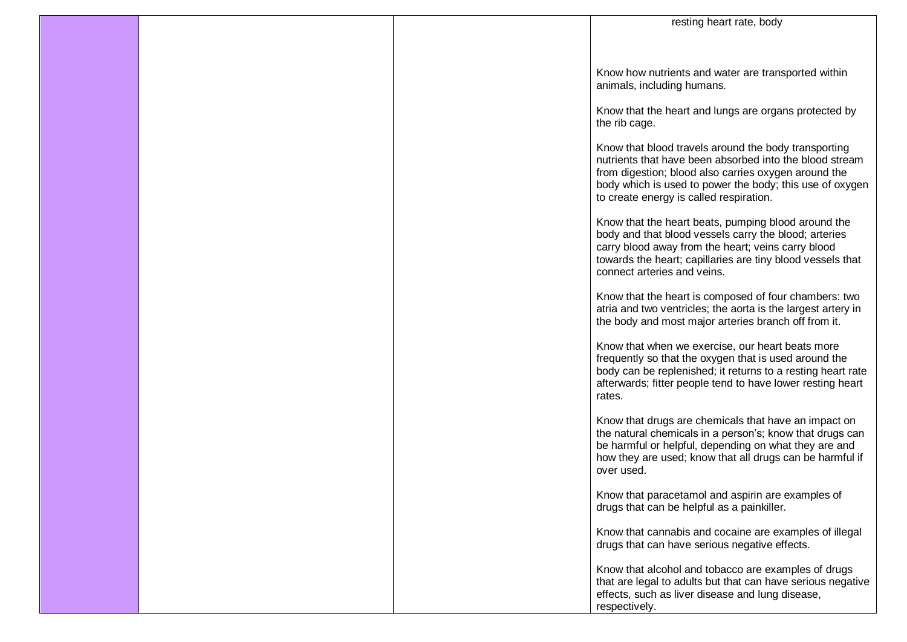|  | resting heart rate, body                                                                                                                                                                                                                                                       |
|--|--------------------------------------------------------------------------------------------------------------------------------------------------------------------------------------------------------------------------------------------------------------------------------|
|  |                                                                                                                                                                                                                                                                                |
|  | Know how nutrients and water are transported within<br>animals, including humans.                                                                                                                                                                                              |
|  | Know that the heart and lungs are organs protected by<br>the rib cage.                                                                                                                                                                                                         |
|  | Know that blood travels around the body transporting<br>nutrients that have been absorbed into the blood stream<br>from digestion; blood also carries oxygen around the<br>body which is used to power the body; this use of oxygen<br>to create energy is called respiration. |
|  | Know that the heart beats, pumping blood around the<br>body and that blood vessels carry the blood; arteries<br>carry blood away from the heart; veins carry blood<br>towards the heart; capillaries are tiny blood vessels that<br>connect arteries and veins.                |
|  | Know that the heart is composed of four chambers: two<br>atria and two ventricles; the aorta is the largest artery in<br>the body and most major arteries branch off from it.                                                                                                  |
|  | Know that when we exercise, our heart beats more<br>frequently so that the oxygen that is used around the<br>body can be replenished; it returns to a resting heart rate<br>afterwards; fitter people tend to have lower resting heart<br>rates.                               |
|  | Know that drugs are chemicals that have an impact on<br>the natural chemicals in a person's; know that drugs can<br>be harmful or helpful, depending on what they are and<br>how they are used; know that all drugs can be harmful if<br>over used.                            |
|  | Know that paracetamol and aspirin are examples of<br>drugs that can be helpful as a painkiller.                                                                                                                                                                                |
|  | Know that cannabis and cocaine are examples of illegal<br>drugs that can have serious negative effects.                                                                                                                                                                        |
|  | Know that alcohol and tobacco are examples of drugs<br>that are legal to adults but that can have serious negative<br>effects, such as liver disease and lung disease,<br>respectively.                                                                                        |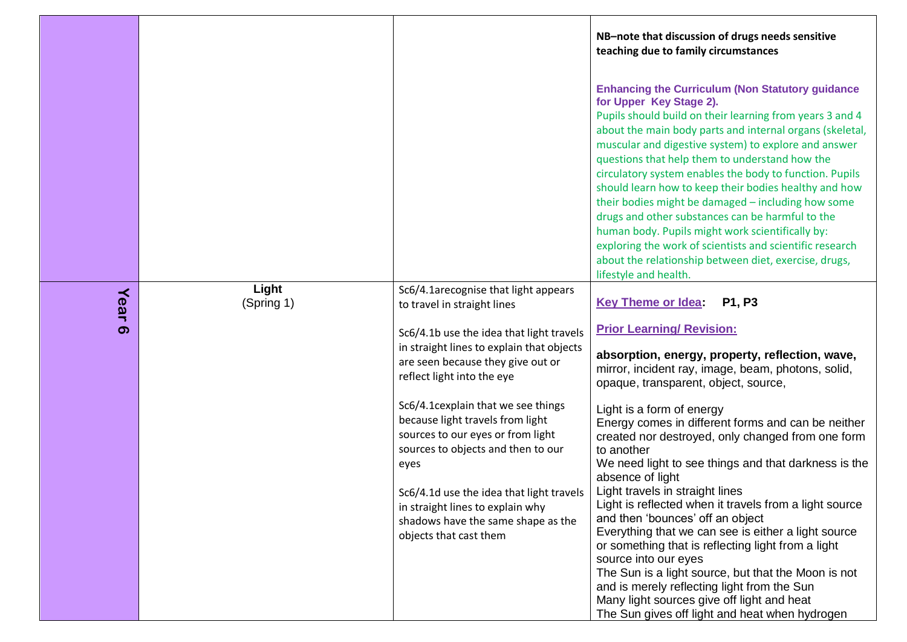|      |                     |                                                                                                                                                                                                                                                                                                           | NB-note that discussion of drugs needs sensitive<br>teaching due to family circumstances                                                                                                                                                                                                                                                                                                                                                                                                                                                                                                                                                                                                                                                             |
|------|---------------------|-----------------------------------------------------------------------------------------------------------------------------------------------------------------------------------------------------------------------------------------------------------------------------------------------------------|------------------------------------------------------------------------------------------------------------------------------------------------------------------------------------------------------------------------------------------------------------------------------------------------------------------------------------------------------------------------------------------------------------------------------------------------------------------------------------------------------------------------------------------------------------------------------------------------------------------------------------------------------------------------------------------------------------------------------------------------------|
|      |                     |                                                                                                                                                                                                                                                                                                           | <b>Enhancing the Curriculum (Non Statutory guidance</b><br>for Upper Key Stage 2).<br>Pupils should build on their learning from years 3 and 4<br>about the main body parts and internal organs (skeletal,<br>muscular and digestive system) to explore and answer<br>questions that help them to understand how the<br>circulatory system enables the body to function. Pupils<br>should learn how to keep their bodies healthy and how<br>their bodies might be damaged - including how some<br>drugs and other substances can be harmful to the<br>human body. Pupils might work scientifically by:<br>exploring the work of scientists and scientific research<br>about the relationship between diet, exercise, drugs,<br>lifestyle and health. |
| Year | Light<br>(Spring 1) | Sc6/4.1arecognise that light appears<br>to travel in straight lines                                                                                                                                                                                                                                       | <b>Key Theme or Idea:</b><br>P1, P3                                                                                                                                                                                                                                                                                                                                                                                                                                                                                                                                                                                                                                                                                                                  |
| ග    |                     | Sc6/4.1b use the idea that light travels<br>in straight lines to explain that objects<br>are seen because they give out or<br>reflect light into the eye                                                                                                                                                  | <b>Prior Learning/ Revision:</b><br>absorption, energy, property, reflection, wave,<br>mirror, incident ray, image, beam, photons, solid,<br>opaque, transparent, object, source,                                                                                                                                                                                                                                                                                                                                                                                                                                                                                                                                                                    |
|      |                     | Sc6/4.1cexplain that we see things<br>because light travels from light<br>sources to our eyes or from light<br>sources to objects and then to our<br>eyes<br>Sc6/4.1d use the idea that light travels<br>in straight lines to explain why<br>shadows have the same shape as the<br>objects that cast them | Light is a form of energy<br>Energy comes in different forms and can be neither<br>created nor destroyed, only changed from one form<br>to another<br>We need light to see things and that darkness is the<br>absence of light<br>Light travels in straight lines<br>Light is reflected when it travels from a light source<br>and then 'bounces' off an object<br>Everything that we can see is either a light source<br>or something that is reflecting light from a light<br>source into our eyes<br>The Sun is a light source, but that the Moon is not<br>and is merely reflecting light from the Sun<br>Many light sources give off light and heat                                                                                             |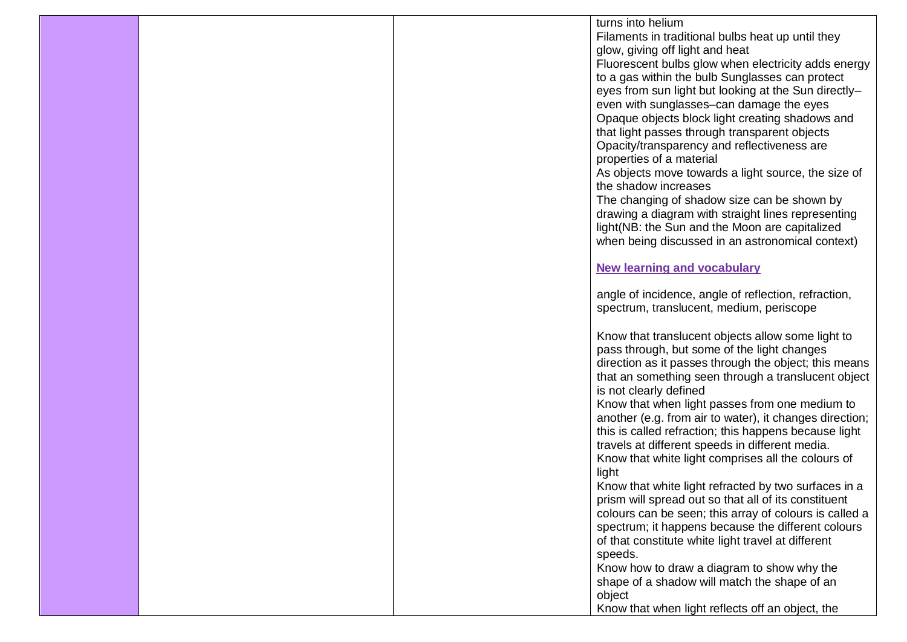|  | turns into helium                                                                                |
|--|--------------------------------------------------------------------------------------------------|
|  | Filaments in traditional bulbs heat up until they                                                |
|  | glow, giving off light and heat                                                                  |
|  | Fluorescent bulbs glow when electricity adds energy                                              |
|  | to a gas within the bulb Sunglasses can protect                                                  |
|  | eyes from sun light but looking at the Sun directly-                                             |
|  | even with sunglasses-can damage the eyes                                                         |
|  | Opaque objects block light creating shadows and                                                  |
|  | that light passes through transparent objects                                                    |
|  | Opacity/transparency and reflectiveness are                                                      |
|  | properties of a material                                                                         |
|  | As objects move towards a light source, the size of                                              |
|  | the shadow increases                                                                             |
|  | The changing of shadow size can be shown by                                                      |
|  | drawing a diagram with straight lines representing                                               |
|  | light(NB: the Sun and the Moon are capitalized                                                   |
|  | when being discussed in an astronomical context)                                                 |
|  |                                                                                                  |
|  | <b>New learning and vocabulary</b>                                                               |
|  |                                                                                                  |
|  | angle of incidence, angle of reflection, refraction,<br>spectrum, translucent, medium, periscope |
|  |                                                                                                  |
|  | Know that translucent objects allow some light to                                                |
|  | pass through, but some of the light changes                                                      |
|  | direction as it passes through the object; this means                                            |
|  | that an something seen through a translucent object                                              |
|  | is not clearly defined                                                                           |
|  | Know that when light passes from one medium to                                                   |
|  | another (e.g. from air to water), it changes direction;                                          |
|  | this is called refraction; this happens because light                                            |
|  | travels at different speeds in different media.                                                  |
|  | Know that white light comprises all the colours of                                               |
|  | light                                                                                            |
|  | Know that white light refracted by two surfaces in a                                             |
|  | prism will spread out so that all of its constituent                                             |
|  | colours can be seen; this array of colours is called a                                           |
|  | spectrum; it happens because the different colours                                               |
|  | of that constitute white light travel at different                                               |
|  | speeds.                                                                                          |
|  | Know how to draw a diagram to show why the                                                       |
|  | shape of a shadow will match the shape of an                                                     |
|  | object                                                                                           |
|  | Know that when light reflects off an object, the                                                 |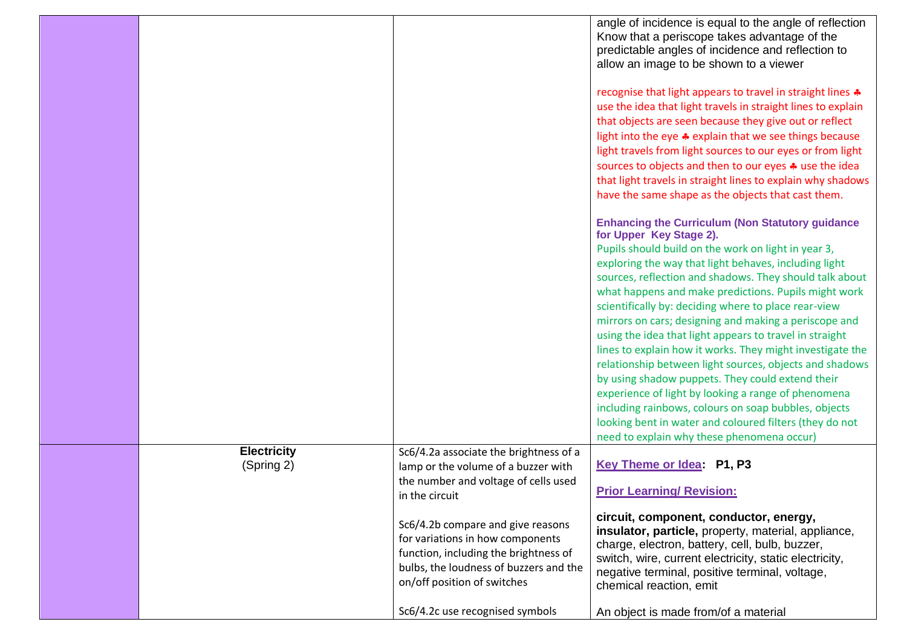|                    |                                                                                                                                                                                         | angle of incidence is equal to the angle of reflection<br>Know that a periscope takes advantage of the<br>predictable angles of incidence and reflection to<br>allow an image to be shown to a viewer                                                                                  |
|--------------------|-----------------------------------------------------------------------------------------------------------------------------------------------------------------------------------------|----------------------------------------------------------------------------------------------------------------------------------------------------------------------------------------------------------------------------------------------------------------------------------------|
|                    |                                                                                                                                                                                         | recognise that light appears to travel in straight lines *<br>use the idea that light travels in straight lines to explain                                                                                                                                                             |
|                    |                                                                                                                                                                                         | that objects are seen because they give out or reflect                                                                                                                                                                                                                                 |
|                    |                                                                                                                                                                                         | light into the eye * explain that we see things because                                                                                                                                                                                                                                |
|                    |                                                                                                                                                                                         | light travels from light sources to our eyes or from light                                                                                                                                                                                                                             |
|                    |                                                                                                                                                                                         | sources to objects and then to our eyes $\clubsuit$ use the idea                                                                                                                                                                                                                       |
|                    |                                                                                                                                                                                         | that light travels in straight lines to explain why shadows<br>have the same shape as the objects that cast them.                                                                                                                                                                      |
|                    |                                                                                                                                                                                         | <b>Enhancing the Curriculum (Non Statutory guidance)</b><br>for Upper Key Stage 2).                                                                                                                                                                                                    |
|                    |                                                                                                                                                                                         | Pupils should build on the work on light in year 3,                                                                                                                                                                                                                                    |
|                    |                                                                                                                                                                                         | exploring the way that light behaves, including light                                                                                                                                                                                                                                  |
|                    |                                                                                                                                                                                         | sources, reflection and shadows. They should talk about                                                                                                                                                                                                                                |
|                    |                                                                                                                                                                                         | what happens and make predictions. Pupils might work<br>scientifically by: deciding where to place rear-view                                                                                                                                                                           |
|                    |                                                                                                                                                                                         | mirrors on cars; designing and making a periscope and                                                                                                                                                                                                                                  |
|                    |                                                                                                                                                                                         | using the idea that light appears to travel in straight                                                                                                                                                                                                                                |
|                    |                                                                                                                                                                                         | lines to explain how it works. They might investigate the                                                                                                                                                                                                                              |
|                    |                                                                                                                                                                                         | relationship between light sources, objects and shadows                                                                                                                                                                                                                                |
|                    |                                                                                                                                                                                         | by using shadow puppets. They could extend their                                                                                                                                                                                                                                       |
|                    |                                                                                                                                                                                         | experience of light by looking a range of phenomena                                                                                                                                                                                                                                    |
|                    |                                                                                                                                                                                         | including rainbows, colours on soap bubbles, objects                                                                                                                                                                                                                                   |
|                    |                                                                                                                                                                                         | looking bent in water and coloured filters (they do not<br>need to explain why these phenomena occur)                                                                                                                                                                                  |
| <b>Electricity</b> | Sc6/4.2a associate the brightness of a                                                                                                                                                  |                                                                                                                                                                                                                                                                                        |
| (Spring 2)         | lamp or the volume of a buzzer with                                                                                                                                                     | Key Theme or Idea: P1, P3                                                                                                                                                                                                                                                              |
|                    | the number and voltage of cells used                                                                                                                                                    |                                                                                                                                                                                                                                                                                        |
|                    | in the circuit                                                                                                                                                                          | <b>Prior Learning/ Revision:</b>                                                                                                                                                                                                                                                       |
|                    | Sc6/4.2b compare and give reasons<br>for variations in how components<br>function, including the brightness of<br>bulbs, the loudness of buzzers and the<br>on/off position of switches | circuit, component, conductor, energy,<br>insulator, particle, property, material, appliance,<br>charge, electron, battery, cell, bulb, buzzer,<br>switch, wire, current electricity, static electricity,<br>negative terminal, positive terminal, voltage,<br>chemical reaction, emit |
|                    | Sc6/4.2c use recognised symbols                                                                                                                                                         | An object is made from/of a material                                                                                                                                                                                                                                                   |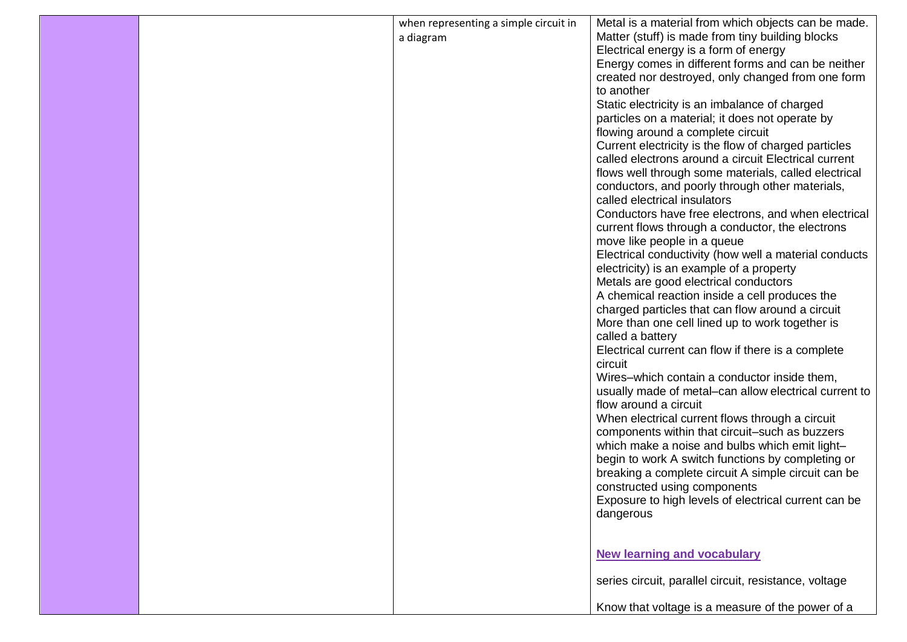|  | when representing a simple circuit in | Metal is a material from which objects can be made.                               |
|--|---------------------------------------|-----------------------------------------------------------------------------------|
|  | a diagram                             | Matter (stuff) is made from tiny building blocks                                  |
|  |                                       | Electrical energy is a form of energy                                             |
|  |                                       | Energy comes in different forms and can be neither                                |
|  |                                       | created nor destroyed, only changed from one form                                 |
|  |                                       | to another                                                                        |
|  |                                       | Static electricity is an imbalance of charged                                     |
|  |                                       | particles on a material; it does not operate by                                   |
|  |                                       | flowing around a complete circuit                                                 |
|  |                                       | Current electricity is the flow of charged particles                              |
|  |                                       | called electrons around a circuit Electrical current                              |
|  |                                       | flows well through some materials, called electrical                              |
|  |                                       | conductors, and poorly through other materials,                                   |
|  |                                       | called electrical insulators                                                      |
|  |                                       | Conductors have free electrons, and when electrical                               |
|  |                                       | current flows through a conductor, the electrons                                  |
|  |                                       | move like people in a queue                                                       |
|  |                                       | Electrical conductivity (how well a material conducts                             |
|  |                                       | electricity) is an example of a property<br>Metals are good electrical conductors |
|  |                                       | A chemical reaction inside a cell produces the                                    |
|  |                                       | charged particles that can flow around a circuit                                  |
|  |                                       | More than one cell lined up to work together is                                   |
|  |                                       | called a battery                                                                  |
|  |                                       | Electrical current can flow if there is a complete                                |
|  |                                       | circuit                                                                           |
|  |                                       | Wires-which contain a conductor inside them,                                      |
|  |                                       | usually made of metal-can allow electrical current to                             |
|  |                                       | flow around a circuit                                                             |
|  |                                       | When electrical current flows through a circuit                                   |
|  |                                       | components within that circuit-such as buzzers                                    |
|  |                                       | which make a noise and bulbs which emit light-                                    |
|  |                                       | begin to work A switch functions by completing or                                 |
|  |                                       | breaking a complete circuit A simple circuit can be                               |
|  |                                       | constructed using components                                                      |
|  |                                       | Exposure to high levels of electrical current can be                              |
|  |                                       | dangerous                                                                         |
|  |                                       |                                                                                   |
|  |                                       |                                                                                   |
|  |                                       | <b>New learning and vocabulary</b>                                                |
|  |                                       |                                                                                   |
|  |                                       | series circuit, parallel circuit, resistance, voltage                             |
|  |                                       |                                                                                   |
|  |                                       | Know that voltage is a measure of the power of a                                  |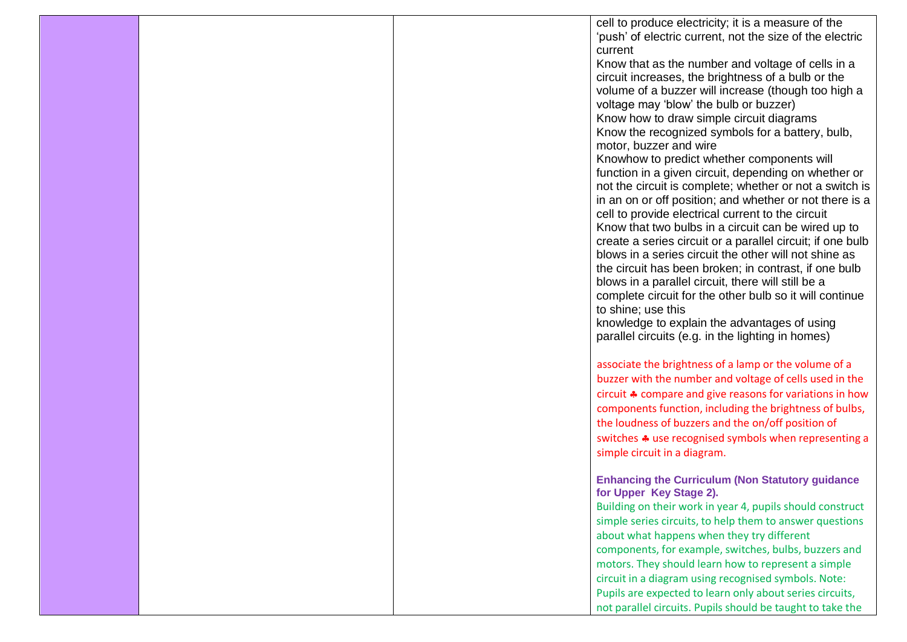|  | cell to produce electricity; it is a measure of the                                                                 |  |
|--|---------------------------------------------------------------------------------------------------------------------|--|
|  | 'push' of electric current, not the size of the electric                                                            |  |
|  | current                                                                                                             |  |
|  | Know that as the number and voltage of cells in a                                                                   |  |
|  | circuit increases, the brightness of a bulb or the                                                                  |  |
|  | volume of a buzzer will increase (though too high a                                                                 |  |
|  | voltage may 'blow' the bulb or buzzer)<br>Know how to draw simple circuit diagrams                                  |  |
|  | Know the recognized symbols for a battery, bulb,                                                                    |  |
|  | motor, buzzer and wire                                                                                              |  |
|  | Knowhow to predict whether components will                                                                          |  |
|  | function in a given circuit, depending on whether or                                                                |  |
|  | not the circuit is complete; whether or not a switch is                                                             |  |
|  | in an on or off position; and whether or not there is a                                                             |  |
|  | cell to provide electrical current to the circuit                                                                   |  |
|  | Know that two bulbs in a circuit can be wired up to                                                                 |  |
|  | create a series circuit or a parallel circuit; if one bulb<br>blows in a series circuit the other will not shine as |  |
|  | the circuit has been broken; in contrast, if one bulb                                                               |  |
|  | blows in a parallel circuit, there will still be a                                                                  |  |
|  | complete circuit for the other bulb so it will continue                                                             |  |
|  | to shine; use this                                                                                                  |  |
|  | knowledge to explain the advantages of using                                                                        |  |
|  | parallel circuits (e.g. in the lighting in homes)                                                                   |  |
|  |                                                                                                                     |  |
|  | associate the brightness of a lamp or the volume of a                                                               |  |
|  | buzzer with the number and voltage of cells used in the                                                             |  |
|  | circuit $\clubsuit$ compare and give reasons for variations in how                                                  |  |
|  | components function, including the brightness of bulbs,<br>the loudness of buzzers and the on/off position of       |  |
|  | switches $\clubsuit$ use recognised symbols when representing a                                                     |  |
|  | simple circuit in a diagram.                                                                                        |  |
|  |                                                                                                                     |  |
|  | <b>Enhancing the Curriculum (Non Statutory guidance</b>                                                             |  |
|  | for Upper Key Stage 2).                                                                                             |  |
|  | Building on their work in year 4, pupils should construct                                                           |  |
|  | simple series circuits, to help them to answer questions                                                            |  |
|  | about what happens when they try different                                                                          |  |
|  | components, for example, switches, bulbs, buzzers and                                                               |  |
|  | motors. They should learn how to represent a simple                                                                 |  |
|  | circuit in a diagram using recognised symbols. Note:                                                                |  |
|  | Pupils are expected to learn only about series circuits,                                                            |  |
|  | not parallel circuits. Pupils should be taught to take the                                                          |  |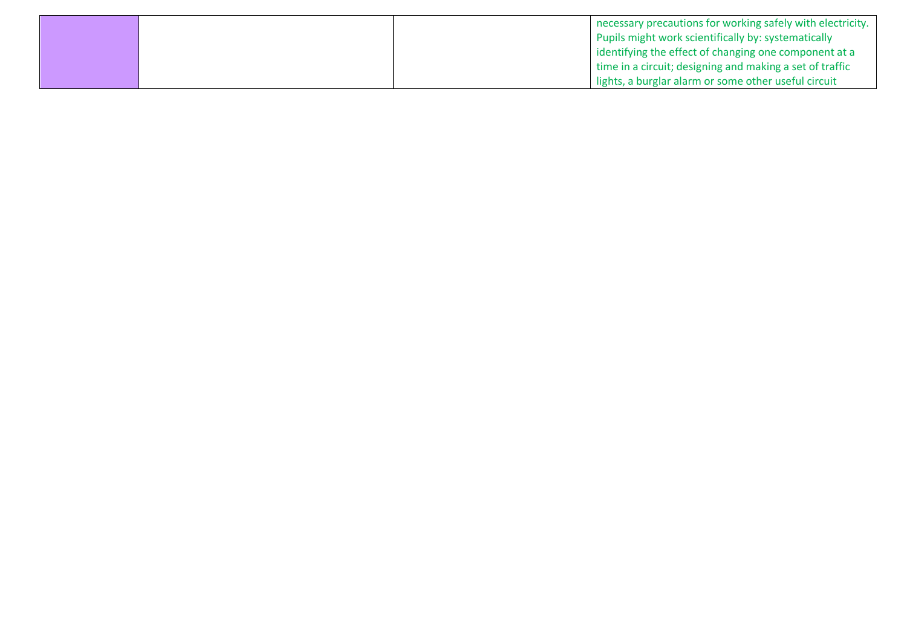|  | necessary precautions for working safely with electricity. |
|--|------------------------------------------------------------|
|  | Pupils might work scientifically by: systematically        |
|  | identifying the effect of changing one component at a      |
|  | time in a circuit; designing and making a set of traffic   |
|  | lights, a burglar alarm or some other useful circuit       |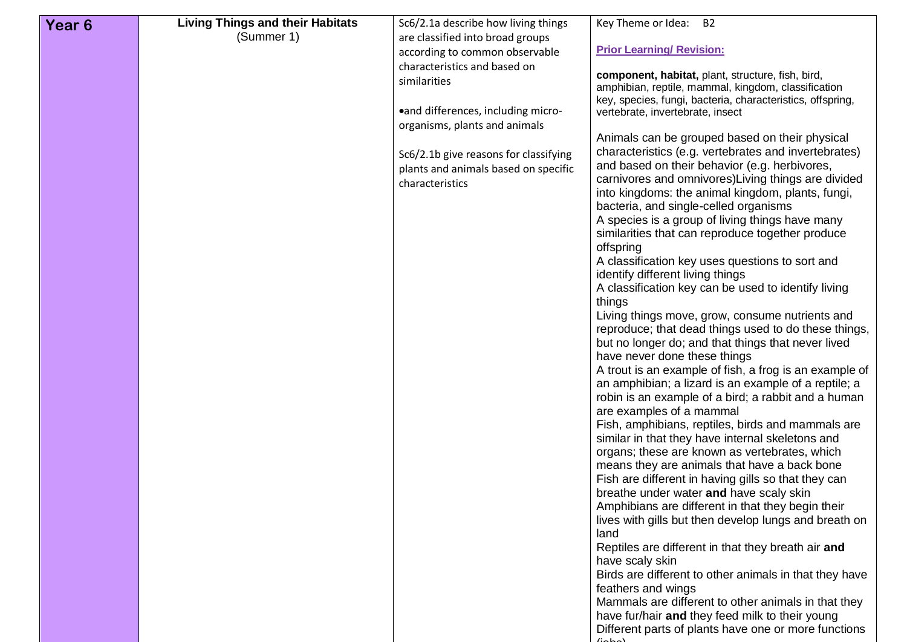| Year <sub>6</sub> | <b>Living Things and their Habitats</b> | Sc6/2.1a describe how living things                     | Key Theme or Idea: B2                                                                                  |
|-------------------|-----------------------------------------|---------------------------------------------------------|--------------------------------------------------------------------------------------------------------|
|                   | (Summer 1)                              | are classified into broad groups                        |                                                                                                        |
|                   |                                         | according to common observable                          | <b>Prior Learning/ Revision:</b>                                                                       |
|                   |                                         | characteristics and based on                            | component, habitat, plant, structure, fish, bird,                                                      |
|                   |                                         | similarities                                            | amphibian, reptile, mammal, kingdom, classification                                                    |
|                   |                                         |                                                         | key, species, fungi, bacteria, characteristics, offspring,                                             |
|                   |                                         | •and differences, including micro-                      | vertebrate, invertebrate, insect                                                                       |
|                   |                                         | organisms, plants and animals                           |                                                                                                        |
|                   |                                         |                                                         | Animals can be grouped based on their physical<br>characteristics (e.g. vertebrates and invertebrates) |
|                   |                                         | Sc6/2.1b give reasons for classifying                   | and based on their behavior (e.g. herbivores,                                                          |
|                   |                                         | plants and animals based on specific<br>characteristics | carnivores and omnivores) Living things are divided                                                    |
|                   |                                         |                                                         | into kingdoms: the animal kingdom, plants, fungi,                                                      |
|                   |                                         |                                                         | bacteria, and single-celled organisms                                                                  |
|                   |                                         |                                                         | A species is a group of living things have many                                                        |
|                   |                                         |                                                         | similarities that can reproduce together produce                                                       |
|                   |                                         |                                                         | offspring<br>A classification key uses questions to sort and                                           |
|                   |                                         |                                                         | identify different living things                                                                       |
|                   |                                         |                                                         | A classification key can be used to identify living                                                    |
|                   |                                         |                                                         | things                                                                                                 |
|                   |                                         |                                                         | Living things move, grow, consume nutrients and                                                        |
|                   |                                         |                                                         | reproduce; that dead things used to do these things,                                                   |
|                   |                                         |                                                         | but no longer do; and that things that never lived                                                     |
|                   |                                         |                                                         | have never done these things<br>A trout is an example of fish, a frog is an example of                 |
|                   |                                         |                                                         | an amphibian; a lizard is an example of a reptile; a                                                   |
|                   |                                         |                                                         | robin is an example of a bird; a rabbit and a human                                                    |
|                   |                                         |                                                         | are examples of a mammal                                                                               |
|                   |                                         |                                                         | Fish, amphibians, reptiles, birds and mammals are                                                      |
|                   |                                         |                                                         | similar in that they have internal skeletons and                                                       |
|                   |                                         |                                                         | organs; these are known as vertebrates, which<br>means they are animals that have a back bone          |
|                   |                                         |                                                         | Fish are different in having gills so that they can                                                    |
|                   |                                         |                                                         | breathe under water and have scaly skin                                                                |
|                   |                                         |                                                         | Amphibians are different in that they begin their                                                      |
|                   |                                         |                                                         | lives with gills but then develop lungs and breath on                                                  |
|                   |                                         |                                                         | land                                                                                                   |
|                   |                                         |                                                         | Reptiles are different in that they breath air and                                                     |
|                   |                                         |                                                         | have scaly skin                                                                                        |
|                   |                                         |                                                         | Birds are different to other animals in that they have<br>feathers and wings                           |
|                   |                                         |                                                         | Mammals are different to other animals in that they                                                    |
|                   |                                         |                                                         | have fur/hair and they feed milk to their young                                                        |
|                   |                                         |                                                         | Different parts of plants have one or more functions                                                   |
|                   |                                         |                                                         | لممامنا                                                                                                |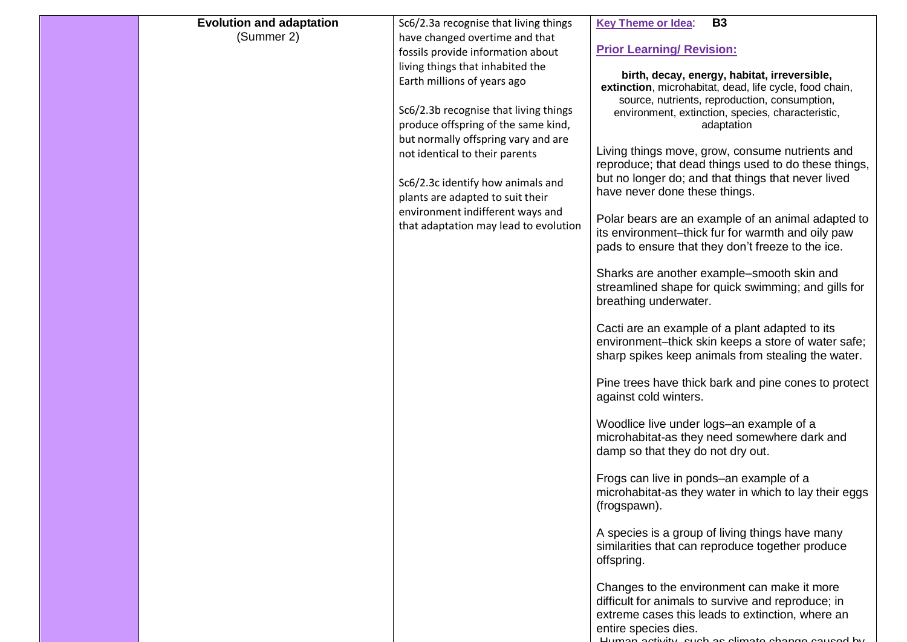| <b>Evolution and adaptation</b> | Sc6/2.3a recognise that living things                                        | <b>Key Theme or Idea</b><br><b>B3</b>                                                                   |
|---------------------------------|------------------------------------------------------------------------------|---------------------------------------------------------------------------------------------------------|
| (Summer 2)                      | have changed overtime and that                                               |                                                                                                         |
|                                 | fossils provide information about                                            | <b>Prior Learning/ Revision:</b>                                                                        |
|                                 | living things that inhabited the                                             | birth, decay, energy, habitat, irreversible,                                                            |
|                                 | Earth millions of years ago                                                  | extinction, microhabitat, dead, life cycle, food chain,                                                 |
|                                 |                                                                              | source, nutrients, reproduction, consumption,                                                           |
|                                 | Sc6/2.3b recognise that living things<br>produce offspring of the same kind, | environment, extinction, species, characteristic,                                                       |
|                                 | but normally offspring vary and are                                          | adaptation                                                                                              |
|                                 | not identical to their parents                                               | Living things move, grow, consume nutrients and                                                         |
|                                 |                                                                              | reproduce; that dead things used to do these things,                                                    |
|                                 | Sc6/2.3c identify how animals and                                            | but no longer do; and that things that never lived                                                      |
|                                 | plants are adapted to suit their                                             | have never done these things.                                                                           |
|                                 | environment indifferent ways and                                             |                                                                                                         |
|                                 | that adaptation may lead to evolution                                        | Polar bears are an example of an animal adapted to<br>its environment-thick fur for warmth and oily paw |
|                                 |                                                                              | pads to ensure that they don't freeze to the ice.                                                       |
|                                 |                                                                              |                                                                                                         |
|                                 |                                                                              | Sharks are another example-smooth skin and                                                              |
|                                 |                                                                              | streamlined shape for quick swimming; and gills for                                                     |
|                                 |                                                                              | breathing underwater.                                                                                   |
|                                 |                                                                              | Cacti are an example of a plant adapted to its                                                          |
|                                 |                                                                              | environment-thick skin keeps a store of water safe;                                                     |
|                                 |                                                                              | sharp spikes keep animals from stealing the water.                                                      |
|                                 |                                                                              |                                                                                                         |
|                                 |                                                                              | Pine trees have thick bark and pine cones to protect                                                    |
|                                 |                                                                              | against cold winters.                                                                                   |
|                                 |                                                                              | Woodlice live under logs-an example of a                                                                |
|                                 |                                                                              | microhabitat-as they need somewhere dark and                                                            |
|                                 |                                                                              | damp so that they do not dry out.                                                                       |
|                                 |                                                                              |                                                                                                         |
|                                 |                                                                              | Frogs can live in ponds-an example of a<br>microhabitat-as they water in which to lay their eggs        |
|                                 |                                                                              | (frogspawn).                                                                                            |
|                                 |                                                                              |                                                                                                         |
|                                 |                                                                              | A species is a group of living things have many                                                         |
|                                 |                                                                              | similarities that can reproduce together produce                                                        |
|                                 |                                                                              | offspring.                                                                                              |
|                                 |                                                                              | Changes to the environment can make it more                                                             |
|                                 |                                                                              | difficult for animals to survive and reproduce; in                                                      |
|                                 |                                                                              | extreme cases this leads to extinction, where an                                                        |
|                                 |                                                                              | entire species dies.                                                                                    |
|                                 |                                                                              | Human activity, quab as glimato obango coupod by                                                        |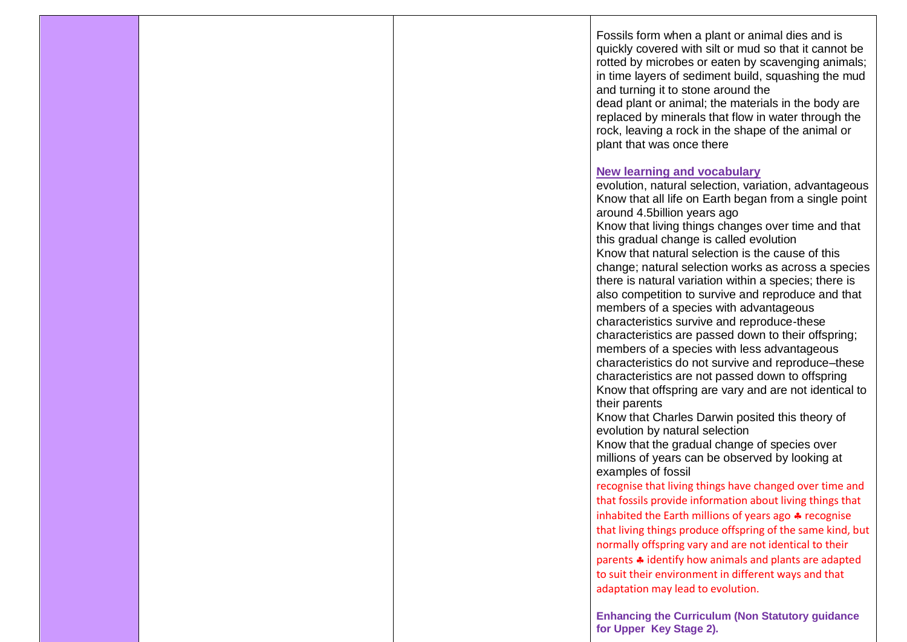Fossils form when a plant or animal dies and is quickly covered with silt or mud so that it cannot be rotted by microbes or eaten by scavenging animals; in time layers of sediment build, squashing the mud and turning it to stone around the dead plant or animal; the materials in the body are replaced by minerals that flow in water through the rock, leaving a rock in the shape of the animal or plant that was once there **New learning and vocabulary**  evolution, natural selection, variation, advantageous Know that all life on Earth began from a single point around 4.5billion years ago Know that living things changes over time and that this gradual change is called evolution Know that natural selection is the cause of this change; natural selection works as across a species there is natural variation within a species; there is also competition to survive and reproduce and that members of a species with advantageous

characteristics survive and reproduce-these characteristics are passed down to their offspring; members of a species with less advantageous characteristics do not survive and reproduce–these characteristics are not passed down to offspring Know that offspring are vary and are not identical to their parents

Know that Charles Darwin posited this theory of evolution by natural selection

Know that the gradual change of species over millions of years can be observed by looking at examples of fossil

recognise that living things have changed over time and that fossils provide information about living things that inhabited the Earth millions of years ago  $\clubsuit$  recognise that living things produce offspring of the same kind, but normally offspring vary and are not identical to their parents  $\clubsuit$  identify how animals and plants are adapted to suit their environment in different ways and that adaptation may lead to evolution.

**Enhancing the Curriculum (Non Statutory guidance for Upper Key Stage 2).**